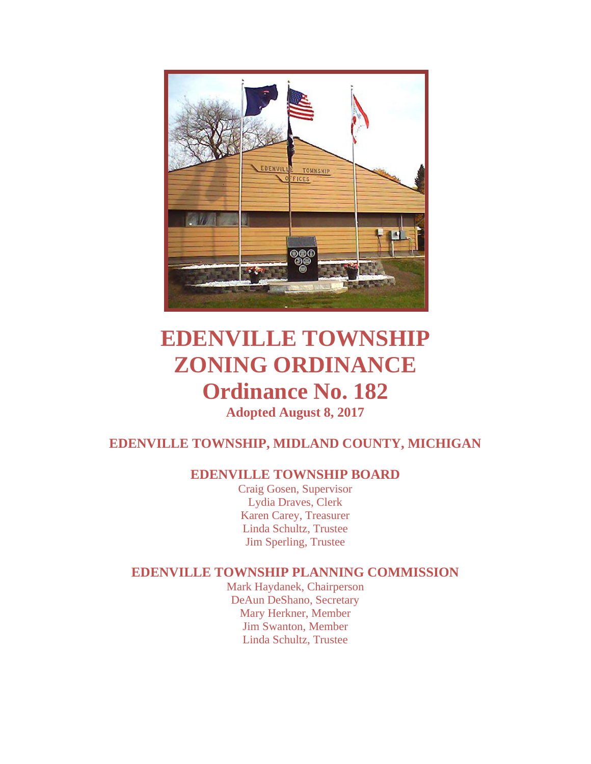

# **EDENVILLE TOWNSHIP ZONING ORDINANCE Ordinance No. 182 Adopted August 8, 2017**

# **EDENVILLE TOWNSHIP, MIDLAND COUNTY, MICHIGAN**

## **EDENVILLE TOWNSHIP BOARD**

Craig Gosen, Supervisor Lydia Draves, Clerk Karen Carey, Treasurer Linda Schultz, Trustee Jim Sperling, Trustee

#### **EDENVILLE TOWNSHIP PLANNING COMMISSION**

Mark Haydanek, Chairperson DeAun DeShano, Secretary Mary Herkner, Member Jim Swanton, Member Linda Schultz, Trustee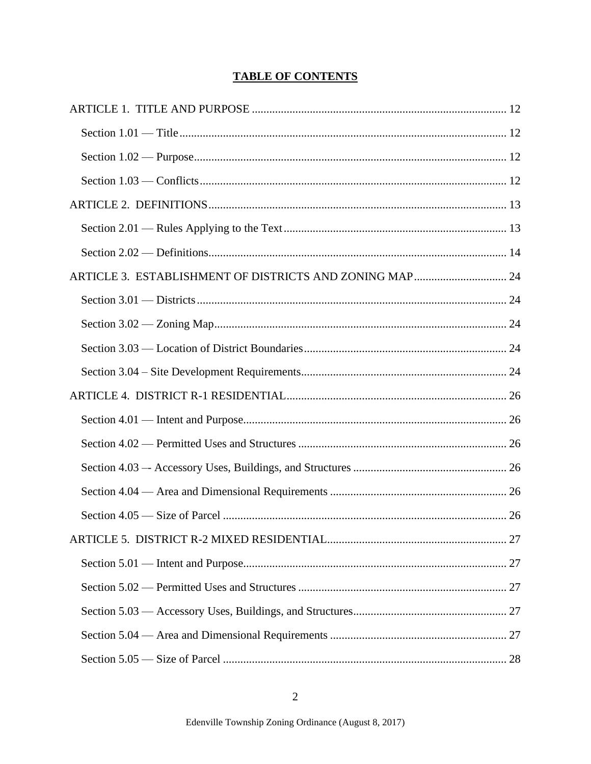### **TABLE OF CONTENTS**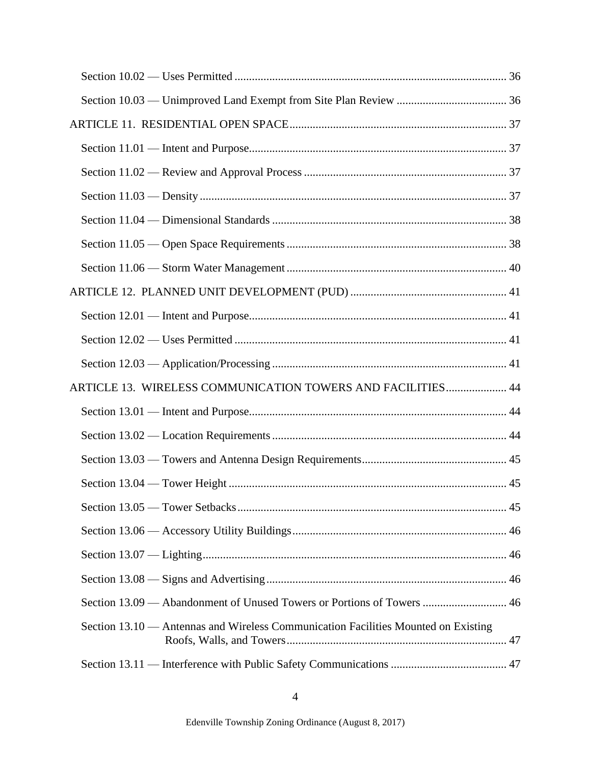| ARTICLE 13. WIRELESS COMMUNICATION TOWERS AND FACILITIES 44                        |  |
|------------------------------------------------------------------------------------|--|
|                                                                                    |  |
|                                                                                    |  |
|                                                                                    |  |
|                                                                                    |  |
|                                                                                    |  |
|                                                                                    |  |
|                                                                                    |  |
|                                                                                    |  |
| Section 13.09 — Abandonment of Unused Towers or Portions of Towers  46             |  |
| Section 13.10 — Antennas and Wireless Communication Facilities Mounted on Existing |  |
|                                                                                    |  |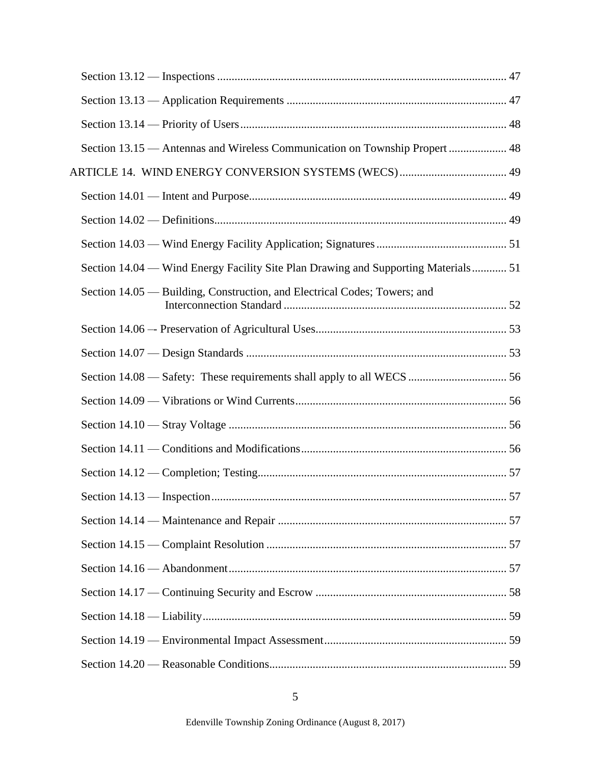|  | Section 13.15 — Antennas and Wireless Communication on Township Propert  48        |  |
|--|------------------------------------------------------------------------------------|--|
|  |                                                                                    |  |
|  |                                                                                    |  |
|  |                                                                                    |  |
|  |                                                                                    |  |
|  | Section 14.04 — Wind Energy Facility Site Plan Drawing and Supporting Materials 51 |  |
|  | Section 14.05 — Building, Construction, and Electrical Codes; Towers; and          |  |
|  |                                                                                    |  |
|  |                                                                                    |  |
|  |                                                                                    |  |
|  |                                                                                    |  |
|  |                                                                                    |  |
|  |                                                                                    |  |
|  |                                                                                    |  |
|  |                                                                                    |  |
|  |                                                                                    |  |
|  |                                                                                    |  |
|  |                                                                                    |  |
|  |                                                                                    |  |
|  |                                                                                    |  |
|  |                                                                                    |  |
|  |                                                                                    |  |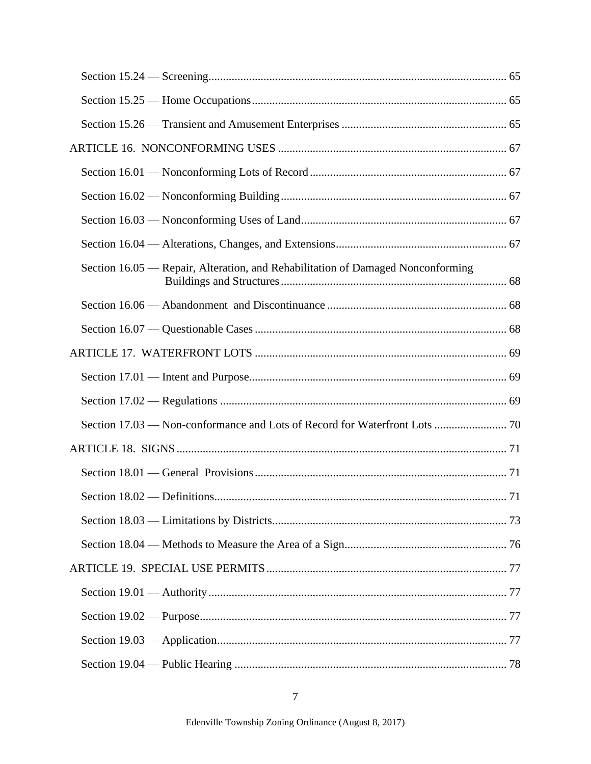| Section 16.05 — Repair, Alteration, and Rehabilitation of Damaged Nonconforming |  |
|---------------------------------------------------------------------------------|--|
|                                                                                 |  |
|                                                                                 |  |
|                                                                                 |  |
|                                                                                 |  |
|                                                                                 |  |
| Section 17.03 — Non-conformance and Lots of Record for Waterfront Lots  70      |  |
|                                                                                 |  |
|                                                                                 |  |
|                                                                                 |  |
|                                                                                 |  |
|                                                                                 |  |
|                                                                                 |  |
|                                                                                 |  |
|                                                                                 |  |
|                                                                                 |  |
|                                                                                 |  |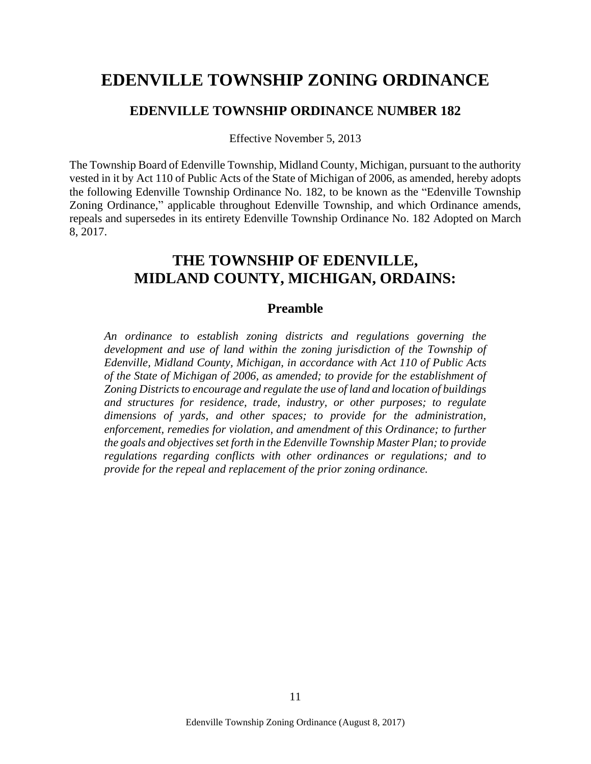# **EDENVILLE TOWNSHIP ZONING ORDINANCE**

#### **EDENVILLE TOWNSHIP ORDINANCE NUMBER 182**

Effective November 5, 2013

The Township Board of Edenville Township, Midland County, Michigan, pursuant to the authority vested in it by Act 110 of Public Acts of the State of Michigan of 2006, as amended, hereby adopts the following Edenville Township Ordinance No. 182, to be known as the "Edenville Township Zoning Ordinance," applicable throughout Edenville Township, and which Ordinance amends, repeals and supersedes in its entirety Edenville Township Ordinance No. 182 Adopted on March 8, 2017.

# **THE TOWNSHIP OF EDENVILLE, MIDLAND COUNTY, MICHIGAN, ORDAINS:**

#### **Preamble**

*An ordinance to establish zoning districts and regulations governing the development and use of land within the zoning jurisdiction of the Township of Edenville, Midland County, Michigan, in accordance with Act 110 of Public Acts of the State of Michigan of 2006, as amended; to provide for the establishment of Zoning Districts to encourage and regulate the use of land and location of buildings and structures for residence, trade, industry, or other purposes; to regulate dimensions of yards, and other spaces; to provide for the administration, enforcement, remedies for violation, and amendment of this Ordinance; to further the goals and objectives set forth in the Edenville Township Master Plan; to provide regulations regarding conflicts with other ordinances or regulations; and to provide for the repeal and replacement of the prior zoning ordinance.*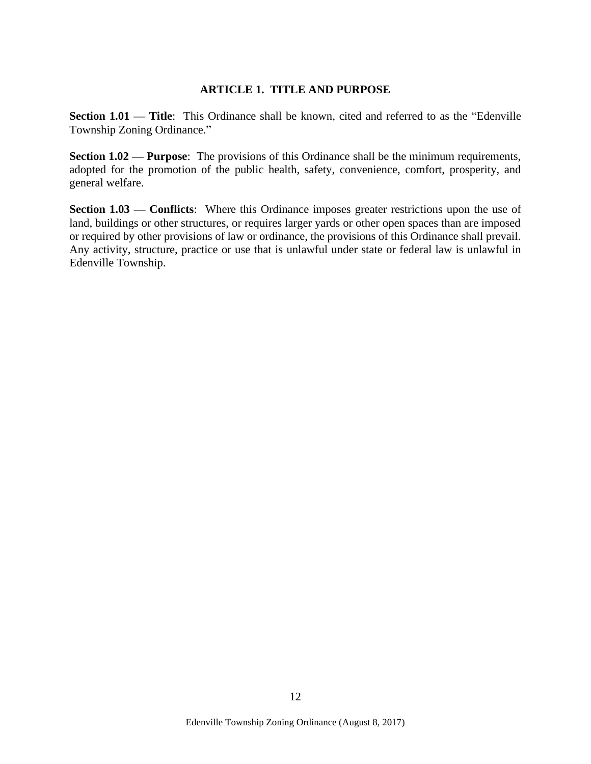#### **ARTICLE 1. TITLE AND PURPOSE**

<span id="page-11-1"></span><span id="page-11-0"></span>**Section 1.01 — Title:** This Ordinance shall be known, cited and referred to as the "Edenville" Township Zoning Ordinance."

<span id="page-11-2"></span>**Section 1.02 — Purpose:** The provisions of this Ordinance shall be the minimum requirements, adopted for the promotion of the public health, safety, convenience, comfort, prosperity, and general welfare.

<span id="page-11-3"></span>**Section 1.03 — Conflicts:** Where this Ordinance imposes greater restrictions upon the use of land, buildings or other structures, or requires larger yards or other open spaces than are imposed or required by other provisions of law or ordinance, the provisions of this Ordinance shall prevail. Any activity, structure, practice or use that is unlawful under state or federal law is unlawful in Edenville Township.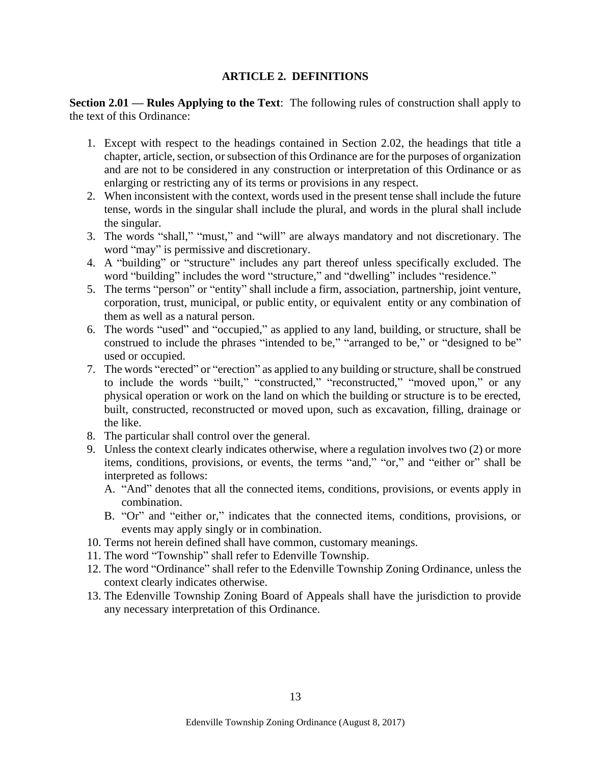#### **ARTICLE 2. DEFINITIONS**

<span id="page-12-1"></span><span id="page-12-0"></span>**Section 2.01 — Rules Applying to the Text**: The following rules of construction shall apply to the text of this Ordinance:

- 1. Except with respect to the headings contained in Section 2.02, the headings that title a chapter, article, section, or subsection of this Ordinance are for the purposes of organization and are not to be considered in any construction or interpretation of this Ordinance or as enlarging or restricting any of its terms or provisions in any respect.
- 2. When inconsistent with the context, words used in the present tense shall include the future tense, words in the singular shall include the plural, and words in the plural shall include the singular.
- 3. The words "shall," "must," and "will" are always mandatory and not discretionary. The word "may" is permissive and discretionary.
- 4. A "building" or "structure" includes any part thereof unless specifically excluded. The word "building" includes the word "structure," and "dwelling" includes "residence."
- 5. The terms "person" or "entity" shall include a firm, association, partnership, joint venture, corporation, trust, municipal, or public entity, or equivalent entity or any combination of them as well as a natural person.
- 6. The words "used" and "occupied," as applied to any land, building, or structure, shall be construed to include the phrases "intended to be," "arranged to be," or "designed to be" used or occupied.
- 7. The words "erected" or "erection" as applied to any building or structure, shall be construed to include the words "built," "constructed," "reconstructed," "moved upon," or any physical operation or work on the land on which the building or structure is to be erected, built, constructed, reconstructed or moved upon, such as excavation, filling, drainage or the like.
- 8. The particular shall control over the general.
- 9. Unless the context clearly indicates otherwise, where a regulation involves two (2) or more items, conditions, provisions, or events, the terms "and," "or," and "either or" shall be interpreted as follows:
	- A. "And" denotes that all the connected items, conditions, provisions, or events apply in combination.
	- B. "Or" and "either or," indicates that the connected items, conditions, provisions, or events may apply singly or in combination.
- 10. Terms not herein defined shall have common, customary meanings.
- 11. The word "Township" shall refer to Edenville Township.
- 12. The word "Ordinance" shall refer to the Edenville Township Zoning Ordinance, unless the context clearly indicates otherwise.
- 13. The Edenville Township Zoning Board of Appeals shall have the jurisdiction to provide any necessary interpretation of this Ordinance.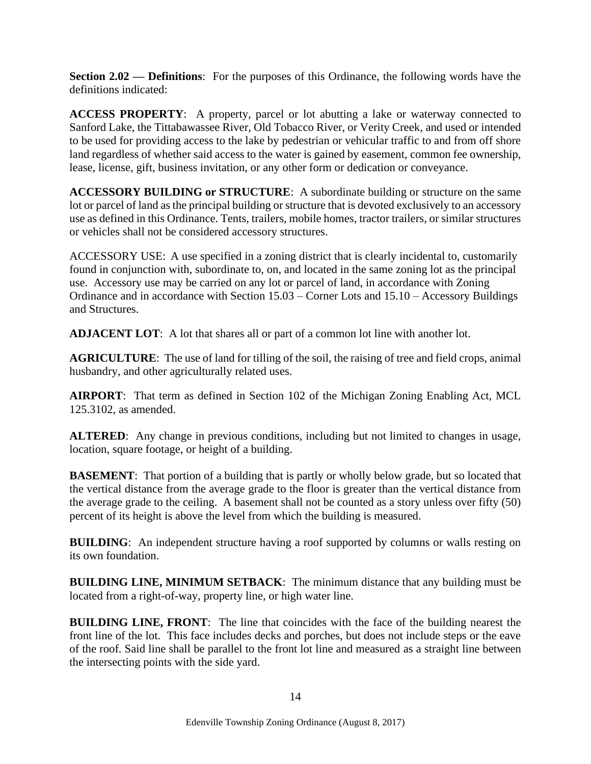<span id="page-13-0"></span>**Section 2.02 — Definitions**: For the purposes of this Ordinance, the following words have the definitions indicated:

**ACCESS PROPERTY**: A property, parcel or lot abutting a lake or waterway connected to Sanford Lake, the Tittabawassee River, Old Tobacco River, or Verity Creek, and used or intended to be used for providing access to the lake by pedestrian or vehicular traffic to and from off shore land regardless of whether said access to the water is gained by easement, common fee ownership, lease, license, gift, business invitation, or any other form or dedication or conveyance.

**ACCESSORY BUILDING or STRUCTURE**: A subordinate building or structure on the same lot or parcel of land as the principal building or structure that is devoted exclusively to an accessory use as defined in this Ordinance. Tents, trailers, mobile homes, tractor trailers, or similar structures or vehicles shall not be considered accessory structures.

ACCESSORY USE: A use specified in a zoning district that is clearly incidental to, customarily found in conjunction with, subordinate to, on, and located in the same zoning lot as the principal use. Accessory use may be carried on any lot or parcel of land, in accordance with Zoning Ordinance and in accordance with Section 15.03 – Corner Lots and 15.10 – Accessory Buildings and Structures.

**ADJACENT LOT**: A lot that shares all or part of a common lot line with another lot.

**AGRICULTURE**: The use of land for tilling of the soil, the raising of tree and field crops, animal husbandry, and other agriculturally related uses.

**AIRPORT**: That term as defined in Section 102 of the Michigan Zoning Enabling Act, MCL 125.3102, as amended.

**ALTERED:** Any change in previous conditions, including but not limited to changes in usage, location, square footage, or height of a building.

**BASEMENT:** That portion of a building that is partly or wholly below grade, but so located that the vertical distance from the average grade to the floor is greater than the vertical distance from the average grade to the ceiling. A basement shall not be counted as a story unless over fifty (50) percent of its height is above the level from which the building is measured.

**BUILDING**: An independent structure having a roof supported by columns or walls resting on its own foundation.

**BUILDING LINE, MINIMUM SETBACK**: The minimum distance that any building must be located from a right-of-way, property line, or high water line.

**BUILDING LINE, FRONT**: The line that coincides with the face of the building nearest the front line of the lot. This face includes decks and porches, but does not include steps or the eave of the roof. Said line shall be parallel to the front lot line and measured as a straight line between the intersecting points with the side yard.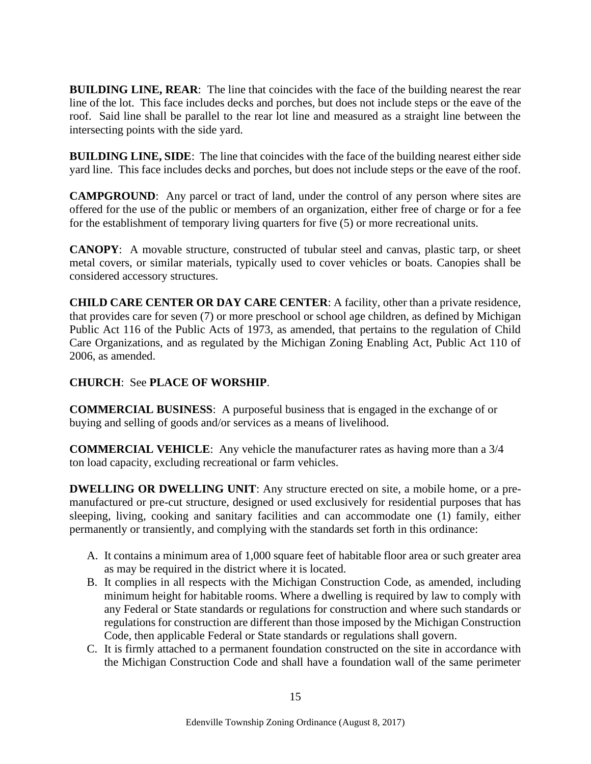**BUILDING LINE, REAR:** The line that coincides with the face of the building nearest the rear line of the lot. This face includes decks and porches, but does not include steps or the eave of the roof. Said line shall be parallel to the rear lot line and measured as a straight line between the intersecting points with the side yard.

**BUILDING LINE, SIDE**: The line that coincides with the face of the building nearest either side yard line. This face includes decks and porches, but does not include steps or the eave of the roof.

**CAMPGROUND**: Any parcel or tract of land, under the control of any person where sites are offered for the use of the public or members of an organization, either free of charge or for a fee for the establishment of temporary living quarters for five (5) or more recreational units.

**CANOPY**: A movable structure, constructed of tubular steel and canvas, plastic tarp, or sheet metal covers, or similar materials, typically used to cover vehicles or boats. Canopies shall be considered accessory structures.

**CHILD CARE CENTER OR DAY CARE CENTER**: A facility, other than a private residence, that provides care for seven (7) or more preschool or school age children, as defined by Michigan Public Act 116 of the Public Acts of 1973, as amended, that pertains to the regulation of Child Care Organizations, and as regulated by the Michigan Zoning Enabling Act, Public Act 110 of 2006, as amended.

#### **CHURCH**: See **PLACE OF WORSHIP**.

**COMMERCIAL BUSINESS**: A purposeful business that is engaged in the exchange of or buying and selling of goods and/or services as a means of livelihood.

**COMMERCIAL VEHICLE**: Any vehicle the manufacturer rates as having more than a 3/4 ton load capacity, excluding recreational or farm vehicles.

**DWELLING OR DWELLING UNIT**: Any structure erected on site, a mobile home, or a premanufactured or pre-cut structure, designed or used exclusively for residential purposes that has sleeping, living, cooking and sanitary facilities and can accommodate one (1) family, either permanently or transiently, and complying with the standards set forth in this ordinance:

- A. It contains a minimum area of 1,000 square feet of habitable floor area or such greater area as may be required in the district where it is located.
- B. It complies in all respects with the Michigan Construction Code, as amended, including minimum height for habitable rooms. Where a dwelling is required by law to comply with any Federal or State standards or regulations for construction and where such standards or regulations for construction are different than those imposed by the Michigan Construction Code, then applicable Federal or State standards or regulations shall govern.
- C. It is firmly attached to a permanent foundation constructed on the site in accordance with the Michigan Construction Code and shall have a foundation wall of the same perimeter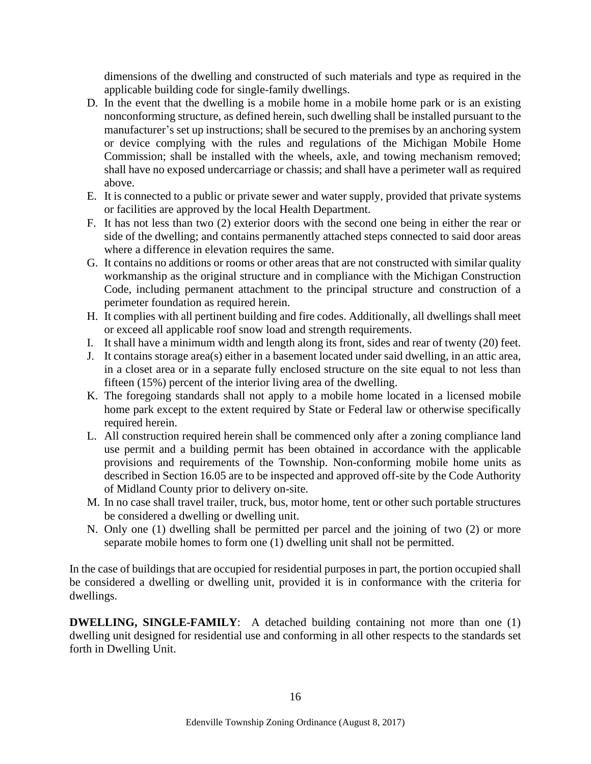dimensions of the dwelling and constructed of such materials and type as required in the applicable building code for single-family dwellings.

- D. In the event that the dwelling is a mobile home in a mobile home park or is an existing nonconforming structure, as defined herein, such dwelling shall be installed pursuant to the manufacturer's set up instructions; shall be secured to the premises by an anchoring system or device complying with the rules and regulations of the Michigan Mobile Home Commission; shall be installed with the wheels, axle, and towing mechanism removed; shall have no exposed undercarriage or chassis; and shall have a perimeter wall as required above.
- E. It is connected to a public or private sewer and water supply, provided that private systems or facilities are approved by the local Health Department.
- F. It has not less than two (2) exterior doors with the second one being in either the rear or side of the dwelling; and contains permanently attached steps connected to said door areas where a difference in elevation requires the same.
- G. It contains no additions or rooms or other areas that are not constructed with similar quality workmanship as the original structure and in compliance with the Michigan Construction Code, including permanent attachment to the principal structure and construction of a perimeter foundation as required herein.
- H. It complies with all pertinent building and fire codes. Additionally, all dwellings shall meet or exceed all applicable roof snow load and strength requirements.
- I. It shall have a minimum width and length along its front, sides and rear of twenty (20) feet.
- J. It contains storage area(s) either in a basement located under said dwelling, in an attic area, in a closet area or in a separate fully enclosed structure on the site equal to not less than fifteen (15%) percent of the interior living area of the dwelling.
- K. The foregoing standards shall not apply to a mobile home located in a licensed mobile home park except to the extent required by State or Federal law or otherwise specifically required herein.
- L. All construction required herein shall be commenced only after a zoning compliance land use permit and a building permit has been obtained in accordance with the applicable provisions and requirements of the Township. Non-conforming mobile home units as described in Section 16.05 are to be inspected and approved off-site by the Code Authority of Midland County prior to delivery on-site.
- M. In no case shall travel trailer, truck, bus, motor home, tent or other such portable structures be considered a dwelling or dwelling unit.
- N. Only one (1) dwelling shall be permitted per parcel and the joining of two (2) or more separate mobile homes to form one (1) dwelling unit shall not be permitted.

In the case of buildings that are occupied for residential purposes in part, the portion occupied shall be considered a dwelling or dwelling unit, provided it is in conformance with the criteria for dwellings.

**DWELLING, SINGLE-FAMILY**: A detached building containing not more than one (1) dwelling unit designed for residential use and conforming in all other respects to the standards set forth in Dwelling Unit.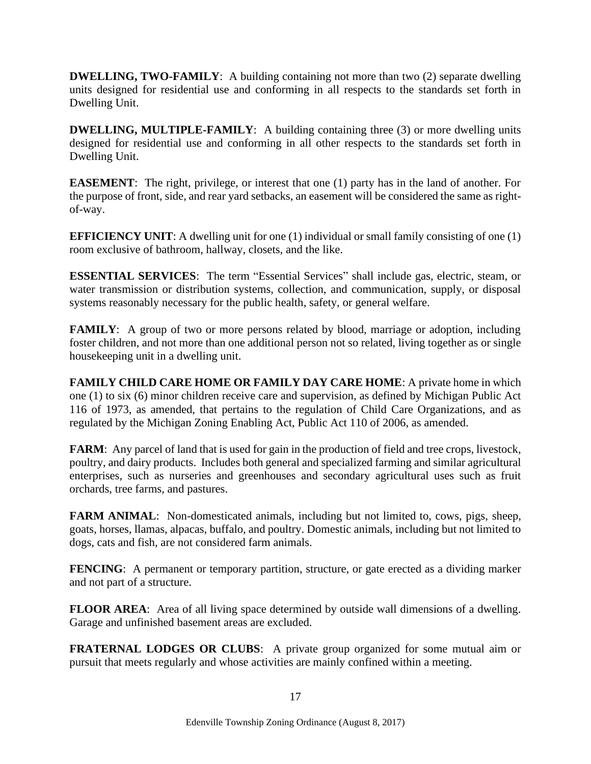**DWELLING, TWO-FAMILY:** A building containing not more than two (2) separate dwelling units designed for residential use and conforming in all respects to the standards set forth in Dwelling Unit.

**DWELLING, MULTIPLE-FAMILY:** A building containing three (3) or more dwelling units designed for residential use and conforming in all other respects to the standards set forth in Dwelling Unit.

**EASEMENT**: The right, privilege, or interest that one (1) party has in the land of another. For the purpose of front, side, and rear yard setbacks, an easement will be considered the same as rightof-way.

**EFFICIENCY UNIT:** A dwelling unit for one (1) individual or small family consisting of one (1) room exclusive of bathroom, hallway, closets, and the like.

**ESSENTIAL SERVICES**: The term "Essential Services" shall include gas, electric, steam, or water transmission or distribution systems, collection, and communication, supply, or disposal systems reasonably necessary for the public health, safety, or general welfare.

**FAMILY**: A group of two or more persons related by blood, marriage or adoption, including foster children, and not more than one additional person not so related, living together as or single housekeeping unit in a dwelling unit.

**FAMILY CHILD CARE HOME OR FAMILY DAY CARE HOME**: A private home in which one (1) to six (6) minor children receive care and supervision, as defined by Michigan Public Act 116 of 1973, as amended, that pertains to the regulation of Child Care Organizations, and as regulated by the Michigan Zoning Enabling Act, Public Act 110 of 2006, as amended.

**FARM**: Any parcel of land that is used for gain in the production of field and tree crops, livestock, poultry, and dairy products. Includes both general and specialized farming and similar agricultural enterprises, such as nurseries and greenhouses and secondary agricultural uses such as fruit orchards, tree farms, and pastures.

**FARM ANIMAL:** Non-domesticated animals, including but not limited to, cows, pigs, sheep, goats, horses, llamas, alpacas, buffalo, and poultry. Domestic animals, including but not limited to dogs, cats and fish, are not considered farm animals.

**FENCING**: A permanent or temporary partition, structure, or gate erected as a dividing marker and not part of a structure.

**FLOOR AREA**: Area of all living space determined by outside wall dimensions of a dwelling. Garage and unfinished basement areas are excluded.

**FRATERNAL LODGES OR CLUBS**: A private group organized for some mutual aim or pursuit that meets regularly and whose activities are mainly confined within a meeting.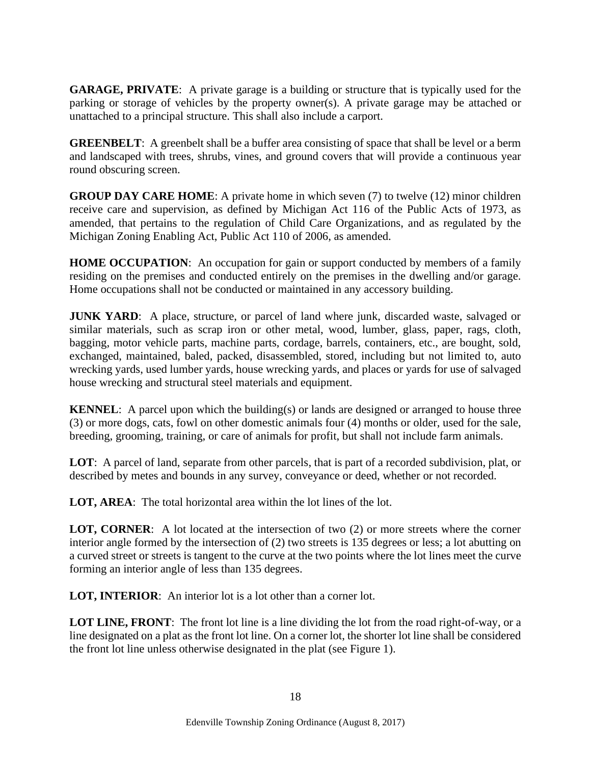**GARAGE, PRIVATE**: A private garage is a building or structure that is typically used for the parking or storage of vehicles by the property owner(s). A private garage may be attached or unattached to a principal structure. This shall also include a carport.

**GREENBELT**: A greenbelt shall be a buffer area consisting of space that shall be level or a berm and landscaped with trees, shrubs, vines, and ground covers that will provide a continuous year round obscuring screen.

**GROUP DAY CARE HOME:** A private home in which seven (7) to twelve (12) minor children receive care and supervision, as defined by Michigan Act 116 of the Public Acts of 1973, as amended, that pertains to the regulation of Child Care Organizations, and as regulated by the Michigan Zoning Enabling Act, Public Act 110 of 2006, as amended.

**HOME OCCUPATION:** An occupation for gain or support conducted by members of a family residing on the premises and conducted entirely on the premises in the dwelling and/or garage. Home occupations shall not be conducted or maintained in any accessory building.

**JUNK YARD**: A place, structure, or parcel of land where junk, discarded waste, salvaged or similar materials, such as scrap iron or other metal, wood, lumber, glass, paper, rags, cloth, bagging, motor vehicle parts, machine parts, cordage, barrels, containers, etc., are bought, sold, exchanged, maintained, baled, packed, disassembled, stored, including but not limited to, auto wrecking yards, used lumber yards, house wrecking yards, and places or yards for use of salvaged house wrecking and structural steel materials and equipment.

**KENNEL**: A parcel upon which the building(s) or lands are designed or arranged to house three (3) or more dogs, cats, fowl on other domestic animals four (4) months or older, used for the sale, breeding, grooming, training, or care of animals for profit, but shall not include farm animals.

**LOT**: A parcel of land, separate from other parcels, that is part of a recorded subdivision, plat, or described by metes and bounds in any survey, conveyance or deed, whether or not recorded.

**LOT, AREA**: The total horizontal area within the lot lines of the lot.

**LOT, CORNER**: A lot located at the intersection of two (2) or more streets where the corner interior angle formed by the intersection of (2) two streets is 135 degrees or less; a lot abutting on a curved street or streets is tangent to the curve at the two points where the lot lines meet the curve forming an interior angle of less than 135 degrees.

**LOT, INTERIOR**: An interior lot is a lot other than a corner lot.

LOT LINE, FRONT: The front lot line is a line dividing the lot from the road right-of-way, or a line designated on a plat as the front lot line. On a corner lot, the shorter lot line shall be considered the front lot line unless otherwise designated in the plat (see Figure 1).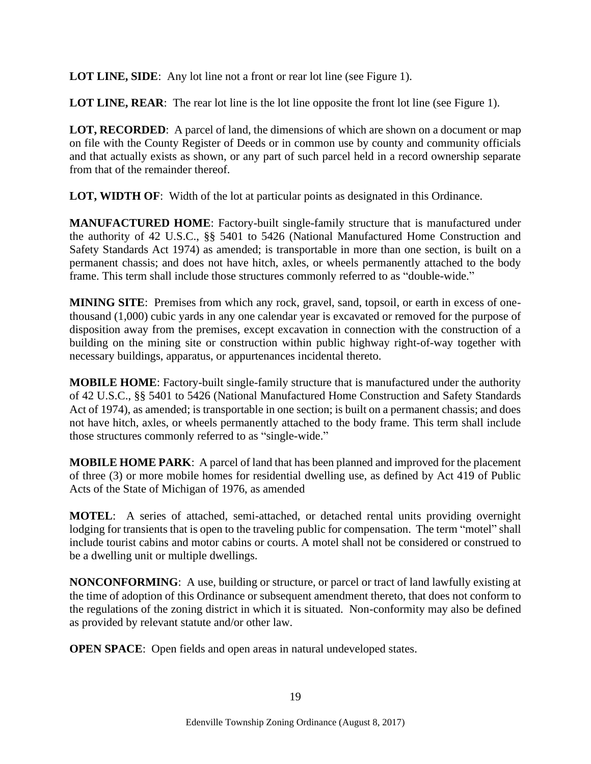**LOT LINE, SIDE:** Any lot line not a front or rear lot line (see Figure 1).

**LOT LINE, REAR:** The rear lot line is the lot line opposite the front lot line (see Figure 1).

**LOT, RECORDED**: A parcel of land, the dimensions of which are shown on a document or map on file with the County Register of Deeds or in common use by county and community officials and that actually exists as shown, or any part of such parcel held in a record ownership separate from that of the remainder thereof.

**LOT, WIDTH OF:** Width of the lot at particular points as designated in this Ordinance.

**MANUFACTURED HOME**: Factory-built single-family structure that is manufactured under the authority of 42 U.S.C., §§ 5401 to 5426 (National Manufactured Home Construction and Safety Standards Act 1974) as amended; is transportable in more than one section, is built on a permanent chassis; and does not have hitch, axles, or wheels permanently attached to the body frame. This term shall include those structures commonly referred to as "double-wide."

**MINING SITE**: Premises from which any rock, gravel, sand, topsoil, or earth in excess of onethousand (1,000) cubic yards in any one calendar year is excavated or removed for the purpose of disposition away from the premises, except excavation in connection with the construction of a building on the mining site or construction within public highway right-of-way together with necessary buildings, apparatus, or appurtenances incidental thereto.

**MOBILE HOME**: Factory-built single-family structure that is manufactured under the authority of 42 U.S.C., §§ 5401 to 5426 (National Manufactured Home Construction and Safety Standards Act of 1974), as amended; is transportable in one section; is built on a permanent chassis; and does not have hitch, axles, or wheels permanently attached to the body frame. This term shall include those structures commonly referred to as "single-wide."

**MOBILE HOME PARK**: A parcel of land that has been planned and improved for the placement of three (3) or more mobile homes for residential dwelling use, as defined by Act 419 of Public Acts of the State of Michigan of 1976, as amended

**MOTEL**: A series of attached, semi-attached, or detached rental units providing overnight lodging for transients that is open to the traveling public for compensation. The term "motel" shall include tourist cabins and motor cabins or courts. A motel shall not be considered or construed to be a dwelling unit or multiple dwellings.

**NONCONFORMING**: A use, building or structure, or parcel or tract of land lawfully existing at the time of adoption of this Ordinance or subsequent amendment thereto, that does not conform to the regulations of the zoning district in which it is situated. Non-conformity may also be defined as provided by relevant statute and/or other law.

**OPEN SPACE:** Open fields and open areas in natural undeveloped states.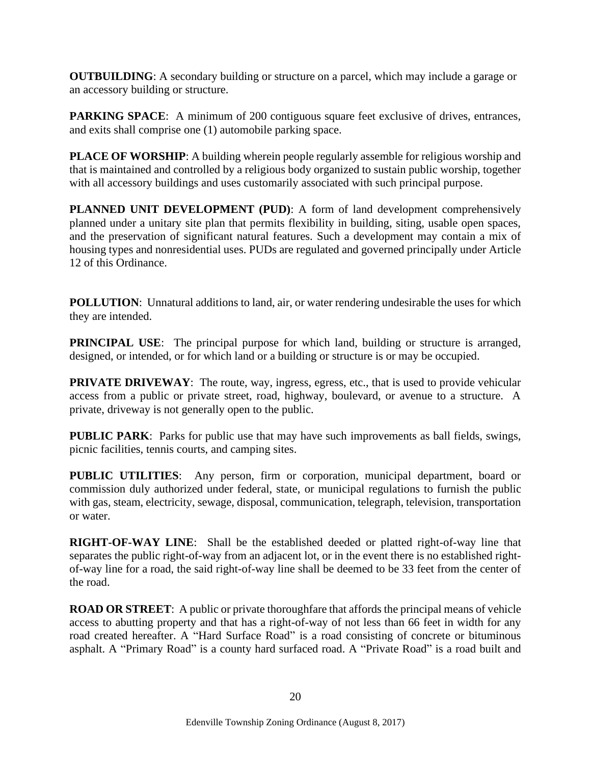**OUTBUILDING:** A secondary building or structure on a parcel, which may include a garage or an accessory building or structure.

**PARKING SPACE:** A minimum of 200 contiguous square feet exclusive of drives, entrances, and exits shall comprise one (1) automobile parking space.

**PLACE OF WORSHIP**: A building wherein people regularly assemble for religious worship and that is maintained and controlled by a religious body organized to sustain public worship, together with all accessory buildings and uses customarily associated with such principal purpose.

**PLANNED UNIT DEVELOPMENT (PUD)**: A form of land development comprehensively planned under a unitary site plan that permits flexibility in building, siting, usable open spaces, and the preservation of significant natural features. Such a development may contain a mix of housing types and nonresidential uses. PUDs are regulated and governed principally under Article 12 of this Ordinance.

**POLLUTION**: Unnatural additions to land, air, or water rendering undesirable the uses for which they are intended.

**PRINCIPAL USE:** The principal purpose for which land, building or structure is arranged, designed, or intended, or for which land or a building or structure is or may be occupied.

**PRIVATE DRIVEWAY:** The route, way, ingress, egress, etc., that is used to provide vehicular access from a public or private street, road, highway, boulevard, or avenue to a structure. A private, driveway is not generally open to the public.

**PUBLIC PARK:** Parks for public use that may have such improvements as ball fields, swings, picnic facilities, tennis courts, and camping sites.

**PUBLIC UTILITIES**: Any person, firm or corporation, municipal department, board or commission duly authorized under federal, state, or municipal regulations to furnish the public with gas, steam, electricity, sewage, disposal, communication, telegraph, television, transportation or water.

**RIGHT-OF-WAY LINE**: Shall be the established deeded or platted right-of-way line that separates the public right-of-way from an adjacent lot, or in the event there is no established rightof-way line for a road, the said right-of-way line shall be deemed to be 33 feet from the center of the road.

**ROAD OR STREET**: A public or private thoroughfare that affords the principal means of vehicle access to abutting property and that has a right-of-way of not less than 66 feet in width for any road created hereafter. A "Hard Surface Road" is a road consisting of concrete or bituminous asphalt. A "Primary Road" is a county hard surfaced road. A "Private Road" is a road built and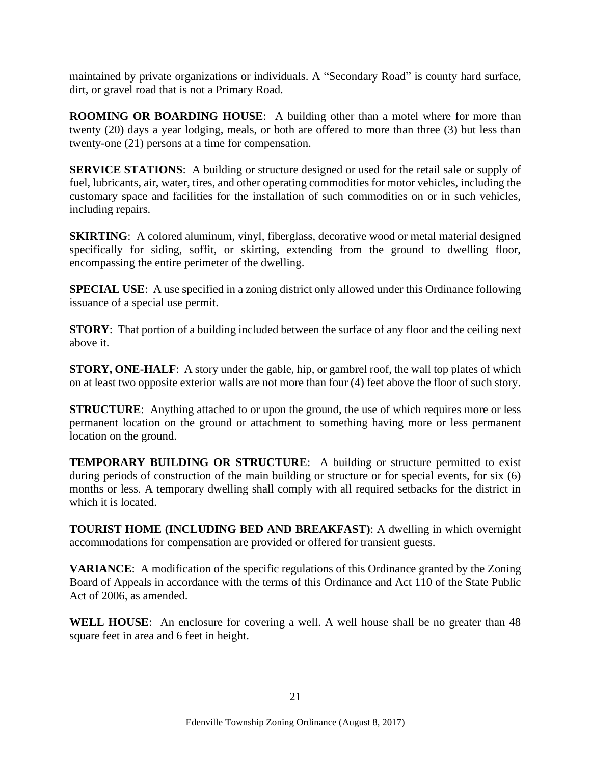maintained by private organizations or individuals. A "Secondary Road" is county hard surface, dirt, or gravel road that is not a Primary Road.

**ROOMING OR BOARDING HOUSE**: A building other than a motel where for more than twenty (20) days a year lodging, meals, or both are offered to more than three (3) but less than twenty-one (21) persons at a time for compensation.

**SERVICE STATIONS:** A building or structure designed or used for the retail sale or supply of fuel, lubricants, air, water, tires, and other operating commodities for motor vehicles, including the customary space and facilities for the installation of such commodities on or in such vehicles, including repairs.

**SKIRTING**: A colored aluminum, vinyl, fiberglass, decorative wood or metal material designed specifically for siding, soffit, or skirting, extending from the ground to dwelling floor, encompassing the entire perimeter of the dwelling.

**SPECIAL USE:** A use specified in a zoning district only allowed under this Ordinance following issuance of a special use permit.

**STORY**: That portion of a building included between the surface of any floor and the ceiling next above it.

**STORY, ONE-HALF:** A story under the gable, hip, or gambrel roof, the wall top plates of which on at least two opposite exterior walls are not more than four (4) feet above the floor of such story.

**STRUCTURE:** Anything attached to or upon the ground, the use of which requires more or less permanent location on the ground or attachment to something having more or less permanent location on the ground.

**TEMPORARY BUILDING OR STRUCTURE**: A building or structure permitted to exist during periods of construction of the main building or structure or for special events, for six (6) months or less. A temporary dwelling shall comply with all required setbacks for the district in which it is located.

**TOURIST HOME (INCLUDING BED AND BREAKFAST)**: A dwelling in which overnight accommodations for compensation are provided or offered for transient guests.

**VARIANCE**: A modification of the specific regulations of this Ordinance granted by the Zoning Board of Appeals in accordance with the terms of this Ordinance and Act 110 of the State Public Act of 2006, as amended.

**WELL HOUSE**: An enclosure for covering a well. A well house shall be no greater than 48 square feet in area and 6 feet in height.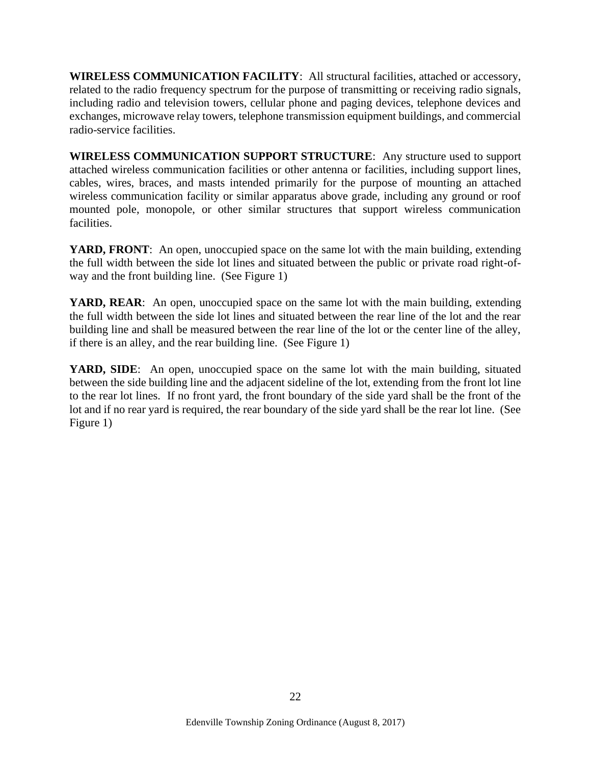**WIRELESS COMMUNICATION FACILITY**: All structural facilities, attached or accessory, related to the radio frequency spectrum for the purpose of transmitting or receiving radio signals, including radio and television towers, cellular phone and paging devices, telephone devices and exchanges, microwave relay towers, telephone transmission equipment buildings, and commercial radio-service facilities.

**WIRELESS COMMUNICATION SUPPORT STRUCTURE**: Any structure used to support attached wireless communication facilities or other antenna or facilities, including support lines, cables, wires, braces, and masts intended primarily for the purpose of mounting an attached wireless communication facility or similar apparatus above grade, including any ground or roof mounted pole, monopole, or other similar structures that support wireless communication facilities.

YARD, FRONT: An open, unoccupied space on the same lot with the main building, extending the full width between the side lot lines and situated between the public or private road right-ofway and the front building line. (See Figure 1)

**YARD, REAR**: An open, unoccupied space on the same lot with the main building, extending the full width between the side lot lines and situated between the rear line of the lot and the rear building line and shall be measured between the rear line of the lot or the center line of the alley, if there is an alley, and the rear building line. (See Figure 1)

**YARD, SIDE**: An open, unoccupied space on the same lot with the main building, situated between the side building line and the adjacent sideline of the lot, extending from the front lot line to the rear lot lines. If no front yard, the front boundary of the side yard shall be the front of the lot and if no rear yard is required, the rear boundary of the side yard shall be the rear lot line. (See Figure 1)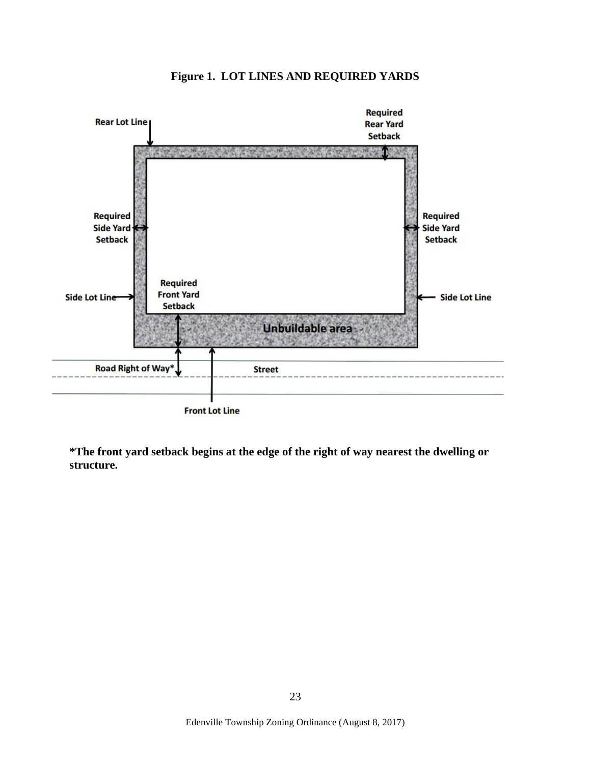

**Figure 1. LOT LINES AND REQUIRED YARDS**

**Front Lot Line** 

<span id="page-22-0"></span>**\*The front yard setback begins at the edge of the right of way nearest the dwelling or structure.**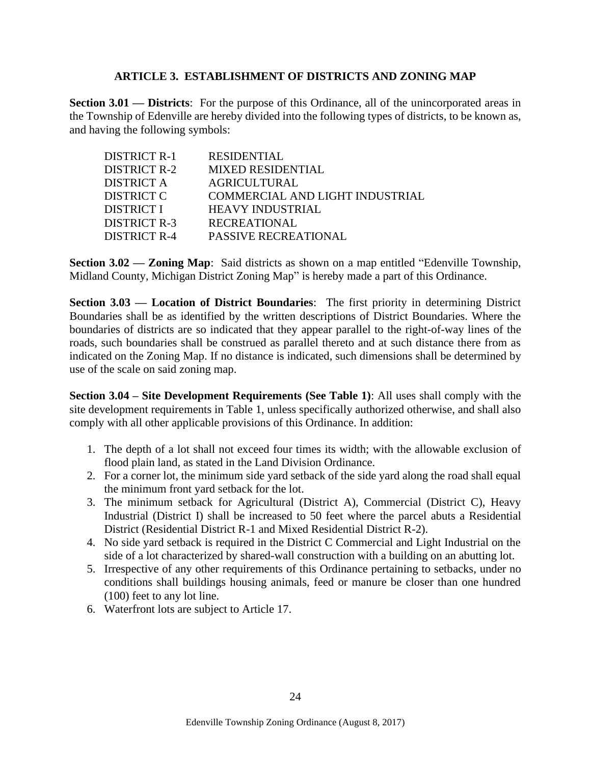#### **ARTICLE 3. ESTABLISHMENT OF DISTRICTS AND ZONING MAP**

<span id="page-23-0"></span>**Section 3.01 — Districts**: For the purpose of this Ordinance, all of the unincorporated areas in the Township of Edenville are hereby divided into the following types of districts, to be known as, and having the following symbols:

| DISTRICT R-1 | <b>RESIDENTIAL</b>              |
|--------------|---------------------------------|
| DISTRICT R-2 | <b>MIXED RESIDENTIAL</b>        |
| DISTRICT A   | <b>AGRICULTURAL</b>             |
| DISTRICT C   | COMMERCIAL AND LIGHT INDUSTRIAL |
| DISTRICT I   | <b>HEAVY INDUSTRIAL</b>         |
| DISTRICT R-3 | <b>RECREATIONAL</b>             |
| DISTRICT R-4 | <b>PASSIVE RECREATIONAL</b>     |
|              |                                 |

<span id="page-23-1"></span>**Section 3.02 — Zoning Map**: Said districts as shown on a map entitled "Edenville Township, Midland County, Michigan District Zoning Map" is hereby made a part of this Ordinance.

<span id="page-23-2"></span>**Section 3.03 — Location of District Boundaries**: The first priority in determining District Boundaries shall be as identified by the written descriptions of District Boundaries. Where the boundaries of districts are so indicated that they appear parallel to the right-of-way lines of the roads, such boundaries shall be construed as parallel thereto and at such distance there from as indicated on the Zoning Map. If no distance is indicated, such dimensions shall be determined by use of the scale on said zoning map.

<span id="page-23-3"></span>**Section 3.04 – Site Development Requirements (See Table 1)**: All uses shall comply with the site development requirements in Table 1, unless specifically authorized otherwise, and shall also comply with all other applicable provisions of this Ordinance. In addition:

- 1. The depth of a lot shall not exceed four times its width; with the allowable exclusion of flood plain land, as stated in the Land Division Ordinance.
- 2. For a corner lot, the minimum side yard setback of the side yard along the road shall equal the minimum front yard setback for the lot.
- 3. The minimum setback for Agricultural (District A), Commercial (District C), Heavy Industrial (District I) shall be increased to 50 feet where the parcel abuts a Residential District (Residential District R-1 and Mixed Residential District R-2).
- 4. No side yard setback is required in the District C Commercial and Light Industrial on the side of a lot characterized by shared-wall construction with a building on an abutting lot.
- 5. Irrespective of any other requirements of this Ordinance pertaining to setbacks, under no conditions shall buildings housing animals, feed or manure be closer than one hundred (100) feet to any lot line.
- 6. Waterfront lots are subject to Article 17.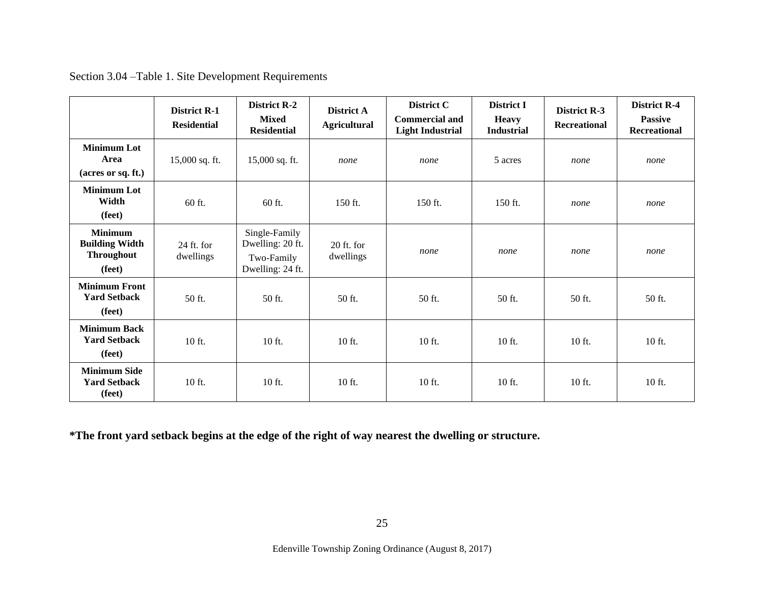|                                                                        | <b>District R-1</b><br><b>Residential</b> | <b>District R-2</b><br><b>Mixed</b><br><b>Residential</b>           | District A<br><b>Agricultural</b> | District C<br><b>Commercial and</b><br><b>Light Industrial</b> | <b>District I</b><br><b>Heavy</b><br><b>Industrial</b> | <b>District R-3</b><br><b>Recreational</b> | <b>District R-4</b><br><b>Passive</b><br><b>Recreational</b> |
|------------------------------------------------------------------------|-------------------------------------------|---------------------------------------------------------------------|-----------------------------------|----------------------------------------------------------------|--------------------------------------------------------|--------------------------------------------|--------------------------------------------------------------|
| <b>Minimum Lot</b><br>Area<br>(acres or sq. ft.)                       | 15,000 sq. ft.                            | 15,000 sq. ft.                                                      | none                              | none                                                           | 5 acres                                                | none                                       | none                                                         |
| <b>Minimum Lot</b><br>Width<br>(feet)                                  | 60 ft.                                    | 60 ft.                                                              | 150 ft.                           | 150 ft.                                                        | 150 ft.                                                | none                                       | none                                                         |
| <b>Minimum</b><br><b>Building Width</b><br><b>Throughout</b><br>(feet) | $24$ ft. for<br>dwellings                 | Single-Family<br>Dwelling: 20 ft.<br>Two-Family<br>Dwelling: 24 ft. | $20$ ft. for<br>dwellings         | none                                                           | none                                                   | none                                       | none                                                         |
| <b>Minimum Front</b><br><b>Yard Setback</b><br>(feet)                  | 50 ft.                                    | 50 ft.                                                              | 50 ft.                            | 50 ft.                                                         | 50 ft.                                                 | 50 ft.                                     | 50 ft.                                                       |
| <b>Minimum Back</b><br><b>Yard Setback</b><br>(feet)                   | 10 ft.                                    | 10 ft.                                                              | 10 ft.                            | 10 ft.                                                         | 10 ft.                                                 | 10 ft.                                     | 10 ft.                                                       |
| <b>Minimum Side</b><br><b>Yard Setback</b><br>(feet)                   | 10 ft.                                    | 10 ft.                                                              | 10 ft.                            | 10 ft.                                                         | 10 ft.                                                 | 10 ft.                                     | 10 ft.                                                       |

Section 3.04 –Table 1. Site Development Requirements

**\*The front yard setback begins at the edge of the right of way nearest the dwelling or structure.**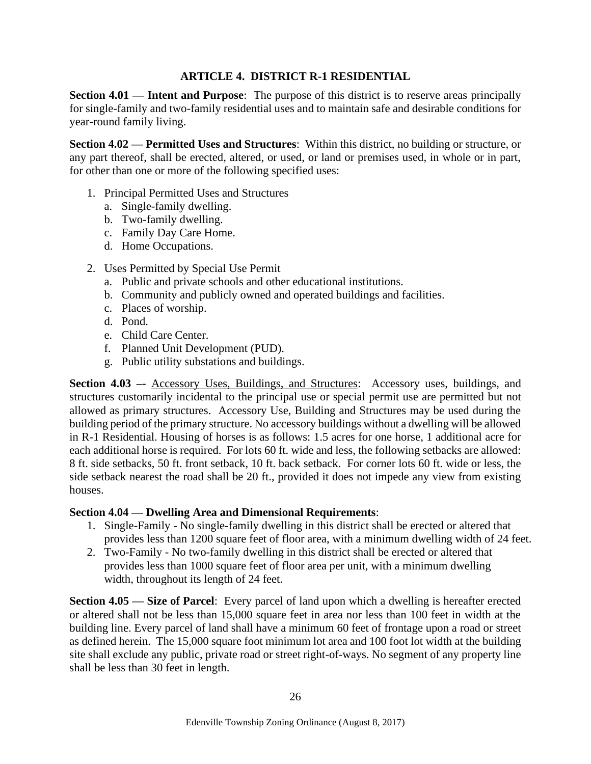#### **ARTICLE 4. DISTRICT R-1 RESIDENTIAL**

<span id="page-25-1"></span><span id="page-25-0"></span>**Section 4.01 — Intent and Purpose**: The purpose of this district is to reserve areas principally for single-family and two-family residential uses and to maintain safe and desirable conditions for year-round family living.

<span id="page-25-2"></span>**Section 4.02 — Permitted Uses and Structures**: Within this district, no building or structure, or any part thereof, shall be erected, altered, or used, or land or premises used, in whole or in part, for other than one or more of the following specified uses:

- 1. Principal Permitted Uses and Structures
	- a. Single-family dwelling.
	- b. Two-family dwelling.
	- c. Family Day Care Home.
	- d. Home Occupations.
- 2. Uses Permitted by Special Use Permit
	- a. Public and private schools and other educational institutions.
	- b. Community and publicly owned and operated buildings and facilities.
	- c. Places of worship.
	- d. Pond.
	- e. Child Care Center.
	- f. Planned Unit Development (PUD).
	- g. Public utility substations and buildings.

<span id="page-25-3"></span>**Section 4.03 –-** Accessory Uses, Buildings, and Structures: Accessory uses, buildings, and structures customarily incidental to the principal use or special permit use are permitted but not allowed as primary structures. Accessory Use, Building and Structures may be used during the building period of the primary structure. No accessory buildings without a dwelling will be allowed in R-1 Residential. Housing of horses is as follows: 1.5 acres for one horse, 1 additional acre for each additional horse is required. For lots 60 ft. wide and less, the following setbacks are allowed: 8 ft. side setbacks, 50 ft. front setback, 10 ft. back setback. For corner lots 60 ft. wide or less, the side setback nearest the road shall be 20 ft., provided it does not impede any view from existing houses.

#### <span id="page-25-4"></span>**Section 4.04 — Dwelling Area and Dimensional Requirements**:

- 1. Single-Family No single-family dwelling in this district shall be erected or altered that provides less than 1200 square feet of floor area, with a minimum dwelling width of 24 feet.
- 2. Two-Family No two-family dwelling in this district shall be erected or altered that provides less than 1000 square feet of floor area per unit, with a minimum dwelling width, throughout its length of 24 feet.

<span id="page-25-5"></span>**Section 4.05 — Size of Parcel**: Every parcel of land upon which a dwelling is hereafter erected or altered shall not be less than 15,000 square feet in area nor less than 100 feet in width at the building line. Every parcel of land shall have a minimum 60 feet of frontage upon a road or street as defined herein. The 15,000 square foot minimum lot area and 100 foot lot width at the building site shall exclude any public, private road or street right-of-ways. No segment of any property line shall be less than 30 feet in length.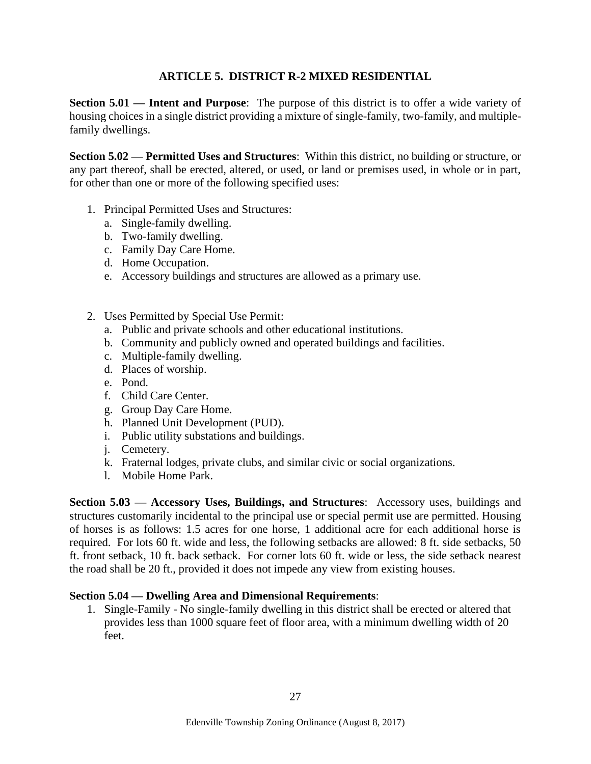#### **ARTICLE 5. DISTRICT R-2 MIXED RESIDENTIAL**

<span id="page-26-1"></span><span id="page-26-0"></span>**Section 5.01 — Intent and Purpose**: The purpose of this district is to offer a wide variety of housing choices in a single district providing a mixture of single-family, two-family, and multiplefamily dwellings.

<span id="page-26-2"></span>**Section 5.02 — Permitted Uses and Structures**: Within this district, no building or structure, or any part thereof, shall be erected, altered, or used, or land or premises used, in whole or in part, for other than one or more of the following specified uses:

- 1. Principal Permitted Uses and Structures:
	- a. Single-family dwelling.
	- b. Two-family dwelling.
	- c. Family Day Care Home.
	- d. Home Occupation.
	- e. Accessory buildings and structures are allowed as a primary use.
- 2. Uses Permitted by Special Use Permit:
	- a. Public and private schools and other educational institutions.
	- b. Community and publicly owned and operated buildings and facilities.
	- c. Multiple-family dwelling.
	- d. Places of worship.
	- e. Pond.
	- f. Child Care Center.
	- g. Group Day Care Home.
	- h. Planned Unit Development (PUD).
	- i. Public utility substations and buildings.
	- j. Cemetery.
	- k. Fraternal lodges, private clubs, and similar civic or social organizations.
	- l. Mobile Home Park.

<span id="page-26-3"></span>**Section 5.03 — Accessory Uses, Buildings, and Structures**: Accessory uses, buildings and structures customarily incidental to the principal use or special permit use are permitted. Housing of horses is as follows: 1.5 acres for one horse, 1 additional acre for each additional horse is required. For lots 60 ft. wide and less, the following setbacks are allowed: 8 ft. side setbacks, 50 ft. front setback, 10 ft. back setback. For corner lots 60 ft. wide or less, the side setback nearest the road shall be 20 ft., provided it does not impede any view from existing houses.

#### <span id="page-26-4"></span>**Section 5.04 — Dwelling Area and Dimensional Requirements**:

1. Single-Family - No single-family dwelling in this district shall be erected or altered that provides less than 1000 square feet of floor area, with a minimum dwelling width of 20 feet.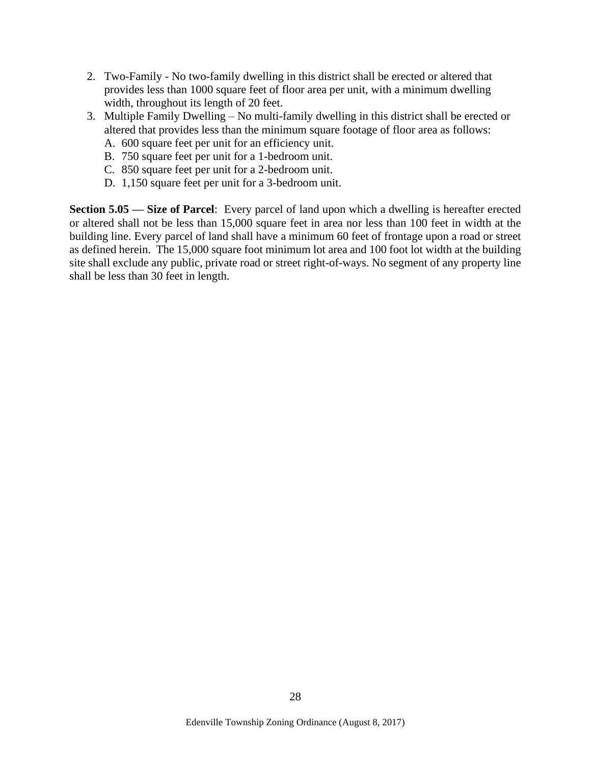- 2. Two-Family No two-family dwelling in this district shall be erected or altered that provides less than 1000 square feet of floor area per unit, with a minimum dwelling width, throughout its length of 20 feet.
- 3. Multiple Family Dwelling No multi-family dwelling in this district shall be erected or altered that provides less than the minimum square footage of floor area as follows:
	- A. 600 square feet per unit for an efficiency unit.
	- B. 750 square feet per unit for a 1-bedroom unit.
	- C. 850 square feet per unit for a 2-bedroom unit.
	- D. 1,150 square feet per unit for a 3-bedroom unit.

**Section 5.05 — Size of Parcel**: Every parcel of land upon which a dwelling is hereafter erected or altered shall not be less than 15,000 square feet in area nor less than 100 feet in width at the building line. Every parcel of land shall have a minimum 60 feet of frontage upon a road or street as defined herein. The 15,000 square foot minimum lot area and 100 foot lot width at the building site shall exclude any public, private road or street right-of-ways. No segment of any property line shall be less than 30 feet in length.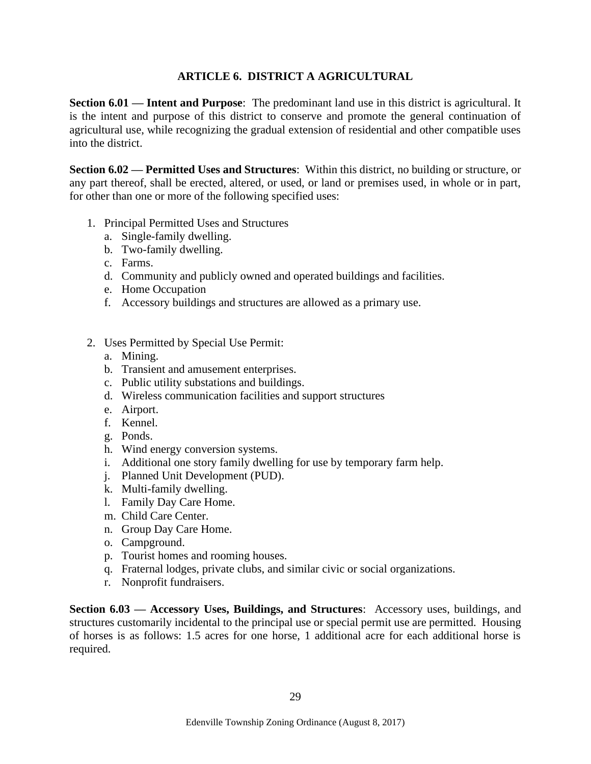#### **ARTICLE 6. DISTRICT A AGRICULTURAL**

<span id="page-28-1"></span><span id="page-28-0"></span>**Section 6.01 — Intent and Purpose**: The predominant land use in this district is agricultural. It is the intent and purpose of this district to conserve and promote the general continuation of agricultural use, while recognizing the gradual extension of residential and other compatible uses into the district.

<span id="page-28-2"></span>**Section 6.02 — Permitted Uses and Structures**: Within this district, no building or structure, or any part thereof, shall be erected, altered, or used, or land or premises used, in whole or in part, for other than one or more of the following specified uses:

- 1. Principal Permitted Uses and Structures
	- a. Single-family dwelling.
	- b. Two-family dwelling.
	- c. Farms.
	- d. Community and publicly owned and operated buildings and facilities.
	- e. Home Occupation
	- f. Accessory buildings and structures are allowed as a primary use.
- 2. Uses Permitted by Special Use Permit:
	- a. Mining.
	- b. Transient and amusement enterprises.
	- c. Public utility substations and buildings.
	- d. Wireless communication facilities and support structures
	- e. Airport.
	- f. Kennel.
	- g. Ponds.
	- h. Wind energy conversion systems.
	- i. Additional one story family dwelling for use by temporary farm help.
	- j. Planned Unit Development (PUD).
	- k. Multi-family dwelling.
	- l. Family Day Care Home.
	- m. Child Care Center.
	- n. Group Day Care Home.
	- o. Campground.
	- p. Tourist homes and rooming houses.
	- q. Fraternal lodges, private clubs, and similar civic or social organizations.
	- r. Nonprofit fundraisers.

<span id="page-28-3"></span>**Section 6.03 — Accessory Uses, Buildings, and Structures**: Accessory uses, buildings, and structures customarily incidental to the principal use or special permit use are permitted. Housing of horses is as follows: 1.5 acres for one horse, 1 additional acre for each additional horse is required.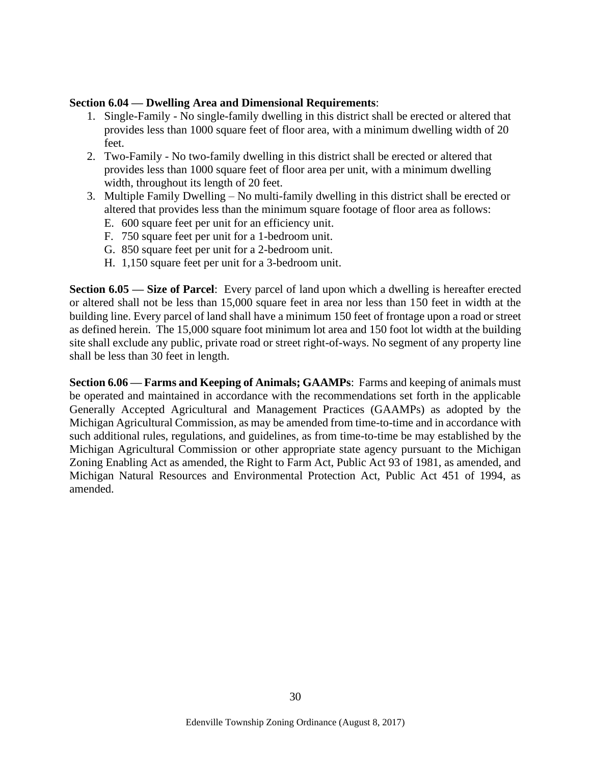#### <span id="page-29-0"></span>**Section 6.04 — Dwelling Area and Dimensional Requirements**:

- 1. Single-Family No single-family dwelling in this district shall be erected or altered that provides less than 1000 square feet of floor area, with a minimum dwelling width of 20 feet.
- 2. Two-Family No two-family dwelling in this district shall be erected or altered that provides less than 1000 square feet of floor area per unit, with a minimum dwelling width, throughout its length of 20 feet.
- 3. Multiple Family Dwelling No multi-family dwelling in this district shall be erected or altered that provides less than the minimum square footage of floor area as follows:
	- E. 600 square feet per unit for an efficiency unit.
	- F. 750 square feet per unit for a 1-bedroom unit.
	- G. 850 square feet per unit for a 2-bedroom unit.
	- H. 1,150 square feet per unit for a 3-bedroom unit.

<span id="page-29-1"></span>**Section 6.05 — Size of Parcel**: Every parcel of land upon which a dwelling is hereafter erected or altered shall not be less than 15,000 square feet in area nor less than 150 feet in width at the building line. Every parcel of land shall have a minimum 150 feet of frontage upon a road or street as defined herein. The 15,000 square foot minimum lot area and 150 foot lot width at the building site shall exclude any public, private road or street right-of-ways. No segment of any property line shall be less than 30 feet in length.

**Section 6.06 — Farms and Keeping of Animals; GAAMPs**: Farms and keeping of animals must be operated and maintained in accordance with the recommendations set forth in the applicable Generally Accepted Agricultural and Management Practices (GAAMPs) as adopted by the Michigan Agricultural Commission, as may be amended from time-to-time and in accordance with such additional rules, regulations, and guidelines, as from time-to-time be may established by the Michigan Agricultural Commission or other appropriate state agency pursuant to the Michigan Zoning Enabling Act as amended, the Right to Farm Act, Public Act 93 of 1981, as amended, and Michigan Natural Resources and Environmental Protection Act, Public Act 451 of 1994, as amended.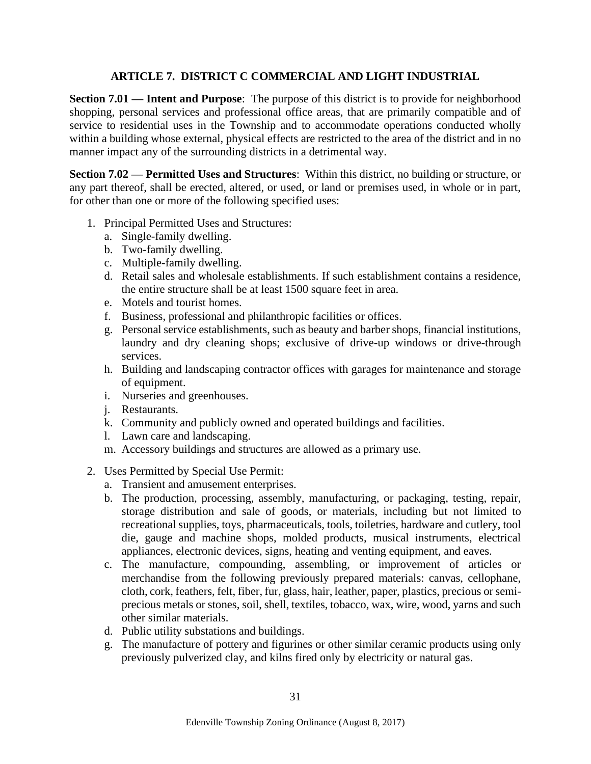#### **ARTICLE 7. DISTRICT C COMMERCIAL AND LIGHT INDUSTRIAL**

<span id="page-30-1"></span><span id="page-30-0"></span>**Section 7.01 — Intent and Purpose**: The purpose of this district is to provide for neighborhood shopping, personal services and professional office areas, that are primarily compatible and of service to residential uses in the Township and to accommodate operations conducted wholly within a building whose external, physical effects are restricted to the area of the district and in no manner impact any of the surrounding districts in a detrimental way.

<span id="page-30-2"></span>**Section 7.02 — Permitted Uses and Structures**: Within this district, no building or structure, or any part thereof, shall be erected, altered, or used, or land or premises used, in whole or in part, for other than one or more of the following specified uses:

- 1. Principal Permitted Uses and Structures:
	- a. Single-family dwelling.
	- b. Two-family dwelling.
	- c. Multiple-family dwelling.
	- d. Retail sales and wholesale establishments. If such establishment contains a residence, the entire structure shall be at least 1500 square feet in area.
	- e. Motels and tourist homes.
	- f. Business, professional and philanthropic facilities or offices.
	- g. Personal service establishments, such as beauty and barber shops, financial institutions, laundry and dry cleaning shops; exclusive of drive-up windows or drive-through services.
	- h. Building and landscaping contractor offices with garages for maintenance and storage of equipment.
	- i. Nurseries and greenhouses.
	- j. Restaurants.
	- k. Community and publicly owned and operated buildings and facilities.
	- l. Lawn care and landscaping.
	- m. Accessory buildings and structures are allowed as a primary use.
- 2. Uses Permitted by Special Use Permit:
	- a. Transient and amusement enterprises.
	- b. The production, processing, assembly, manufacturing, or packaging, testing, repair, storage distribution and sale of goods, or materials, including but not limited to recreational supplies, toys, pharmaceuticals, tools, toiletries, hardware and cutlery, tool die, gauge and machine shops, molded products, musical instruments, electrical appliances, electronic devices, signs, heating and venting equipment, and eaves.
	- c. The manufacture, compounding, assembling, or improvement of articles or merchandise from the following previously prepared materials: canvas, cellophane, cloth, cork, feathers, felt, fiber, fur, glass, hair, leather, paper, plastics, precious or semiprecious metals or stones, soil, shell, textiles, tobacco, wax, wire, wood, yarns and such other similar materials.
	- d. Public utility substations and buildings.
	- g. The manufacture of pottery and figurines or other similar ceramic products using only previously pulverized clay, and kilns fired only by electricity or natural gas.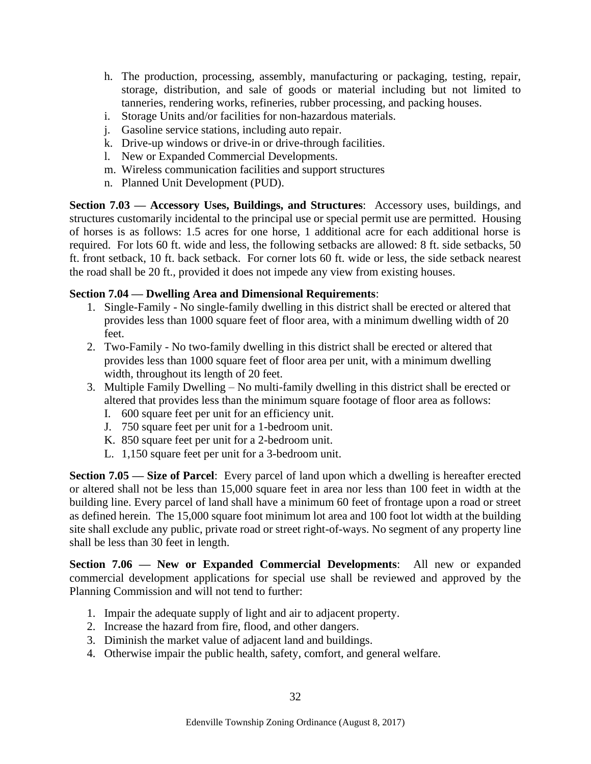- h. The production, processing, assembly, manufacturing or packaging, testing, repair, storage, distribution, and sale of goods or material including but not limited to tanneries, rendering works, refineries, rubber processing, and packing houses.
- i. Storage Units and/or facilities for non-hazardous materials.
- j. Gasoline service stations, including auto repair.
- k. Drive-up windows or drive-in or drive-through facilities.
- l. New or Expanded Commercial Developments.
- m. Wireless communication facilities and support structures
- n. Planned Unit Development (PUD).

<span id="page-31-0"></span>**Section 7.03 — Accessory Uses, Buildings, and Structures**: Accessory uses, buildings, and structures customarily incidental to the principal use or special permit use are permitted. Housing of horses is as follows: 1.5 acres for one horse, 1 additional acre for each additional horse is required. For lots 60 ft. wide and less, the following setbacks are allowed: 8 ft. side setbacks, 50 ft. front setback, 10 ft. back setback. For corner lots 60 ft. wide or less, the side setback nearest the road shall be 20 ft., provided it does not impede any view from existing houses.

#### <span id="page-31-1"></span>**Section 7.04 — Dwelling Area and Dimensional Requirements**:

- 1. Single-Family No single-family dwelling in this district shall be erected or altered that provides less than 1000 square feet of floor area, with a minimum dwelling width of 20 feet.
- 2. Two-Family No two-family dwelling in this district shall be erected or altered that provides less than 1000 square feet of floor area per unit, with a minimum dwelling width, throughout its length of 20 feet.
- 3. Multiple Family Dwelling No multi-family dwelling in this district shall be erected or altered that provides less than the minimum square footage of floor area as follows:
	- I. 600 square feet per unit for an efficiency unit.
	- J. 750 square feet per unit for a 1-bedroom unit.
	- K. 850 square feet per unit for a 2-bedroom unit.
	- L. 1,150 square feet per unit for a 3-bedroom unit.

**Section 7.05 — Size of Parcel**: Every parcel of land upon which a dwelling is hereafter erected or altered shall not be less than 15,000 square feet in area nor less than 100 feet in width at the building line. Every parcel of land shall have a minimum 60 feet of frontage upon a road or street as defined herein. The 15,000 square foot minimum lot area and 100 foot lot width at the building site shall exclude any public, private road or street right-of-ways. No segment of any property line shall be less than 30 feet in length.

<span id="page-31-2"></span>**Section 7.06 — New or Expanded Commercial Developments**: All new or expanded commercial development applications for special use shall be reviewed and approved by the Planning Commission and will not tend to further:

- 1. Impair the adequate supply of light and air to adjacent property.
- 2. Increase the hazard from fire, flood, and other dangers.
- 3. Diminish the market value of adjacent land and buildings.
- 4. Otherwise impair the public health, safety, comfort, and general welfare.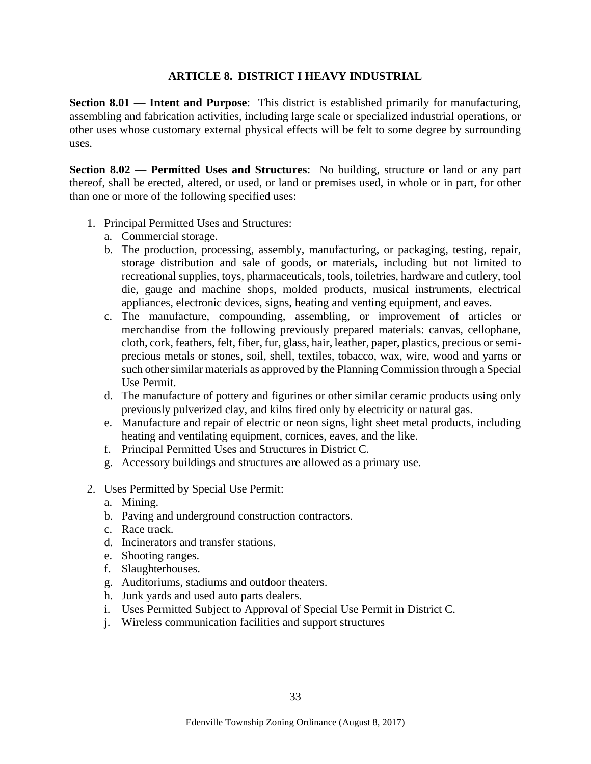#### **ARTICLE 8. DISTRICT I HEAVY INDUSTRIAL**

<span id="page-32-1"></span><span id="page-32-0"></span>**Section 8.01 — Intent and Purpose**: This district is established primarily for manufacturing, assembling and fabrication activities, including large scale or specialized industrial operations, or other uses whose customary external physical effects will be felt to some degree by surrounding uses.

<span id="page-32-2"></span>**Section 8.02 — Permitted Uses and Structures**: No building, structure or land or any part thereof, shall be erected, altered, or used, or land or premises used, in whole or in part, for other than one or more of the following specified uses:

- 1. Principal Permitted Uses and Structures:
	- a. Commercial storage.
	- b. The production, processing, assembly, manufacturing, or packaging, testing, repair, storage distribution and sale of goods, or materials, including but not limited to recreational supplies, toys, pharmaceuticals, tools, toiletries, hardware and cutlery, tool die, gauge and machine shops, molded products, musical instruments, electrical appliances, electronic devices, signs, heating and venting equipment, and eaves.
	- c. The manufacture, compounding, assembling, or improvement of articles or merchandise from the following previously prepared materials: canvas, cellophane, cloth, cork, feathers, felt, fiber, fur, glass, hair, leather, paper, plastics, precious or semiprecious metals or stones, soil, shell, textiles, tobacco, wax, wire, wood and yarns or such other similar materials as approved by the Planning Commission through a Special Use Permit.
	- d. The manufacture of pottery and figurines or other similar ceramic products using only previously pulverized clay, and kilns fired only by electricity or natural gas.
	- e. Manufacture and repair of electric or neon signs, light sheet metal products, including heating and ventilating equipment, cornices, eaves, and the like.
	- f. Principal Permitted Uses and Structures in District C.
	- g. Accessory buildings and structures are allowed as a primary use.
- <span id="page-32-3"></span>2. Uses Permitted by Special Use Permit:
	- a. Mining.
	- b. Paving and underground construction contractors.
	- c. Race track.
	- d. Incinerators and transfer stations.
	- e. Shooting ranges.
	- f. Slaughterhouses.
	- g. Auditoriums, stadiums and outdoor theaters.
	- h. Junk yards and used auto parts dealers.
	- i. Uses Permitted Subject to Approval of Special Use Permit in District C.
	- j. Wireless communication facilities and support structures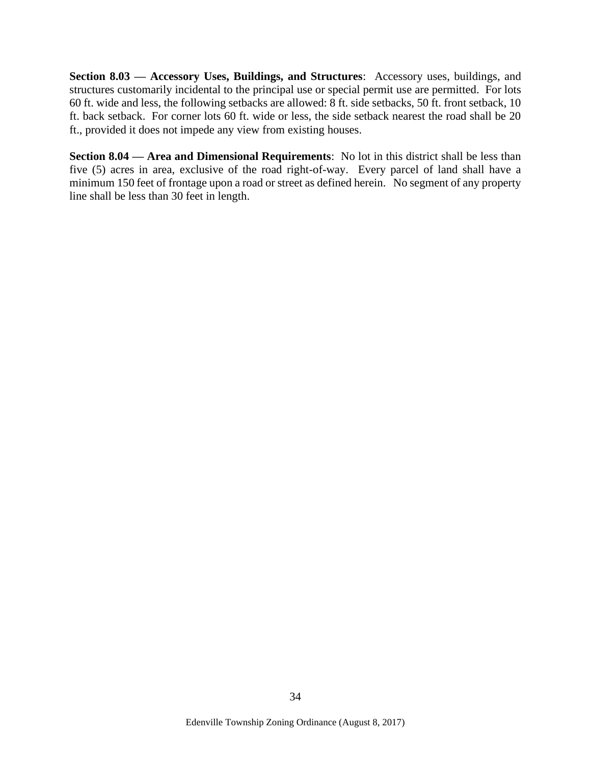**Section 8.03 — Accessory Uses, Buildings, and Structures**: Accessory uses, buildings, and structures customarily incidental to the principal use or special permit use are permitted. For lots 60 ft. wide and less, the following setbacks are allowed: 8 ft. side setbacks, 50 ft. front setback, 10 ft. back setback. For corner lots 60 ft. wide or less, the side setback nearest the road shall be 20 ft., provided it does not impede any view from existing houses.

<span id="page-33-0"></span>**Section 8.04 — Area and Dimensional Requirements**: No lot in this district shall be less than five (5) acres in area, exclusive of the road right-of-way. Every parcel of land shall have a minimum 150 feet of frontage upon a road or street as defined herein. No segment of any property line shall be less than 30 feet in length.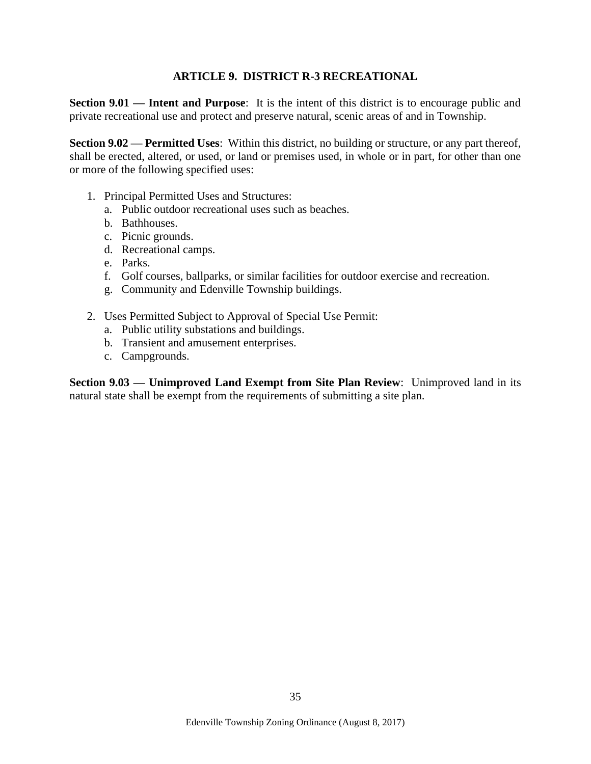#### **ARTICLE 9. DISTRICT R-3 RECREATIONAL**

<span id="page-34-1"></span><span id="page-34-0"></span>**Section 9.01 — Intent and Purpose:** It is the intent of this district is to encourage public and private recreational use and protect and preserve natural, scenic areas of and in Township.

<span id="page-34-2"></span>**Section 9.02 — Permitted Uses**: Within this district, no building or structure, or any part thereof, shall be erected, altered, or used, or land or premises used, in whole or in part, for other than one or more of the following specified uses:

- 1. Principal Permitted Uses and Structures:
	- a. Public outdoor recreational uses such as beaches.
	- b. Bathhouses.
	- c. Picnic grounds.
	- d. Recreational camps.
	- e. Parks.
	- f. Golf courses, ballparks, or similar facilities for outdoor exercise and recreation.
	- g. Community and Edenville Township buildings.
- 2. Uses Permitted Subject to Approval of Special Use Permit:
	- a. Public utility substations and buildings.
	- b. Transient and amusement enterprises.
	- c. Campgrounds.

<span id="page-34-3"></span>**Section 9.03 — Unimproved Land Exempt from Site Plan Review**: Unimproved land in its natural state shall be exempt from the requirements of submitting a site plan.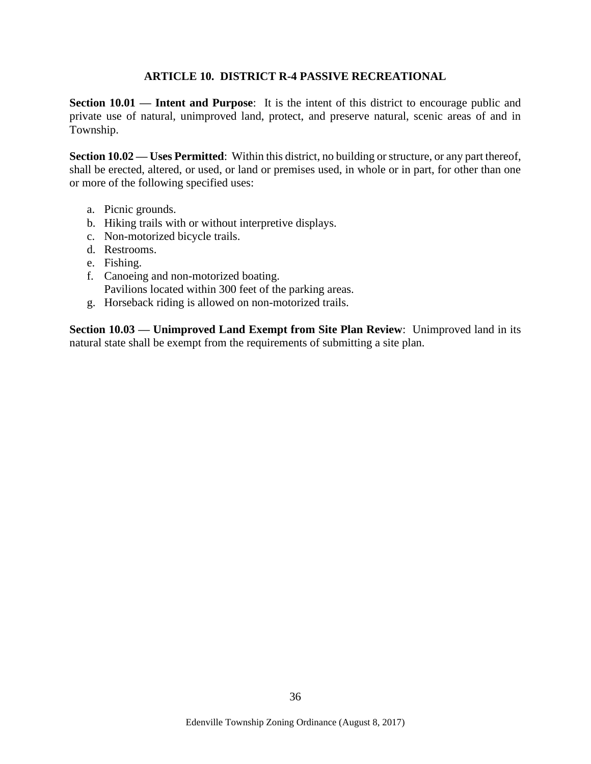#### **ARTICLE 10. DISTRICT R-4 PASSIVE RECREATIONAL**

<span id="page-35-1"></span><span id="page-35-0"></span>**Section 10.01 — Intent and Purpose**: It is the intent of this district to encourage public and private use of natural, unimproved land, protect, and preserve natural, scenic areas of and in Township.

<span id="page-35-2"></span>**Section 10.02 — Uses Permitted**: Within this district, no building or structure, or any part thereof, shall be erected, altered, or used, or land or premises used, in whole or in part, for other than one or more of the following specified uses:

- a. Picnic grounds.
- b. Hiking trails with or without interpretive displays.
- c. Non-motorized bicycle trails.
- d. Restrooms.
- e. Fishing.
- f. Canoeing and non-motorized boating. Pavilions located within 300 feet of the parking areas.
- g. Horseback riding is allowed on non-motorized trails.

<span id="page-35-3"></span>**Section 10.03 — Unimproved Land Exempt from Site Plan Review**: Unimproved land in its natural state shall be exempt from the requirements of submitting a site plan.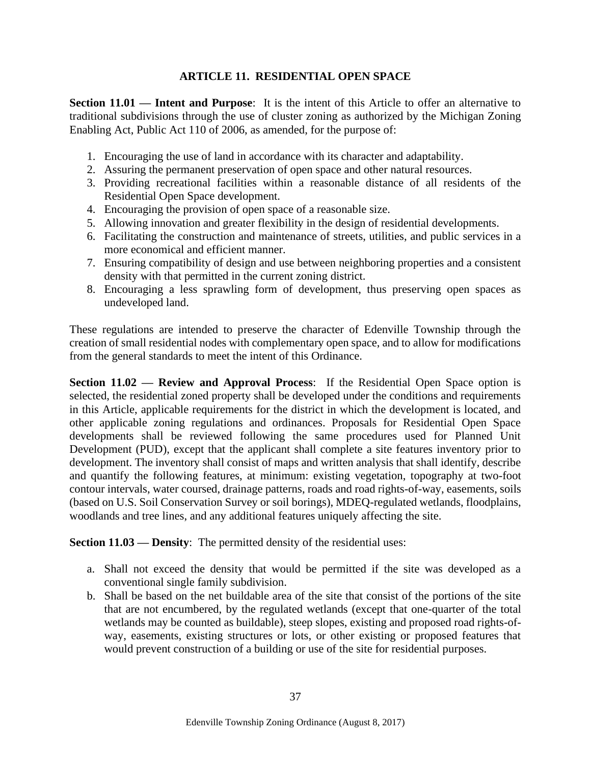# **ARTICLE 11. RESIDENTIAL OPEN SPACE**

**Section 11.01 — Intent and Purpose**: It is the intent of this Article to offer an alternative to traditional subdivisions through the use of cluster zoning as authorized by the Michigan Zoning Enabling Act, Public Act 110 of 2006, as amended, for the purpose of:

- 1. Encouraging the use of land in accordance with its character and adaptability.
- 2. Assuring the permanent preservation of open space and other natural resources.
- 3. Providing recreational facilities within a reasonable distance of all residents of the Residential Open Space development.
- 4. Encouraging the provision of open space of a reasonable size.
- 5. Allowing innovation and greater flexibility in the design of residential developments.
- 6. Facilitating the construction and maintenance of streets, utilities, and public services in a more economical and efficient manner.
- 7. Ensuring compatibility of design and use between neighboring properties and a consistent density with that permitted in the current zoning district.
- 8. Encouraging a less sprawling form of development, thus preserving open spaces as undeveloped land.

These regulations are intended to preserve the character of Edenville Township through the creation of small residential nodes with complementary open space, and to allow for modifications from the general standards to meet the intent of this Ordinance.

**Section 11.02 — Review and Approval Process**: If the Residential Open Space option is selected, the residential zoned property shall be developed under the conditions and requirements in this Article, applicable requirements for the district in which the development is located, and other applicable zoning regulations and ordinances. Proposals for Residential Open Space developments shall be reviewed following the same procedures used for Planned Unit Development (PUD), except that the applicant shall complete a site features inventory prior to development. The inventory shall consist of maps and written analysis that shall identify, describe and quantify the following features, at minimum: existing vegetation, topography at two-foot contour intervals, water coursed, drainage patterns, roads and road rights-of-way, easements, soils (based on U.S. Soil Conservation Survey or soil borings), MDEQ-regulated wetlands, floodplains, woodlands and tree lines, and any additional features uniquely affecting the site.

**Section 11.03 — Density:** The permitted density of the residential uses:

- a. Shall not exceed the density that would be permitted if the site was developed as a conventional single family subdivision.
- b. Shall be based on the net buildable area of the site that consist of the portions of the site that are not encumbered, by the regulated wetlands (except that one-quarter of the total wetlands may be counted as buildable), steep slopes, existing and proposed road rights-ofway, easements, existing structures or lots, or other existing or proposed features that would prevent construction of a building or use of the site for residential purposes.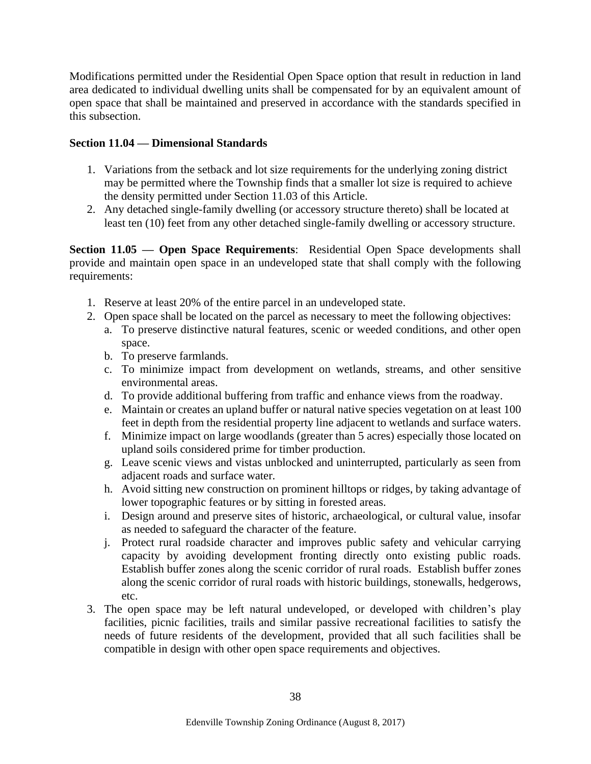Modifications permitted under the Residential Open Space option that result in reduction in land area dedicated to individual dwelling units shall be compensated for by an equivalent amount of open space that shall be maintained and preserved in accordance with the standards specified in this subsection.

## **Section 11.04 — Dimensional Standards**

- 1. Variations from the setback and lot size requirements for the underlying zoning district may be permitted where the Township finds that a smaller lot size is required to achieve the density permitted under Section 11.03 of this Article.
- 2. Any detached single-family dwelling (or accessory structure thereto) shall be located at least ten (10) feet from any other detached single-family dwelling or accessory structure.

**Section 11.05 — Open Space Requirements**: Residential Open Space developments shall provide and maintain open space in an undeveloped state that shall comply with the following requirements:

- 1. Reserve at least 20% of the entire parcel in an undeveloped state.
- 2. Open space shall be located on the parcel as necessary to meet the following objectives:
	- a. To preserve distinctive natural features, scenic or weeded conditions, and other open space.
	- b. To preserve farmlands.
	- c. To minimize impact from development on wetlands, streams, and other sensitive environmental areas.
	- d. To provide additional buffering from traffic and enhance views from the roadway.
	- e. Maintain or creates an upland buffer or natural native species vegetation on at least 100 feet in depth from the residential property line adjacent to wetlands and surface waters.
	- f. Minimize impact on large woodlands (greater than 5 acres) especially those located on upland soils considered prime for timber production.
	- g. Leave scenic views and vistas unblocked and uninterrupted, particularly as seen from adjacent roads and surface water.
	- h. Avoid sitting new construction on prominent hilltops or ridges, by taking advantage of lower topographic features or by sitting in forested areas.
	- i. Design around and preserve sites of historic, archaeological, or cultural value, insofar as needed to safeguard the character of the feature.
	- j. Protect rural roadside character and improves public safety and vehicular carrying capacity by avoiding development fronting directly onto existing public roads. Establish buffer zones along the scenic corridor of rural roads. Establish buffer zones along the scenic corridor of rural roads with historic buildings, stonewalls, hedgerows, etc.
- 3. The open space may be left natural undeveloped, or developed with children's play facilities, picnic facilities, trails and similar passive recreational facilities to satisfy the needs of future residents of the development, provided that all such facilities shall be compatible in design with other open space requirements and objectives.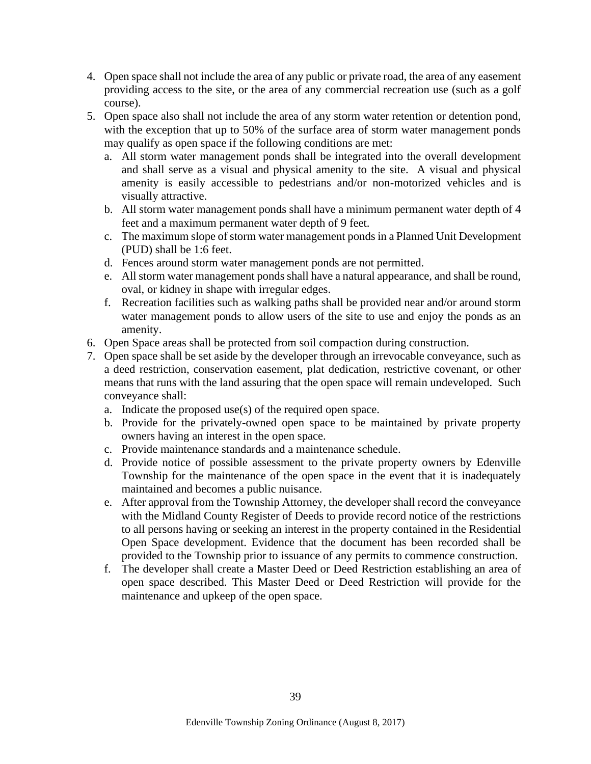- 4. Open space shall not include the area of any public or private road, the area of any easement providing access to the site, or the area of any commercial recreation use (such as a golf course).
- 5. Open space also shall not include the area of any storm water retention or detention pond, with the exception that up to 50% of the surface area of storm water management ponds may qualify as open space if the following conditions are met:
	- a. All storm water management ponds shall be integrated into the overall development and shall serve as a visual and physical amenity to the site. A visual and physical amenity is easily accessible to pedestrians and/or non-motorized vehicles and is visually attractive.
	- b. All storm water management ponds shall have a minimum permanent water depth of 4 feet and a maximum permanent water depth of 9 feet.
	- c. The maximum slope of storm water management ponds in a Planned Unit Development (PUD) shall be 1:6 feet.
	- d. Fences around storm water management ponds are not permitted.
	- e. All storm water management ponds shall have a natural appearance, and shall be round, oval, or kidney in shape with irregular edges.
	- f. Recreation facilities such as walking paths shall be provided near and/or around storm water management ponds to allow users of the site to use and enjoy the ponds as an amenity.
- 6. Open Space areas shall be protected from soil compaction during construction.
- 7. Open space shall be set aside by the developer through an irrevocable conveyance, such as a deed restriction, conservation easement, plat dedication, restrictive covenant, or other means that runs with the land assuring that the open space will remain undeveloped. Such conveyance shall:
	- a. Indicate the proposed use(s) of the required open space.
	- b. Provide for the privately-owned open space to be maintained by private property owners having an interest in the open space.
	- c. Provide maintenance standards and a maintenance schedule.
	- d. Provide notice of possible assessment to the private property owners by Edenville Township for the maintenance of the open space in the event that it is inadequately maintained and becomes a public nuisance.
	- e. After approval from the Township Attorney, the developer shall record the conveyance with the Midland County Register of Deeds to provide record notice of the restrictions to all persons having or seeking an interest in the property contained in the Residential Open Space development. Evidence that the document has been recorded shall be provided to the Township prior to issuance of any permits to commence construction.
	- f. The developer shall create a Master Deed or Deed Restriction establishing an area of open space described. This Master Deed or Deed Restriction will provide for the maintenance and upkeep of the open space.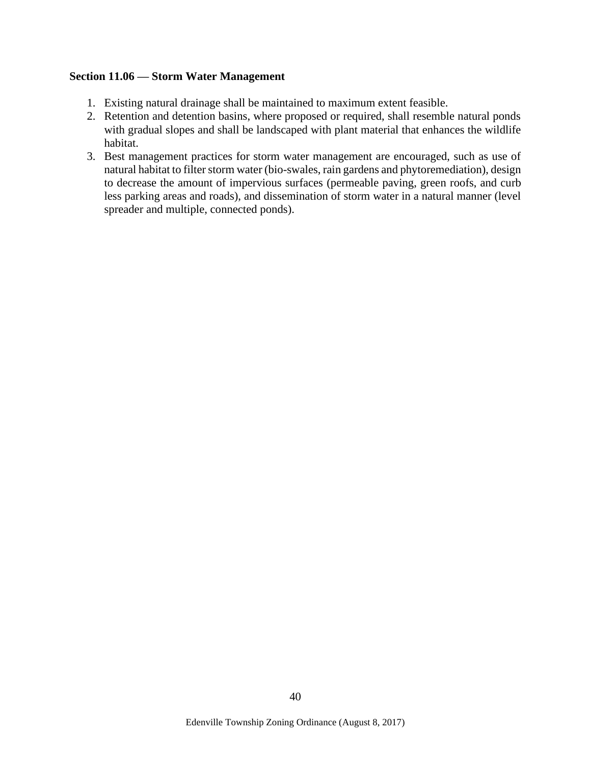#### **Section 11.06 — Storm Water Management**

- 1. Existing natural drainage shall be maintained to maximum extent feasible.
- 2. Retention and detention basins, where proposed or required, shall resemble natural ponds with gradual slopes and shall be landscaped with plant material that enhances the wildlife habitat.
- 3. Best management practices for storm water management are encouraged, such as use of natural habitat to filter storm water (bio-swales, rain gardens and phytoremediation), design to decrease the amount of impervious surfaces (permeable paving, green roofs, and curb less parking areas and roads), and dissemination of storm water in a natural manner (level spreader and multiple, connected ponds).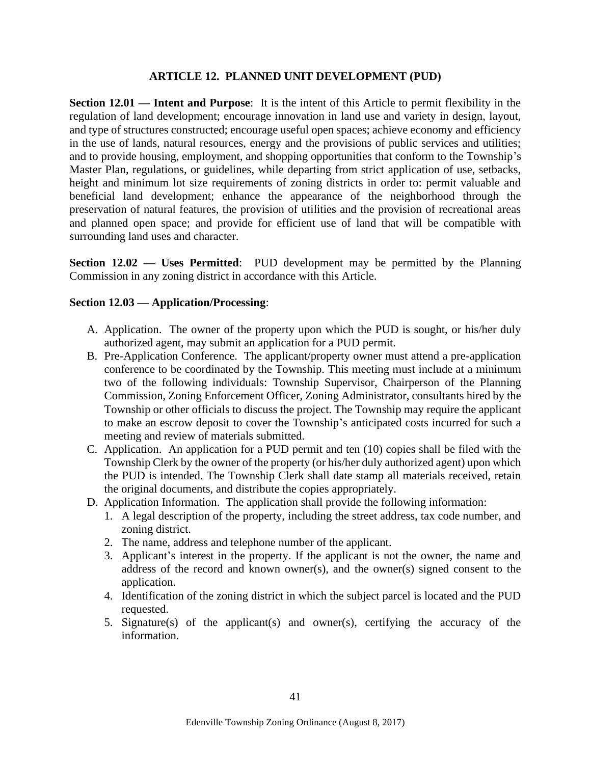#### **ARTICLE 12. PLANNED UNIT DEVELOPMENT (PUD)**

**Section 12.01 — Intent and Purpose**: It is the intent of this Article to permit flexibility in the regulation of land development; encourage innovation in land use and variety in design, layout, and type of structures constructed; encourage useful open spaces; achieve economy and efficiency in the use of lands, natural resources, energy and the provisions of public services and utilities; and to provide housing, employment, and shopping opportunities that conform to the Township's Master Plan, regulations, or guidelines, while departing from strict application of use, setbacks, height and minimum lot size requirements of zoning districts in order to: permit valuable and beneficial land development; enhance the appearance of the neighborhood through the preservation of natural features, the provision of utilities and the provision of recreational areas and planned open space; and provide for efficient use of land that will be compatible with surrounding land uses and character.

**Section 12.02 — Uses Permitted**: PUD development may be permitted by the Planning Commission in any zoning district in accordance with this Article.

### **Section 12.03 — Application/Processing**:

- A. Application. The owner of the property upon which the PUD is sought, or his/her duly authorized agent, may submit an application for a PUD permit.
- B. Pre-Application Conference. The applicant/property owner must attend a pre-application conference to be coordinated by the Township. This meeting must include at a minimum two of the following individuals: Township Supervisor, Chairperson of the Planning Commission, Zoning Enforcement Officer, Zoning Administrator, consultants hired by the Township or other officials to discuss the project. The Township may require the applicant to make an escrow deposit to cover the Township's anticipated costs incurred for such a meeting and review of materials submitted.
- C. Application. An application for a PUD permit and ten (10) copies shall be filed with the Township Clerk by the owner of the property (or his/her duly authorized agent) upon which the PUD is intended. The Township Clerk shall date stamp all materials received, retain the original documents, and distribute the copies appropriately.
- D. Application Information. The application shall provide the following information:
	- 1. A legal description of the property, including the street address, tax code number, and zoning district.
	- 2. The name, address and telephone number of the applicant.
	- 3. Applicant's interest in the property. If the applicant is not the owner, the name and address of the record and known owner(s), and the owner(s) signed consent to the application.
	- 4. Identification of the zoning district in which the subject parcel is located and the PUD requested.
	- 5. Signature(s) of the applicant(s) and owner(s), certifying the accuracy of the information.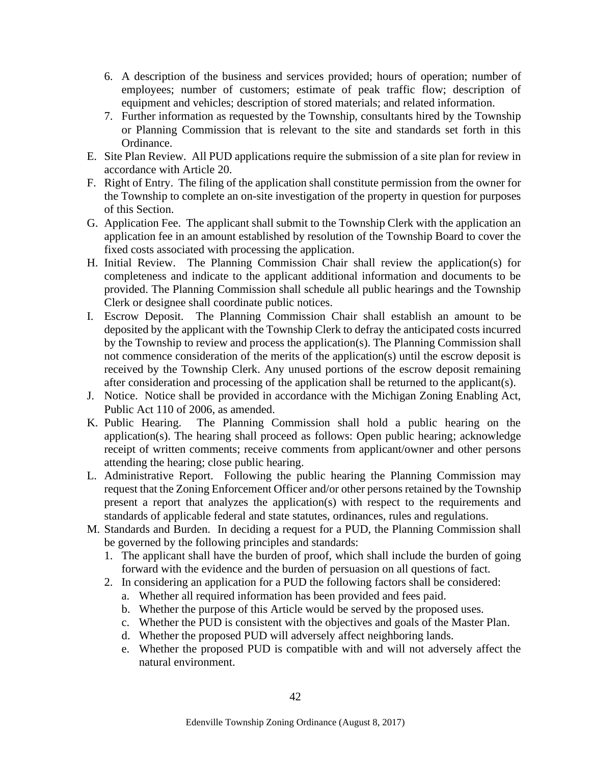- 6. A description of the business and services provided; hours of operation; number of employees; number of customers; estimate of peak traffic flow; description of equipment and vehicles; description of stored materials; and related information.
- 7. Further information as requested by the Township, consultants hired by the Township or Planning Commission that is relevant to the site and standards set forth in this Ordinance.
- E. Site Plan Review. All PUD applications require the submission of a site plan for review in accordance with Article 20.
- F. Right of Entry. The filing of the application shall constitute permission from the owner for the Township to complete an on-site investigation of the property in question for purposes of this Section.
- G. Application Fee. The applicant shall submit to the Township Clerk with the application an application fee in an amount established by resolution of the Township Board to cover the fixed costs associated with processing the application.
- H. Initial Review. The Planning Commission Chair shall review the application(s) for completeness and indicate to the applicant additional information and documents to be provided. The Planning Commission shall schedule all public hearings and the Township Clerk or designee shall coordinate public notices.
- I. Escrow Deposit. The Planning Commission Chair shall establish an amount to be deposited by the applicant with the Township Clerk to defray the anticipated costs incurred by the Township to review and process the application(s). The Planning Commission shall not commence consideration of the merits of the application(s) until the escrow deposit is received by the Township Clerk. Any unused portions of the escrow deposit remaining after consideration and processing of the application shall be returned to the applicant(s).
- J. Notice. Notice shall be provided in accordance with the Michigan Zoning Enabling Act, Public Act 110 of 2006, as amended.
- K. Public Hearing. The Planning Commission shall hold a public hearing on the application(s). The hearing shall proceed as follows: Open public hearing; acknowledge receipt of written comments; receive comments from applicant/owner and other persons attending the hearing; close public hearing.
- L. Administrative Report. Following the public hearing the Planning Commission may request that the Zoning Enforcement Officer and/or other persons retained by the Township present a report that analyzes the application(s) with respect to the requirements and standards of applicable federal and state statutes, ordinances, rules and regulations.
- M. Standards and Burden. In deciding a request for a PUD, the Planning Commission shall be governed by the following principles and standards:
	- 1. The applicant shall have the burden of proof, which shall include the burden of going forward with the evidence and the burden of persuasion on all questions of fact.
	- 2. In considering an application for a PUD the following factors shall be considered:
		- a. Whether all required information has been provided and fees paid.
		- b. Whether the purpose of this Article would be served by the proposed uses.
		- c. Whether the PUD is consistent with the objectives and goals of the Master Plan.
		- d. Whether the proposed PUD will adversely affect neighboring lands.
		- e. Whether the proposed PUD is compatible with and will not adversely affect the natural environment.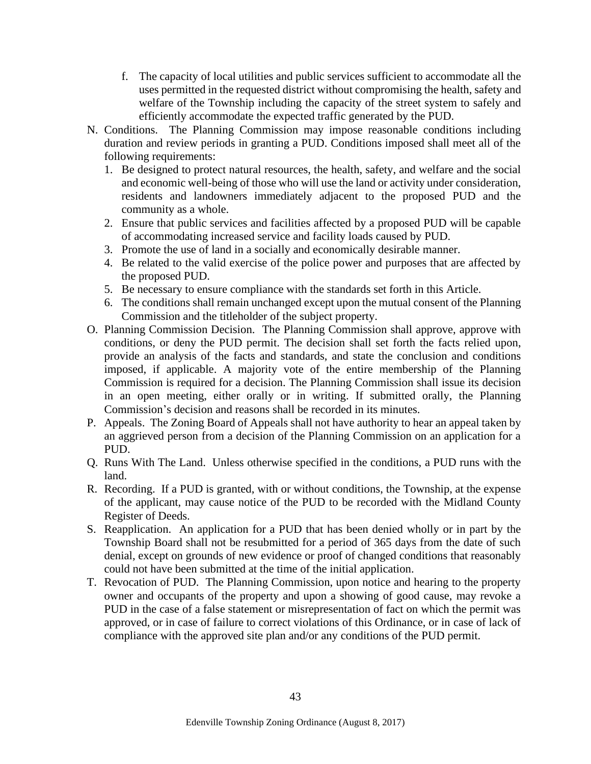- f. The capacity of local utilities and public services sufficient to accommodate all the uses permitted in the requested district without compromising the health, safety and welfare of the Township including the capacity of the street system to safely and efficiently accommodate the expected traffic generated by the PUD.
- N. Conditions. The Planning Commission may impose reasonable conditions including duration and review periods in granting a PUD. Conditions imposed shall meet all of the following requirements:
	- 1. Be designed to protect natural resources, the health, safety, and welfare and the social and economic well-being of those who will use the land or activity under consideration, residents and landowners immediately adjacent to the proposed PUD and the community as a whole.
	- 2. Ensure that public services and facilities affected by a proposed PUD will be capable of accommodating increased service and facility loads caused by PUD.
	- 3. Promote the use of land in a socially and economically desirable manner.
	- 4. Be related to the valid exercise of the police power and purposes that are affected by the proposed PUD.
	- 5. Be necessary to ensure compliance with the standards set forth in this Article.
	- 6. The conditions shall remain unchanged except upon the mutual consent of the Planning Commission and the titleholder of the subject property.
- O. Planning Commission Decision. The Planning Commission shall approve, approve with conditions, or deny the PUD permit. The decision shall set forth the facts relied upon, provide an analysis of the facts and standards, and state the conclusion and conditions imposed, if applicable. A majority vote of the entire membership of the Planning Commission is required for a decision. The Planning Commission shall issue its decision in an open meeting, either orally or in writing. If submitted orally, the Planning Commission's decision and reasons shall be recorded in its minutes.
- P. Appeals. The Zoning Board of Appeals shall not have authority to hear an appeal taken by an aggrieved person from a decision of the Planning Commission on an application for a PUD.
- Q. Runs With The Land. Unless otherwise specified in the conditions, a PUD runs with the land.
- R. Recording. If a PUD is granted, with or without conditions, the Township, at the expense of the applicant, may cause notice of the PUD to be recorded with the Midland County Register of Deeds.
- S. Reapplication. An application for a PUD that has been denied wholly or in part by the Township Board shall not be resubmitted for a period of 365 days from the date of such denial, except on grounds of new evidence or proof of changed conditions that reasonably could not have been submitted at the time of the initial application.
- T. Revocation of PUD. The Planning Commission, upon notice and hearing to the property owner and occupants of the property and upon a showing of good cause, may revoke a PUD in the case of a false statement or misrepresentation of fact on which the permit was approved, or in case of failure to correct violations of this Ordinance, or in case of lack of compliance with the approved site plan and/or any conditions of the PUD permit.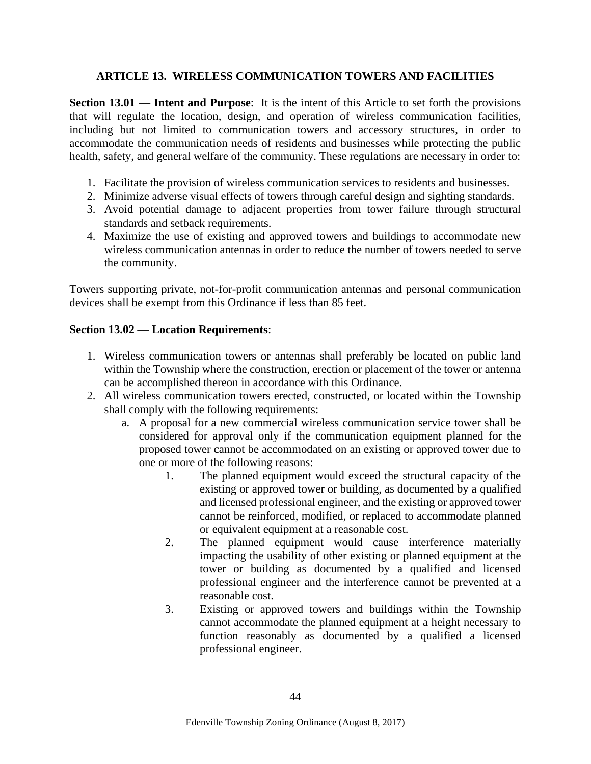### **ARTICLE 13. WIRELESS COMMUNICATION TOWERS AND FACILITIES**

**Section 13.01 — Intent and Purpose**: It is the intent of this Article to set forth the provisions that will regulate the location, design, and operation of wireless communication facilities, including but not limited to communication towers and accessory structures, in order to accommodate the communication needs of residents and businesses while protecting the public health, safety, and general welfare of the community. These regulations are necessary in order to:

- 1. Facilitate the provision of wireless communication services to residents and businesses.
- 2. Minimize adverse visual effects of towers through careful design and sighting standards.
- 3. Avoid potential damage to adjacent properties from tower failure through structural standards and setback requirements.
- 4. Maximize the use of existing and approved towers and buildings to accommodate new wireless communication antennas in order to reduce the number of towers needed to serve the community.

Towers supporting private, not-for-profit communication antennas and personal communication devices shall be exempt from this Ordinance if less than 85 feet.

### **Section 13.02 — Location Requirements**:

- 1. Wireless communication towers or antennas shall preferably be located on public land within the Township where the construction, erection or placement of the tower or antenna can be accomplished thereon in accordance with this Ordinance.
- 2. All wireless communication towers erected, constructed, or located within the Township shall comply with the following requirements:
	- a. A proposal for a new commercial wireless communication service tower shall be considered for approval only if the communication equipment planned for the proposed tower cannot be accommodated on an existing or approved tower due to one or more of the following reasons:
		- 1. The planned equipment would exceed the structural capacity of the existing or approved tower or building, as documented by a qualified and licensed professional engineer, and the existing or approved tower cannot be reinforced, modified, or replaced to accommodate planned or equivalent equipment at a reasonable cost.
		- 2. The planned equipment would cause interference materially impacting the usability of other existing or planned equipment at the tower or building as documented by a qualified and licensed professional engineer and the interference cannot be prevented at a reasonable cost.
		- 3. Existing or approved towers and buildings within the Township cannot accommodate the planned equipment at a height necessary to function reasonably as documented by a qualified a licensed professional engineer.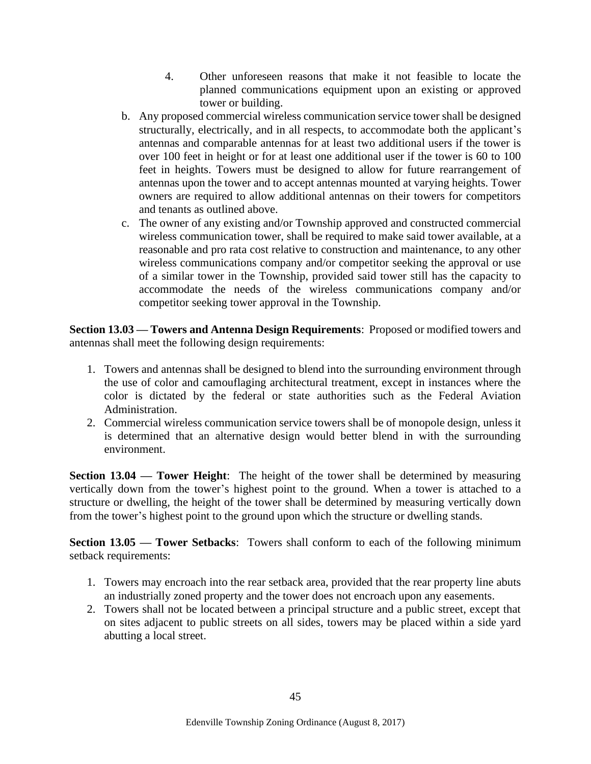- 4. Other unforeseen reasons that make it not feasible to locate the planned communications equipment upon an existing or approved tower or building.
- b. Any proposed commercial wireless communication service tower shall be designed structurally, electrically, and in all respects, to accommodate both the applicant's antennas and comparable antennas for at least two additional users if the tower is over 100 feet in height or for at least one additional user if the tower is 60 to 100 feet in heights. Towers must be designed to allow for future rearrangement of antennas upon the tower and to accept antennas mounted at varying heights. Tower owners are required to allow additional antennas on their towers for competitors and tenants as outlined above.
- c. The owner of any existing and/or Township approved and constructed commercial wireless communication tower, shall be required to make said tower available, at a reasonable and pro rata cost relative to construction and maintenance, to any other wireless communications company and/or competitor seeking the approval or use of a similar tower in the Township, provided said tower still has the capacity to accommodate the needs of the wireless communications company and/or competitor seeking tower approval in the Township.

**Section 13.03 — Towers and Antenna Design Requirements**: Proposed or modified towers and antennas shall meet the following design requirements:

- 1. Towers and antennas shall be designed to blend into the surrounding environment through the use of color and camouflaging architectural treatment, except in instances where the color is dictated by the federal or state authorities such as the Federal Aviation Administration.
- 2. Commercial wireless communication service towers shall be of monopole design, unless it is determined that an alternative design would better blend in with the surrounding environment.

**Section 13.04 — Tower Height**: The height of the tower shall be determined by measuring vertically down from the tower's highest point to the ground. When a tower is attached to a structure or dwelling, the height of the tower shall be determined by measuring vertically down from the tower's highest point to the ground upon which the structure or dwelling stands.

**Section 13.05 — Tower Setbacks**: Towers shall conform to each of the following minimum setback requirements:

- 1. Towers may encroach into the rear setback area, provided that the rear property line abuts an industrially zoned property and the tower does not encroach upon any easements.
- 2. Towers shall not be located between a principal structure and a public street, except that on sites adjacent to public streets on all sides, towers may be placed within a side yard abutting a local street.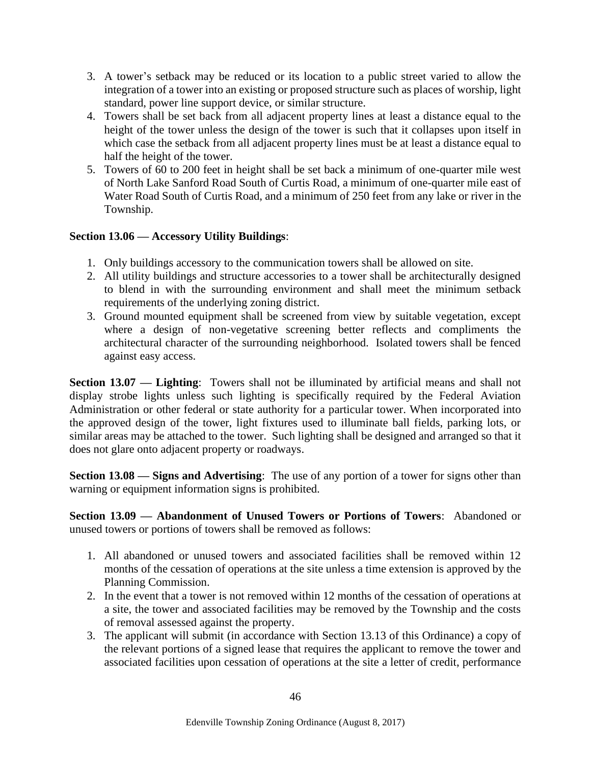- 3. A tower's setback may be reduced or its location to a public street varied to allow the integration of a tower into an existing or proposed structure such as places of worship, light standard, power line support device, or similar structure.
- 4. Towers shall be set back from all adjacent property lines at least a distance equal to the height of the tower unless the design of the tower is such that it collapses upon itself in which case the setback from all adjacent property lines must be at least a distance equal to half the height of the tower.
- 5. Towers of 60 to 200 feet in height shall be set back a minimum of one-quarter mile west of North Lake Sanford Road South of Curtis Road, a minimum of one-quarter mile east of Water Road South of Curtis Road, and a minimum of 250 feet from any lake or river in the Township.

# **Section 13.06 — Accessory Utility Buildings**:

- 1. Only buildings accessory to the communication towers shall be allowed on site.
- 2. All utility buildings and structure accessories to a tower shall be architecturally designed to blend in with the surrounding environment and shall meet the minimum setback requirements of the underlying zoning district.
- 3. Ground mounted equipment shall be screened from view by suitable vegetation, except where a design of non-vegetative screening better reflects and compliments the architectural character of the surrounding neighborhood. Isolated towers shall be fenced against easy access.

**Section 13.07 — Lighting**: Towers shall not be illuminated by artificial means and shall not display strobe lights unless such lighting is specifically required by the Federal Aviation Administration or other federal or state authority for a particular tower. When incorporated into the approved design of the tower, light fixtures used to illuminate ball fields, parking lots, or similar areas may be attached to the tower. Such lighting shall be designed and arranged so that it does not glare onto adjacent property or roadways.

**Section 13.08 — Signs and Advertising**: The use of any portion of a tower for signs other than warning or equipment information signs is prohibited.

**Section 13.09 — Abandonment of Unused Towers or Portions of Towers**: Abandoned or unused towers or portions of towers shall be removed as follows:

- 1. All abandoned or unused towers and associated facilities shall be removed within 12 months of the cessation of operations at the site unless a time extension is approved by the Planning Commission.
- 2. In the event that a tower is not removed within 12 months of the cessation of operations at a site, the tower and associated facilities may be removed by the Township and the costs of removal assessed against the property.
- 3. The applicant will submit (in accordance with Section 13.13 of this Ordinance) a copy of the relevant portions of a signed lease that requires the applicant to remove the tower and associated facilities upon cessation of operations at the site a letter of credit, performance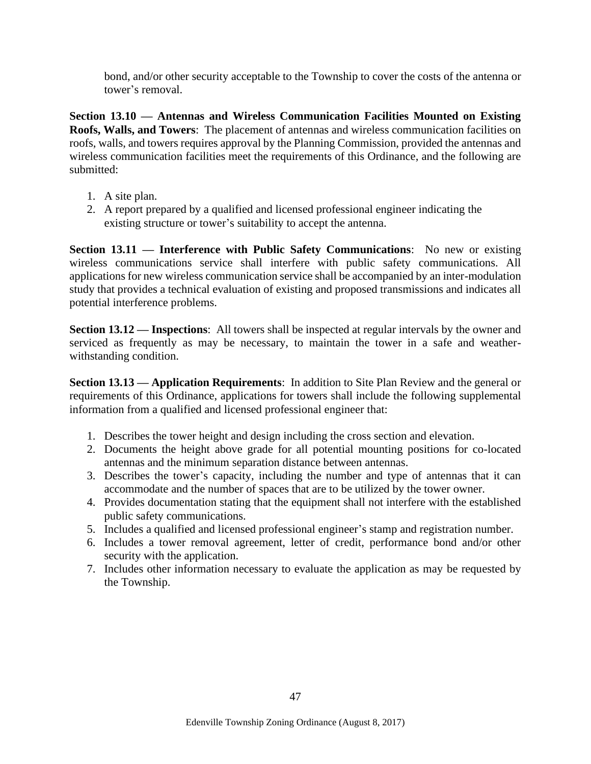bond, and/or other security acceptable to the Township to cover the costs of the antenna or tower's removal.

**Section 13.10 — Antennas and Wireless Communication Facilities Mounted on Existing Roofs, Walls, and Towers**: The placement of antennas and wireless communication facilities on roofs, walls, and towers requires approval by the Planning Commission, provided the antennas and wireless communication facilities meet the requirements of this Ordinance, and the following are submitted:

- 1. A site plan.
- 2. A report prepared by a qualified and licensed professional engineer indicating the existing structure or tower's suitability to accept the antenna.

**Section 13.11 — Interference with Public Safety Communications**: No new or existing wireless communications service shall interfere with public safety communications. All applications for new wireless communication service shall be accompanied by an inter-modulation study that provides a technical evaluation of existing and proposed transmissions and indicates all potential interference problems.

**Section 13.12 — Inspections**: All towers shall be inspected at regular intervals by the owner and serviced as frequently as may be necessary, to maintain the tower in a safe and weatherwithstanding condition.

**Section 13.13 — Application Requirements**: In addition to Site Plan Review and the general or requirements of this Ordinance, applications for towers shall include the following supplemental information from a qualified and licensed professional engineer that:

- 1. Describes the tower height and design including the cross section and elevation.
- 2. Documents the height above grade for all potential mounting positions for co-located antennas and the minimum separation distance between antennas.
- 3. Describes the tower's capacity, including the number and type of antennas that it can accommodate and the number of spaces that are to be utilized by the tower owner.
- 4. Provides documentation stating that the equipment shall not interfere with the established public safety communications.
- 5. Includes a qualified and licensed professional engineer's stamp and registration number.
- 6. Includes a tower removal agreement, letter of credit, performance bond and/or other security with the application.
- 7. Includes other information necessary to evaluate the application as may be requested by the Township.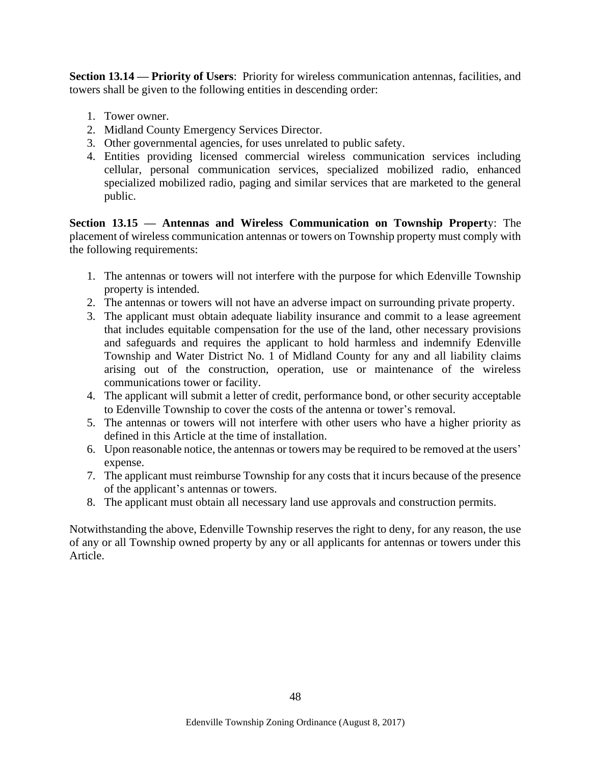**Section 13.14 — Priority of Users**: Priority for wireless communication antennas, facilities, and towers shall be given to the following entities in descending order:

- 1. Tower owner.
- 2. Midland County Emergency Services Director.
- 3. Other governmental agencies, for uses unrelated to public safety.
- 4. Entities providing licensed commercial wireless communication services including cellular, personal communication services, specialized mobilized radio, enhanced specialized mobilized radio, paging and similar services that are marketed to the general public.

**Section 13.15 — Antennas and Wireless Communication on Township Propert**y: The placement of wireless communication antennas or towers on Township property must comply with the following requirements:

- 1. The antennas or towers will not interfere with the purpose for which Edenville Township property is intended.
- 2. The antennas or towers will not have an adverse impact on surrounding private property.
- 3. The applicant must obtain adequate liability insurance and commit to a lease agreement that includes equitable compensation for the use of the land, other necessary provisions and safeguards and requires the applicant to hold harmless and indemnify Edenville Township and Water District No. 1 of Midland County for any and all liability claims arising out of the construction, operation, use or maintenance of the wireless communications tower or facility.
- 4. The applicant will submit a letter of credit, performance bond, or other security acceptable to Edenville Township to cover the costs of the antenna or tower's removal.
- 5. The antennas or towers will not interfere with other users who have a higher priority as defined in this Article at the time of installation.
- 6. Upon reasonable notice, the antennas or towers may be required to be removed at the users' expense.
- 7. The applicant must reimburse Township for any costs that it incurs because of the presence of the applicant's antennas or towers.
- 8. The applicant must obtain all necessary land use approvals and construction permits.

Notwithstanding the above, Edenville Township reserves the right to deny, for any reason, the use of any or all Township owned property by any or all applicants for antennas or towers under this Article.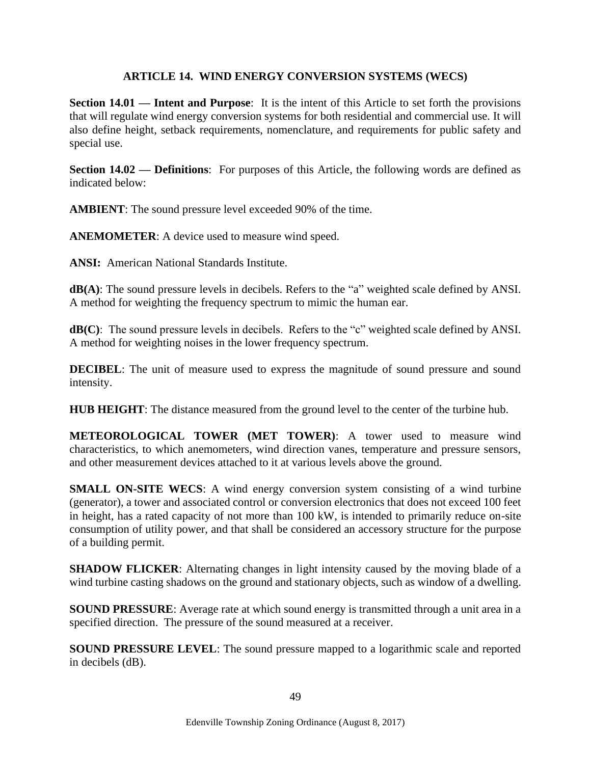### **ARTICLE 14. WIND ENERGY CONVERSION SYSTEMS (WECS)**

**Section 14.01 — Intent and Purpose:** It is the intent of this Article to set forth the provisions that will regulate wind energy conversion systems for both residential and commercial use. It will also define height, setback requirements, nomenclature, and requirements for public safety and special use.

**Section 14.02 — Definitions**: For purposes of this Article, the following words are defined as indicated below:

**AMBIENT**: The sound pressure level exceeded 90% of the time.

**ANEMOMETER**: A device used to measure wind speed.

**ANSI:** American National Standards Institute.

**dB(A)**: The sound pressure levels in decibels. Refers to the "a" weighted scale defined by ANSI. A method for weighting the frequency spectrum to mimic the human ear.

**dB(C)**: The sound pressure levels in decibels. Refers to the "c" weighted scale defined by ANSI. A method for weighting noises in the lower frequency spectrum.

**DECIBEL:** The unit of measure used to express the magnitude of sound pressure and sound intensity.

**HUB HEIGHT**: The distance measured from the ground level to the center of the turbine hub.

**METEOROLOGICAL TOWER (MET TOWER)**: A tower used to measure wind characteristics, to which anemometers, wind direction vanes, temperature and pressure sensors, and other measurement devices attached to it at various levels above the ground.

**SMALL ON-SITE WECS:** A wind energy conversion system consisting of a wind turbine (generator), a tower and associated control or conversion electronics that does not exceed 100 feet in height, has a rated capacity of not more than 100 kW, is intended to primarily reduce on-site consumption of utility power, and that shall be considered an accessory structure for the purpose of a building permit.

**SHADOW FLICKER:** Alternating changes in light intensity caused by the moving blade of a wind turbine casting shadows on the ground and stationary objects, such as window of a dwelling.

**SOUND PRESSURE:** Average rate at which sound energy is transmitted through a unit area in a specified direction. The pressure of the sound measured at a receiver.

**SOUND PRESSURE LEVEL:** The sound pressure mapped to a logarithmic scale and reported in decibels (dB).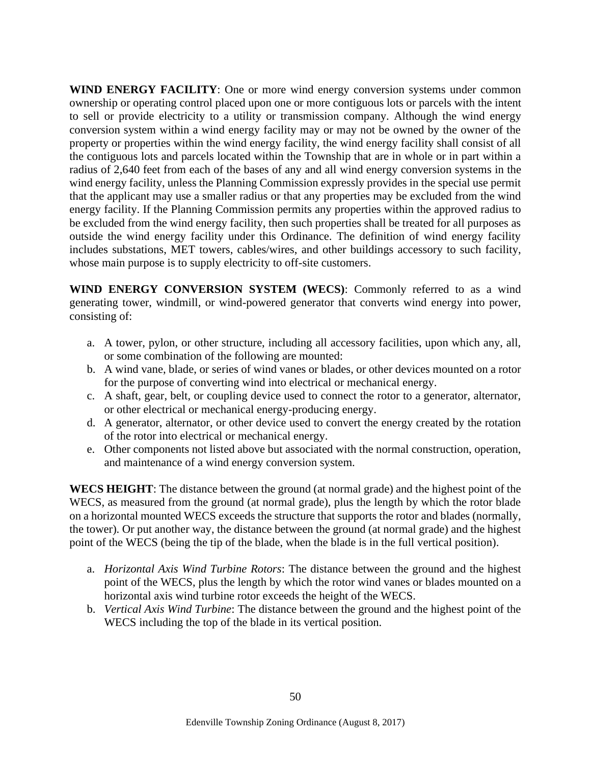**WIND ENERGY FACILITY**: One or more wind energy conversion systems under common ownership or operating control placed upon one or more contiguous lots or parcels with the intent to sell or provide electricity to a utility or transmission company. Although the wind energy conversion system within a wind energy facility may or may not be owned by the owner of the property or properties within the wind energy facility, the wind energy facility shall consist of all the contiguous lots and parcels located within the Township that are in whole or in part within a radius of 2,640 feet from each of the bases of any and all wind energy conversion systems in the wind energy facility, unless the Planning Commission expressly provides in the special use permit that the applicant may use a smaller radius or that any properties may be excluded from the wind energy facility. If the Planning Commission permits any properties within the approved radius to be excluded from the wind energy facility, then such properties shall be treated for all purposes as outside the wind energy facility under this Ordinance. The definition of wind energy facility includes substations, MET towers, cables/wires, and other buildings accessory to such facility, whose main purpose is to supply electricity to off-site customers.

**WIND ENERGY CONVERSION SYSTEM (WECS)**: Commonly referred to as a wind generating tower, windmill, or wind-powered generator that converts wind energy into power, consisting of:

- a. A tower, pylon, or other structure, including all accessory facilities, upon which any, all, or some combination of the following are mounted:
- b. A wind vane, blade, or series of wind vanes or blades, or other devices mounted on a rotor for the purpose of converting wind into electrical or mechanical energy.
- c. A shaft, gear, belt, or coupling device used to connect the rotor to a generator, alternator, or other electrical or mechanical energy-producing energy.
- d. A generator, alternator, or other device used to convert the energy created by the rotation of the rotor into electrical or mechanical energy.
- e. Other components not listed above but associated with the normal construction, operation, and maintenance of a wind energy conversion system.

**WECS HEIGHT**: The distance between the ground (at normal grade) and the highest point of the WECS, as measured from the ground (at normal grade), plus the length by which the rotor blade on a horizontal mounted WECS exceeds the structure that supports the rotor and blades (normally, the tower). Or put another way, the distance between the ground (at normal grade) and the highest point of the WECS (being the tip of the blade, when the blade is in the full vertical position).

- a. *Horizontal Axis Wind Turbine Rotors*: The distance between the ground and the highest point of the WECS, plus the length by which the rotor wind vanes or blades mounted on a horizontal axis wind turbine rotor exceeds the height of the WECS.
- b. *Vertical Axis Wind Turbine*: The distance between the ground and the highest point of the WECS including the top of the blade in its vertical position.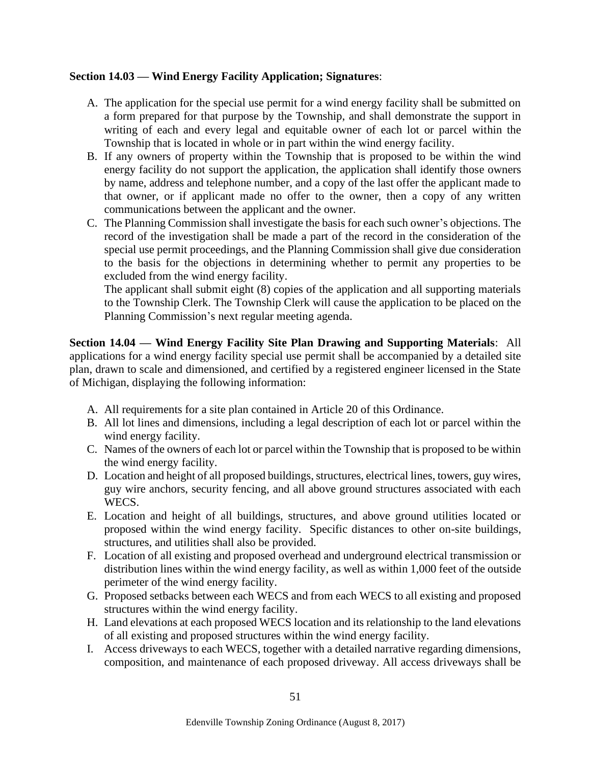### **Section 14.03 — Wind Energy Facility Application; Signatures**:

- A. The application for the special use permit for a wind energy facility shall be submitted on a form prepared for that purpose by the Township, and shall demonstrate the support in writing of each and every legal and equitable owner of each lot or parcel within the Township that is located in whole or in part within the wind energy facility.
- B. If any owners of property within the Township that is proposed to be within the wind energy facility do not support the application, the application shall identify those owners by name, address and telephone number, and a copy of the last offer the applicant made to that owner, or if applicant made no offer to the owner, then a copy of any written communications between the applicant and the owner.
- C. The Planning Commission shall investigate the basis for each such owner's objections. The record of the investigation shall be made a part of the record in the consideration of the special use permit proceedings, and the Planning Commission shall give due consideration to the basis for the objections in determining whether to permit any properties to be excluded from the wind energy facility.

The applicant shall submit eight (8) copies of the application and all supporting materials to the Township Clerk. The Township Clerk will cause the application to be placed on the Planning Commission's next regular meeting agenda.

**Section 14.04 — Wind Energy Facility Site Plan Drawing and Supporting Materials**: All applications for a wind energy facility special use permit shall be accompanied by a detailed site plan, drawn to scale and dimensioned, and certified by a registered engineer licensed in the State of Michigan, displaying the following information:

- A. All requirements for a site plan contained in Article 20 of this Ordinance.
- B. All lot lines and dimensions, including a legal description of each lot or parcel within the wind energy facility.
- C. Names of the owners of each lot or parcel within the Township that is proposed to be within the wind energy facility.
- D. Location and height of all proposed buildings, structures, electrical lines, towers, guy wires, guy wire anchors, security fencing, and all above ground structures associated with each WECS.
- E. Location and height of all buildings, structures, and above ground utilities located or proposed within the wind energy facility. Specific distances to other on-site buildings, structures, and utilities shall also be provided.
- F. Location of all existing and proposed overhead and underground electrical transmission or distribution lines within the wind energy facility, as well as within 1,000 feet of the outside perimeter of the wind energy facility.
- G. Proposed setbacks between each WECS and from each WECS to all existing and proposed structures within the wind energy facility.
- H. Land elevations at each proposed WECS location and its relationship to the land elevations of all existing and proposed structures within the wind energy facility.
- I. Access driveways to each WECS, together with a detailed narrative regarding dimensions, composition, and maintenance of each proposed driveway. All access driveways shall be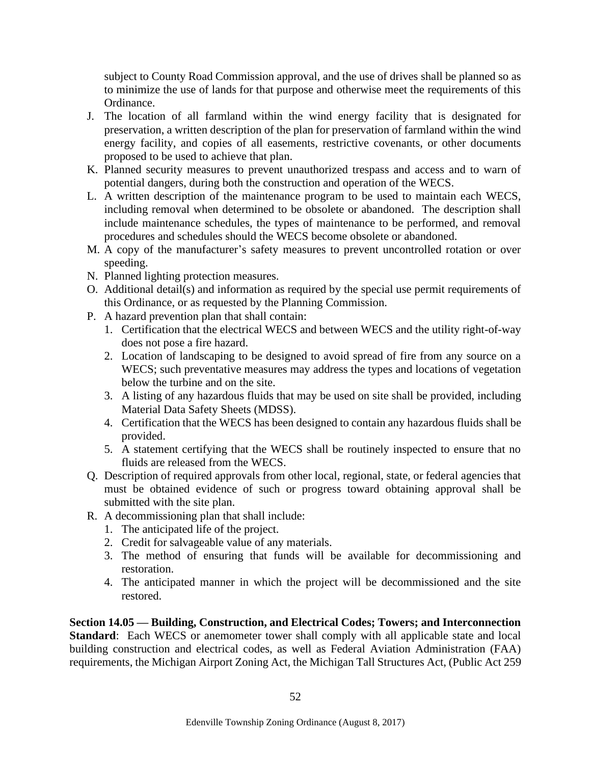subject to County Road Commission approval, and the use of drives shall be planned so as to minimize the use of lands for that purpose and otherwise meet the requirements of this Ordinance.

- J. The location of all farmland within the wind energy facility that is designated for preservation, a written description of the plan for preservation of farmland within the wind energy facility, and copies of all easements, restrictive covenants, or other documents proposed to be used to achieve that plan.
- K. Planned security measures to prevent unauthorized trespass and access and to warn of potential dangers, during both the construction and operation of the WECS.
- L. A written description of the maintenance program to be used to maintain each WECS, including removal when determined to be obsolete or abandoned. The description shall include maintenance schedules, the types of maintenance to be performed, and removal procedures and schedules should the WECS become obsolete or abandoned.
- M. A copy of the manufacturer's safety measures to prevent uncontrolled rotation or over speeding.
- N. Planned lighting protection measures.
- O. Additional detail(s) and information as required by the special use permit requirements of this Ordinance, or as requested by the Planning Commission.
- P. A hazard prevention plan that shall contain:
	- 1. Certification that the electrical WECS and between WECS and the utility right-of-way does not pose a fire hazard.
	- 2. Location of landscaping to be designed to avoid spread of fire from any source on a WECS; such preventative measures may address the types and locations of vegetation below the turbine and on the site.
	- 3. A listing of any hazardous fluids that may be used on site shall be provided, including Material Data Safety Sheets (MDSS).
	- 4. Certification that the WECS has been designed to contain any hazardous fluids shall be provided.
	- 5. A statement certifying that the WECS shall be routinely inspected to ensure that no fluids are released from the WECS.
- Q. Description of required approvals from other local, regional, state, or federal agencies that must be obtained evidence of such or progress toward obtaining approval shall be submitted with the site plan.
- R. A decommissioning plan that shall include:
	- 1. The anticipated life of the project.
	- 2. Credit for salvageable value of any materials.
	- 3. The method of ensuring that funds will be available for decommissioning and restoration.
	- 4. The anticipated manner in which the project will be decommissioned and the site restored.

**Section 14.05 — Building, Construction, and Electrical Codes; Towers; and Interconnection Standard:** Each WECS or anemometer tower shall comply with all applicable state and local building construction and electrical codes, as well as Federal Aviation Administration (FAA) requirements, the Michigan Airport Zoning Act, the Michigan Tall Structures Act, (Public Act 259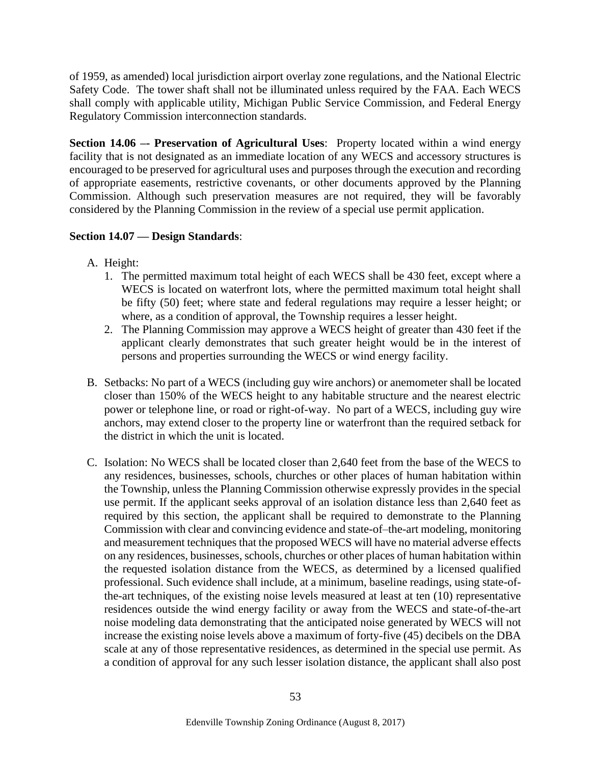of 1959, as amended) local jurisdiction airport overlay zone regulations, and the National Electric Safety Code. The tower shaft shall not be illuminated unless required by the FAA. Each WECS shall comply with applicable utility, Michigan Public Service Commission, and Federal Energy Regulatory Commission interconnection standards.

**Section 14.06 –- Preservation of Agricultural Uses**: Property located within a wind energy facility that is not designated as an immediate location of any WECS and accessory structures is encouraged to be preserved for agricultural uses and purposes through the execution and recording of appropriate easements, restrictive covenants, or other documents approved by the Planning Commission. Although such preservation measures are not required, they will be favorably considered by the Planning Commission in the review of a special use permit application.

# **Section 14.07 — Design Standards**:

- A. Height:
	- 1. The permitted maximum total height of each WECS shall be 430 feet, except where a WECS is located on waterfront lots, where the permitted maximum total height shall be fifty (50) feet; where state and federal regulations may require a lesser height; or where, as a condition of approval, the Township requires a lesser height.
	- 2. The Planning Commission may approve a WECS height of greater than 430 feet if the applicant clearly demonstrates that such greater height would be in the interest of persons and properties surrounding the WECS or wind energy facility.
- B. Setbacks: No part of a WECS (including guy wire anchors) or anemometer shall be located closer than 150% of the WECS height to any habitable structure and the nearest electric power or telephone line, or road or right-of-way. No part of a WECS, including guy wire anchors, may extend closer to the property line or waterfront than the required setback for the district in which the unit is located.
- C. Isolation: No WECS shall be located closer than 2,640 feet from the base of the WECS to any residences, businesses, schools, churches or other places of human habitation within the Township, unless the Planning Commission otherwise expressly provides in the special use permit. If the applicant seeks approval of an isolation distance less than 2,640 feet as required by this section, the applicant shall be required to demonstrate to the Planning Commission with clear and convincing evidence and state-of–the-art modeling, monitoring and measurement techniques that the proposed WECS will have no material adverse effects on any residences, businesses, schools, churches or other places of human habitation within the requested isolation distance from the WECS, as determined by a licensed qualified professional. Such evidence shall include, at a minimum, baseline readings, using state-ofthe-art techniques, of the existing noise levels measured at least at ten (10) representative residences outside the wind energy facility or away from the WECS and state-of-the-art noise modeling data demonstrating that the anticipated noise generated by WECS will not increase the existing noise levels above a maximum of forty-five (45) decibels on the DBA scale at any of those representative residences, as determined in the special use permit. As a condition of approval for any such lesser isolation distance, the applicant shall also post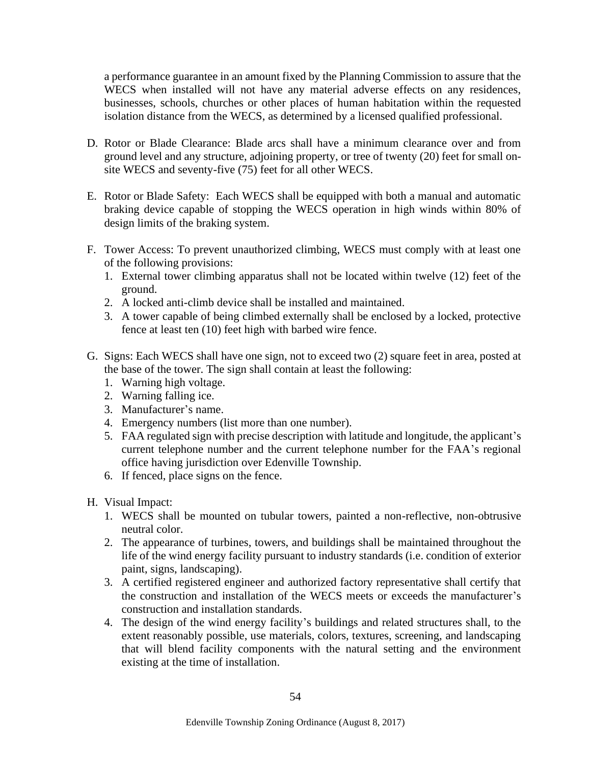a performance guarantee in an amount fixed by the Planning Commission to assure that the WECS when installed will not have any material adverse effects on any residences, businesses, schools, churches or other places of human habitation within the requested isolation distance from the WECS, as determined by a licensed qualified professional.

- D. Rotor or Blade Clearance: Blade arcs shall have a minimum clearance over and from ground level and any structure, adjoining property, or tree of twenty (20) feet for small onsite WECS and seventy-five (75) feet for all other WECS.
- E. Rotor or Blade Safety: Each WECS shall be equipped with both a manual and automatic braking device capable of stopping the WECS operation in high winds within 80% of design limits of the braking system.
- F. Tower Access: To prevent unauthorized climbing, WECS must comply with at least one of the following provisions:
	- 1. External tower climbing apparatus shall not be located within twelve (12) feet of the ground.
	- 2. A locked anti-climb device shall be installed and maintained.
	- 3. A tower capable of being climbed externally shall be enclosed by a locked, protective fence at least ten (10) feet high with barbed wire fence.
- G. Signs: Each WECS shall have one sign, not to exceed two (2) square feet in area, posted at the base of the tower. The sign shall contain at least the following:
	- 1. Warning high voltage.
	- 2. Warning falling ice.
	- 3. Manufacturer's name.
	- 4. Emergency numbers (list more than one number).
	- 5. FAA regulated sign with precise description with latitude and longitude, the applicant's current telephone number and the current telephone number for the FAA's regional office having jurisdiction over Edenville Township.
	- 6. If fenced, place signs on the fence.
- H. Visual Impact:
	- 1. WECS shall be mounted on tubular towers, painted a non-reflective, non-obtrusive neutral color.
	- 2. The appearance of turbines, towers, and buildings shall be maintained throughout the life of the wind energy facility pursuant to industry standards (i.e. condition of exterior paint, signs, landscaping).
	- 3. A certified registered engineer and authorized factory representative shall certify that the construction and installation of the WECS meets or exceeds the manufacturer's construction and installation standards.
	- 4. The design of the wind energy facility's buildings and related structures shall, to the extent reasonably possible, use materials, colors, textures, screening, and landscaping that will blend facility components with the natural setting and the environment existing at the time of installation.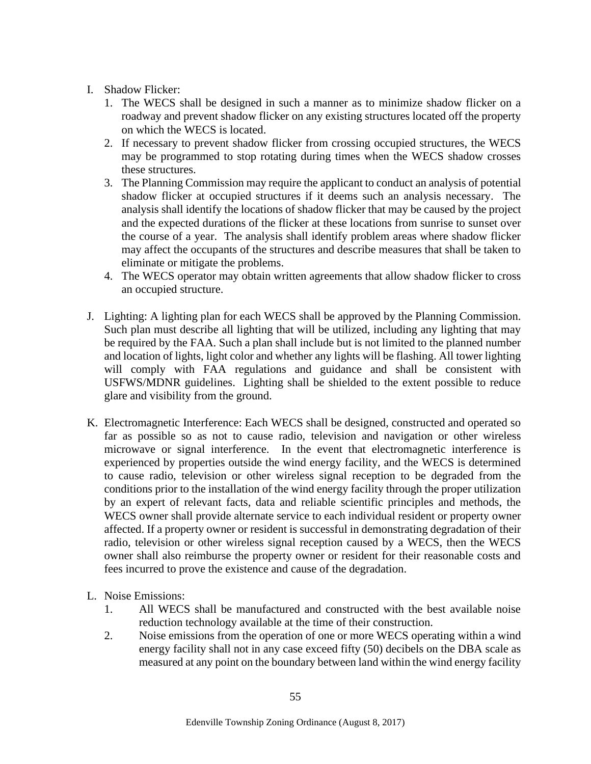- I. Shadow Flicker:
	- 1. The WECS shall be designed in such a manner as to minimize shadow flicker on a roadway and prevent shadow flicker on any existing structures located off the property on which the WECS is located.
	- 2. If necessary to prevent shadow flicker from crossing occupied structures, the WECS may be programmed to stop rotating during times when the WECS shadow crosses these structures.
	- 3. The Planning Commission may require the applicant to conduct an analysis of potential shadow flicker at occupied structures if it deems such an analysis necessary. The analysis shall identify the locations of shadow flicker that may be caused by the project and the expected durations of the flicker at these locations from sunrise to sunset over the course of a year. The analysis shall identify problem areas where shadow flicker may affect the occupants of the structures and describe measures that shall be taken to eliminate or mitigate the problems.
	- 4. The WECS operator may obtain written agreements that allow shadow flicker to cross an occupied structure.
- J. Lighting: A lighting plan for each WECS shall be approved by the Planning Commission. Such plan must describe all lighting that will be utilized, including any lighting that may be required by the FAA. Such a plan shall include but is not limited to the planned number and location of lights, light color and whether any lights will be flashing. All tower lighting will comply with FAA regulations and guidance and shall be consistent with USFWS/MDNR guidelines. Lighting shall be shielded to the extent possible to reduce glare and visibility from the ground.
- K. Electromagnetic Interference: Each WECS shall be designed, constructed and operated so far as possible so as not to cause radio, television and navigation or other wireless microwave or signal interference. In the event that electromagnetic interference is experienced by properties outside the wind energy facility, and the WECS is determined to cause radio, television or other wireless signal reception to be degraded from the conditions prior to the installation of the wind energy facility through the proper utilization by an expert of relevant facts, data and reliable scientific principles and methods, the WECS owner shall provide alternate service to each individual resident or property owner affected. If a property owner or resident is successful in demonstrating degradation of their radio, television or other wireless signal reception caused by a WECS, then the WECS owner shall also reimburse the property owner or resident for their reasonable costs and fees incurred to prove the existence and cause of the degradation.
- L. Noise Emissions:
	- 1. All WECS shall be manufactured and constructed with the best available noise reduction technology available at the time of their construction.
	- 2. Noise emissions from the operation of one or more WECS operating within a wind energy facility shall not in any case exceed fifty (50) decibels on the DBA scale as measured at any point on the boundary between land within the wind energy facility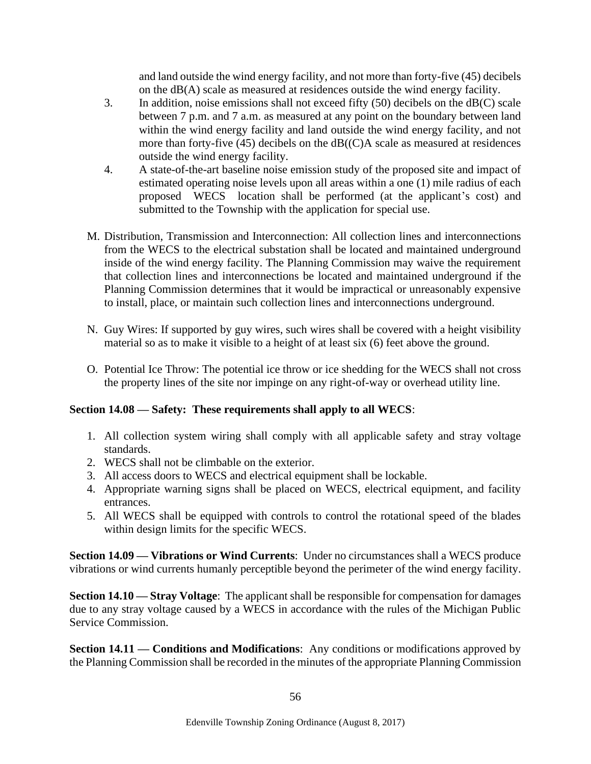and land outside the wind energy facility, and not more than forty-five (45) decibels on the dB(A) scale as measured at residences outside the wind energy facility.

- 3. In addition, noise emissions shall not exceed fifty (50) decibels on the dB(C) scale between 7 p.m. and 7 a.m. as measured at any point on the boundary between land within the wind energy facility and land outside the wind energy facility, and not more than forty-five (45) decibels on the dB((C)A scale as measured at residences outside the wind energy facility.
- 4. A state-of-the-art baseline noise emission study of the proposed site and impact of estimated operating noise levels upon all areas within a one (1) mile radius of each proposed WECS location shall be performed (at the applicant's cost) and submitted to the Township with the application for special use.
- M. Distribution, Transmission and Interconnection: All collection lines and interconnections from the WECS to the electrical substation shall be located and maintained underground inside of the wind energy facility. The Planning Commission may waive the requirement that collection lines and interconnections be located and maintained underground if the Planning Commission determines that it would be impractical or unreasonably expensive to install, place, or maintain such collection lines and interconnections underground.
- N. Guy Wires: If supported by guy wires, such wires shall be covered with a height visibility material so as to make it visible to a height of at least six (6) feet above the ground.
- O. Potential Ice Throw: The potential ice throw or ice shedding for the WECS shall not cross the property lines of the site nor impinge on any right-of-way or overhead utility line.

# **Section 14.08 — Safety: These requirements shall apply to all WECS**:

- 1. All collection system wiring shall comply with all applicable safety and stray voltage standards.
- 2. WECS shall not be climbable on the exterior.
- 3. All access doors to WECS and electrical equipment shall be lockable.
- 4. Appropriate warning signs shall be placed on WECS, electrical equipment, and facility entrances.
- 5. All WECS shall be equipped with controls to control the rotational speed of the blades within design limits for the specific WECS.

**Section 14.09 — Vibrations or Wind Currents**: Under no circumstances shall a WECS produce vibrations or wind currents humanly perceptible beyond the perimeter of the wind energy facility.

**Section 14.10 — Stray Voltage**: The applicant shall be responsible for compensation for damages due to any stray voltage caused by a WECS in accordance with the rules of the Michigan Public Service Commission.

**Section 14.11 — Conditions and Modifications**: Any conditions or modifications approved by the Planning Commission shall be recorded in the minutes of the appropriate Planning Commission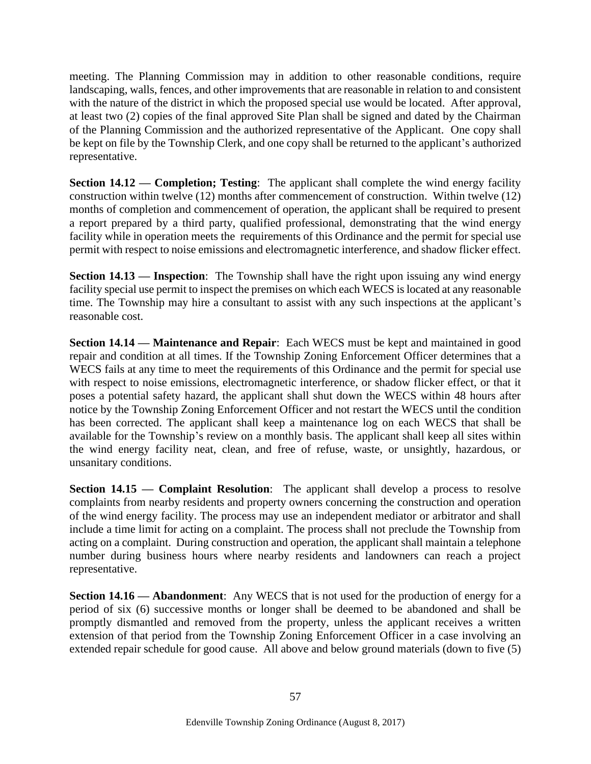meeting. The Planning Commission may in addition to other reasonable conditions, require landscaping, walls, fences, and other improvements that are reasonable in relation to and consistent with the nature of the district in which the proposed special use would be located. After approval, at least two (2) copies of the final approved Site Plan shall be signed and dated by the Chairman of the Planning Commission and the authorized representative of the Applicant. One copy shall be kept on file by the Township Clerk, and one copy shall be returned to the applicant's authorized representative.

**Section 14.12 — Completion; Testing:** The applicant shall complete the wind energy facility construction within twelve (12) months after commencement of construction. Within twelve (12) months of completion and commencement of operation, the applicant shall be required to present a report prepared by a third party, qualified professional, demonstrating that the wind energy facility while in operation meets the requirements of this Ordinance and the permit for special use permit with respect to noise emissions and electromagnetic interference, and shadow flicker effect.

**Section 14.13 — Inspection**: The Township shall have the right upon issuing any wind energy facility special use permit to inspect the premises on which each WECS is located at any reasonable time. The Township may hire a consultant to assist with any such inspections at the applicant's reasonable cost.

**Section 14.14 — Maintenance and Repair**: Each WECS must be kept and maintained in good repair and condition at all times. If the Township Zoning Enforcement Officer determines that a WECS fails at any time to meet the requirements of this Ordinance and the permit for special use with respect to noise emissions, electromagnetic interference, or shadow flicker effect, or that it poses a potential safety hazard, the applicant shall shut down the WECS within 48 hours after notice by the Township Zoning Enforcement Officer and not restart the WECS until the condition has been corrected. The applicant shall keep a maintenance log on each WECS that shall be available for the Township's review on a monthly basis. The applicant shall keep all sites within the wind energy facility neat, clean, and free of refuse, waste, or unsightly, hazardous, or unsanitary conditions.

**Section 14.15 — Complaint Resolution:** The applicant shall develop a process to resolve complaints from nearby residents and property owners concerning the construction and operation of the wind energy facility. The process may use an independent mediator or arbitrator and shall include a time limit for acting on a complaint. The process shall not preclude the Township from acting on a complaint. During construction and operation, the applicant shall maintain a telephone number during business hours where nearby residents and landowners can reach a project representative.

**Section 14.16 — Abandonment**: Any WECS that is not used for the production of energy for a period of six (6) successive months or longer shall be deemed to be abandoned and shall be promptly dismantled and removed from the property, unless the applicant receives a written extension of that period from the Township Zoning Enforcement Officer in a case involving an extended repair schedule for good cause. All above and below ground materials (down to five (5)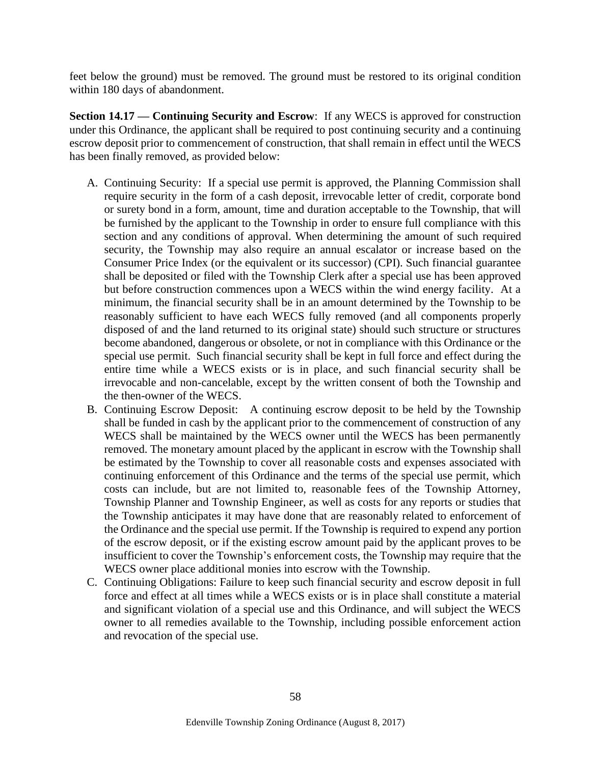feet below the ground) must be removed. The ground must be restored to its original condition within 180 days of abandonment.

**Section 14.17 — Continuing Security and Escrow**: If any WECS is approved for construction under this Ordinance, the applicant shall be required to post continuing security and a continuing escrow deposit prior to commencement of construction, that shall remain in effect until the WECS has been finally removed, as provided below:

- A. Continuing Security: If a special use permit is approved, the Planning Commission shall require security in the form of a cash deposit, irrevocable letter of credit, corporate bond or surety bond in a form, amount, time and duration acceptable to the Township, that will be furnished by the applicant to the Township in order to ensure full compliance with this section and any conditions of approval. When determining the amount of such required security, the Township may also require an annual escalator or increase based on the Consumer Price Index (or the equivalent or its successor) (CPI). Such financial guarantee shall be deposited or filed with the Township Clerk after a special use has been approved but before construction commences upon a WECS within the wind energy facility. At a minimum, the financial security shall be in an amount determined by the Township to be reasonably sufficient to have each WECS fully removed (and all components properly disposed of and the land returned to its original state) should such structure or structures become abandoned, dangerous or obsolete, or not in compliance with this Ordinance or the special use permit. Such financial security shall be kept in full force and effect during the entire time while a WECS exists or is in place, and such financial security shall be irrevocable and non-cancelable, except by the written consent of both the Township and the then-owner of the WECS.
- B. Continuing Escrow Deposit: A continuing escrow deposit to be held by the Township shall be funded in cash by the applicant prior to the commencement of construction of any WECS shall be maintained by the WECS owner until the WECS has been permanently removed. The monetary amount placed by the applicant in escrow with the Township shall be estimated by the Township to cover all reasonable costs and expenses associated with continuing enforcement of this Ordinance and the terms of the special use permit, which costs can include, but are not limited to, reasonable fees of the Township Attorney, Township Planner and Township Engineer, as well as costs for any reports or studies that the Township anticipates it may have done that are reasonably related to enforcement of the Ordinance and the special use permit. If the Township is required to expend any portion of the escrow deposit, or if the existing escrow amount paid by the applicant proves to be insufficient to cover the Township's enforcement costs, the Township may require that the WECS owner place additional monies into escrow with the Township.
- C. Continuing Obligations: Failure to keep such financial security and escrow deposit in full force and effect at all times while a WECS exists or is in place shall constitute a material and significant violation of a special use and this Ordinance, and will subject the WECS owner to all remedies available to the Township, including possible enforcement action and revocation of the special use.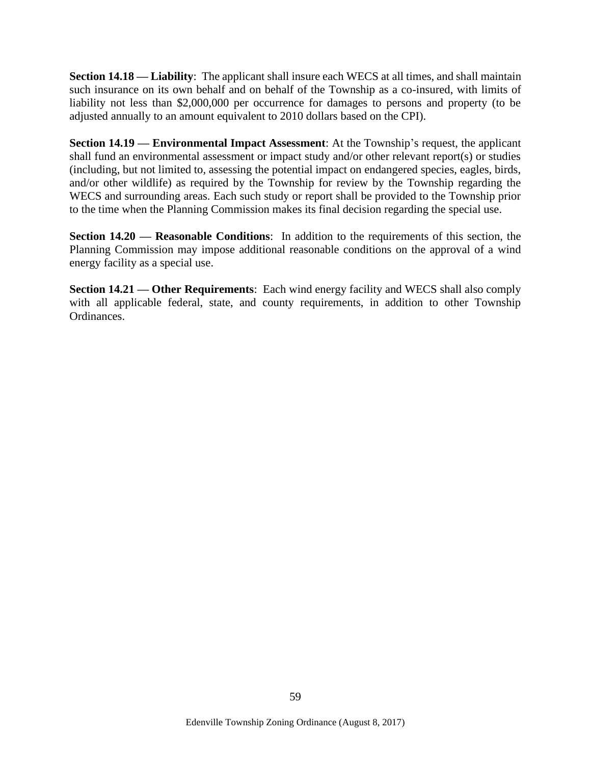**Section 14.18 — Liability**: The applicant shall insure each WECS at all times, and shall maintain such insurance on its own behalf and on behalf of the Township as a co-insured, with limits of liability not less than \$2,000,000 per occurrence for damages to persons and property (to be adjusted annually to an amount equivalent to 2010 dollars based on the CPI).

**Section 14.19 — Environmental Impact Assessment:** At the Township's request, the applicant shall fund an environmental assessment or impact study and/or other relevant report(s) or studies (including, but not limited to, assessing the potential impact on endangered species, eagles, birds, and/or other wildlife) as required by the Township for review by the Township regarding the WECS and surrounding areas. Each such study or report shall be provided to the Township prior to the time when the Planning Commission makes its final decision regarding the special use.

**Section 14.20 — Reasonable Conditions**: In addition to the requirements of this section, the Planning Commission may impose additional reasonable conditions on the approval of a wind energy facility as a special use.

**Section 14.21 — Other Requirements**: Each wind energy facility and WECS shall also comply with all applicable federal, state, and county requirements, in addition to other Township Ordinances.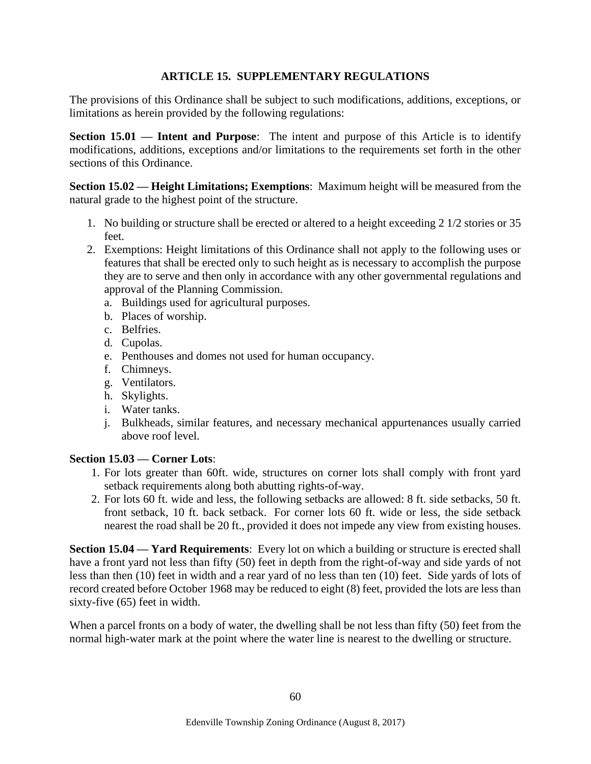## **ARTICLE 15. SUPPLEMENTARY REGULATIONS**

The provisions of this Ordinance shall be subject to such modifications, additions, exceptions, or limitations as herein provided by the following regulations:

**Section 15.01 — Intent and Purpose**: The intent and purpose of this Article is to identify modifications, additions, exceptions and/or limitations to the requirements set forth in the other sections of this Ordinance.

**Section 15.02 — Height Limitations; Exemptions**: Maximum height will be measured from the natural grade to the highest point of the structure.

- 1. No building or structure shall be erected or altered to a height exceeding 2 1/2 stories or 35 feet.
- 2. Exemptions: Height limitations of this Ordinance shall not apply to the following uses or features that shall be erected only to such height as is necessary to accomplish the purpose they are to serve and then only in accordance with any other governmental regulations and approval of the Planning Commission.
	- a. Buildings used for agricultural purposes.
	- b. Places of worship.
	- c. Belfries.
	- d. Cupolas.
	- e. Penthouses and domes not used for human occupancy.
	- f. Chimneys.
	- g. Ventilators.
	- h. Skylights.
	- i. Water tanks.
	- j. Bulkheads, similar features, and necessary mechanical appurtenances usually carried above roof level.

### **Section 15.03 — Corner Lots**:

- 1. For lots greater than 60ft. wide, structures on corner lots shall comply with front yard setback requirements along both abutting rights-of-way.
- 2. For lots 60 ft. wide and less, the following setbacks are allowed: 8 ft. side setbacks, 50 ft. front setback, 10 ft. back setback. For corner lots 60 ft. wide or less, the side setback nearest the road shall be 20 ft., provided it does not impede any view from existing houses.

**Section 15.04 — Yard Requirements**: Every lot on which a building or structure is erected shall have a front yard not less than fifty (50) feet in depth from the right-of-way and side yards of not less than then (10) feet in width and a rear yard of no less than ten (10) feet. Side yards of lots of record created before October 1968 may be reduced to eight (8) feet, provided the lots are less than sixty-five (65) feet in width.

When a parcel fronts on a body of water, the dwelling shall be not less than fifty (50) feet from the normal high-water mark at the point where the water line is nearest to the dwelling or structure.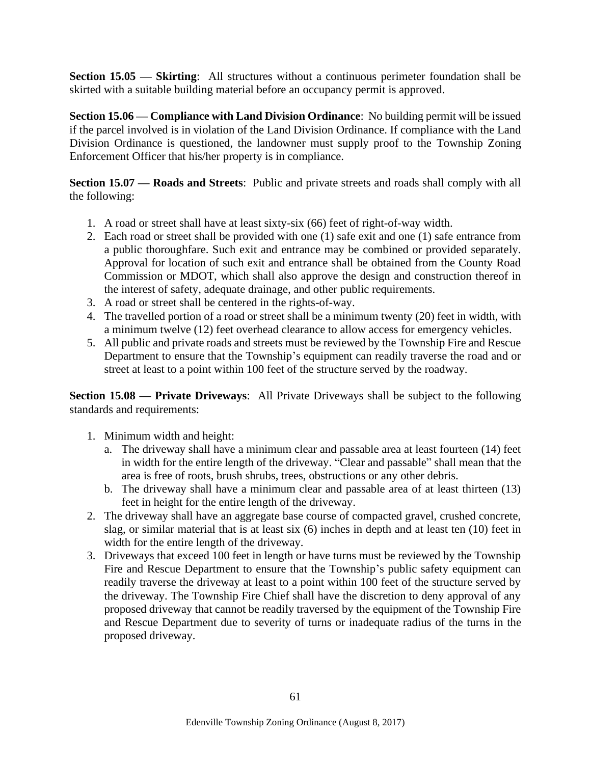**Section 15.05 — Skirting**: All structures without a continuous perimeter foundation shall be skirted with a suitable building material before an occupancy permit is approved.

**Section 15.06 — Compliance with Land Division Ordinance**: No building permit will be issued if the parcel involved is in violation of the Land Division Ordinance. If compliance with the Land Division Ordinance is questioned, the landowner must supply proof to the Township Zoning Enforcement Officer that his/her property is in compliance.

**Section 15.07 — Roads and Streets**: Public and private streets and roads shall comply with all the following:

- 1. A road or street shall have at least sixty-six (66) feet of right-of-way width.
- 2. Each road or street shall be provided with one (1) safe exit and one (1) safe entrance from a public thoroughfare. Such exit and entrance may be combined or provided separately. Approval for location of such exit and entrance shall be obtained from the County Road Commission or MDOT, which shall also approve the design and construction thereof in the interest of safety, adequate drainage, and other public requirements.
- 3. A road or street shall be centered in the rights-of-way.
- 4. The travelled portion of a road or street shall be a minimum twenty (20) feet in width, with a minimum twelve (12) feet overhead clearance to allow access for emergency vehicles.
- 5. All public and private roads and streets must be reviewed by the Township Fire and Rescue Department to ensure that the Township's equipment can readily traverse the road and or street at least to a point within 100 feet of the structure served by the roadway.

**Section 15.08 — Private Driveways**: All Private Driveways shall be subject to the following standards and requirements:

- 1. Minimum width and height:
	- a. The driveway shall have a minimum clear and passable area at least fourteen (14) feet in width for the entire length of the driveway. "Clear and passable" shall mean that the area is free of roots, brush shrubs, trees, obstructions or any other debris.
	- b. The driveway shall have a minimum clear and passable area of at least thirteen (13) feet in height for the entire length of the driveway.
- 2. The driveway shall have an aggregate base course of compacted gravel, crushed concrete, slag, or similar material that is at least six (6) inches in depth and at least ten (10) feet in width for the entire length of the driveway.
- 3. Driveways that exceed 100 feet in length or have turns must be reviewed by the Township Fire and Rescue Department to ensure that the Township's public safety equipment can readily traverse the driveway at least to a point within 100 feet of the structure served by the driveway. The Township Fire Chief shall have the discretion to deny approval of any proposed driveway that cannot be readily traversed by the equipment of the Township Fire and Rescue Department due to severity of turns or inadequate radius of the turns in the proposed driveway.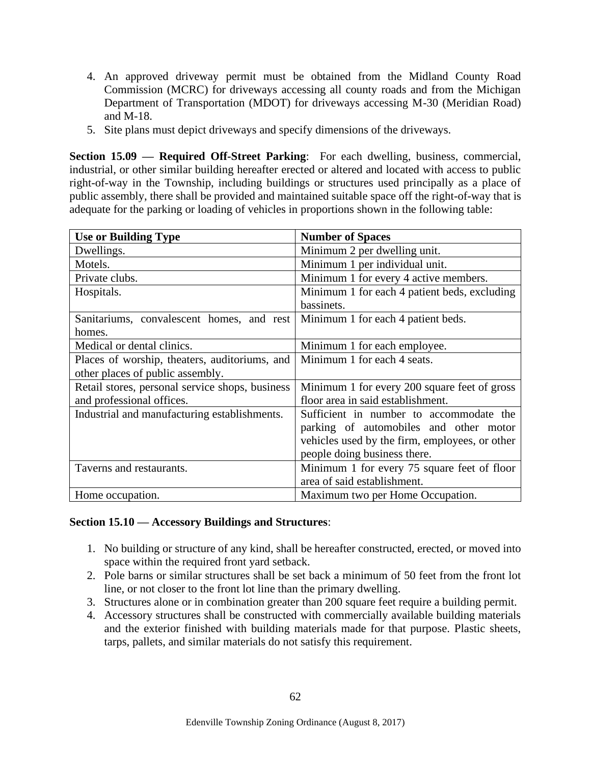- 4. An approved driveway permit must be obtained from the Midland County Road Commission (MCRC) for driveways accessing all county roads and from the Michigan Department of Transportation (MDOT) for driveways accessing M-30 (Meridian Road) and M-18.
- 5. Site plans must depict driveways and specify dimensions of the driveways.

**Section 15.09 — Required Off-Street Parking**: For each dwelling, business, commercial, industrial, or other similar building hereafter erected or altered and located with access to public right-of-way in the Township, including buildings or structures used principally as a place of public assembly, there shall be provided and maintained suitable space off the right-of-way that is adequate for the parking or loading of vehicles in proportions shown in the following table:

| <b>Use or Building Type</b>                     | <b>Number of Spaces</b>                        |
|-------------------------------------------------|------------------------------------------------|
| Dwellings.                                      | Minimum 2 per dwelling unit.                   |
| Motels.                                         | Minimum 1 per individual unit.                 |
| Private clubs.                                  | Minimum 1 for every 4 active members.          |
| Hospitals.                                      | Minimum 1 for each 4 patient beds, excluding   |
|                                                 | bassinets.                                     |
| Sanitariums, convalescent homes, and rest       | Minimum 1 for each 4 patient beds.             |
| homes.                                          |                                                |
| Medical or dental clinics.                      | Minimum 1 for each employee.                   |
| Places of worship, theaters, auditoriums, and   | Minimum 1 for each 4 seats.                    |
| other places of public assembly.                |                                                |
| Retail stores, personal service shops, business | Minimum 1 for every 200 square feet of gross   |
| and professional offices.                       | floor area in said establishment.              |
| Industrial and manufacturing establishments.    | Sufficient in number to accommodate the        |
|                                                 | parking of automobiles and other motor         |
|                                                 | vehicles used by the firm, employees, or other |
|                                                 | people doing business there.                   |
| Taverns and restaurants.                        | Minimum 1 for every 75 square feet of floor    |
|                                                 | area of said establishment.                    |
| Home occupation.                                | Maximum two per Home Occupation.               |

# **Section 15.10 — Accessory Buildings and Structures**:

- 1. No building or structure of any kind, shall be hereafter constructed, erected, or moved into space within the required front yard setback.
- 2. Pole barns or similar structures shall be set back a minimum of 50 feet from the front lot line, or not closer to the front lot line than the primary dwelling.
- 3. Structures alone or in combination greater than 200 square feet require a building permit.
- 4. Accessory structures shall be constructed with commercially available building materials and the exterior finished with building materials made for that purpose. Plastic sheets, tarps, pallets, and similar materials do not satisfy this requirement.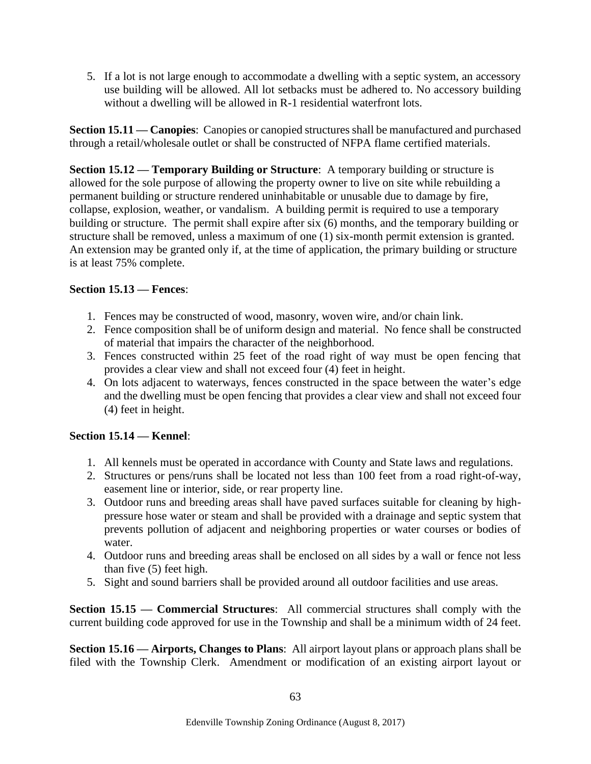5. If a lot is not large enough to accommodate a dwelling with a septic system, an accessory use building will be allowed. All lot setbacks must be adhered to. No accessory building without a dwelling will be allowed in R-1 residential waterfront lots.

**Section 15.11 — Canopies**: Canopies or canopied structures shall be manufactured and purchased through a retail/wholesale outlet or shall be constructed of NFPA flame certified materials.

**Section 15.12 — Temporary Building or Structure**: A temporary building or structure is allowed for the sole purpose of allowing the property owner to live on site while rebuilding a permanent building or structure rendered uninhabitable or unusable due to damage by fire, collapse, explosion, weather, or vandalism. A building permit is required to use a temporary building or structure. The permit shall expire after six (6) months, and the temporary building or structure shall be removed, unless a maximum of one (1) six-month permit extension is granted. An extension may be granted only if, at the time of application, the primary building or structure is at least 75% complete.

### **Section 15.13 — Fences**:

- 1. Fences may be constructed of wood, masonry, woven wire, and/or chain link.
- 2. Fence composition shall be of uniform design and material. No fence shall be constructed of material that impairs the character of the neighborhood.
- 3. Fences constructed within 25 feet of the road right of way must be open fencing that provides a clear view and shall not exceed four (4) feet in height.
- 4. On lots adjacent to waterways, fences constructed in the space between the water's edge and the dwelling must be open fencing that provides a clear view and shall not exceed four (4) feet in height.

# **Section 15.14 — Kennel**:

- 1. All kennels must be operated in accordance with County and State laws and regulations.
- 2. Structures or pens/runs shall be located not less than 100 feet from a road right-of-way, easement line or interior, side, or rear property line.
- 3. Outdoor runs and breeding areas shall have paved surfaces suitable for cleaning by highpressure hose water or steam and shall be provided with a drainage and septic system that prevents pollution of adjacent and neighboring properties or water courses or bodies of water.
- 4. Outdoor runs and breeding areas shall be enclosed on all sides by a wall or fence not less than five (5) feet high.
- 5. Sight and sound barriers shall be provided around all outdoor facilities and use areas.

**Section 15.15 — Commercial Structures**: All commercial structures shall comply with the current building code approved for use in the Township and shall be a minimum width of 24 feet.

**Section 15.16 — Airports, Changes to Plans**: All airport layout plans or approach plans shall be filed with the Township Clerk. Amendment or modification of an existing airport layout or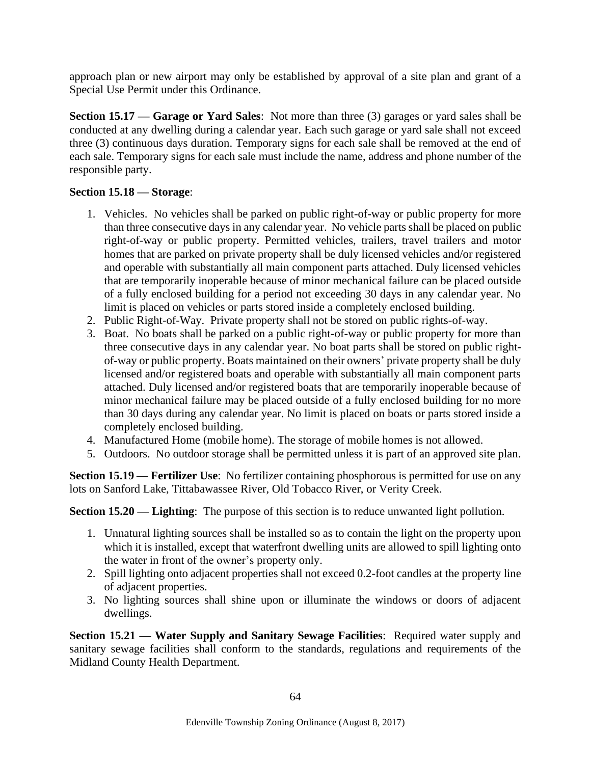approach plan or new airport may only be established by approval of a site plan and grant of a Special Use Permit under this Ordinance.

**Section 15.17 — Garage or Yard Sales**: Not more than three (3) garages or yard sales shall be conducted at any dwelling during a calendar year. Each such garage or yard sale shall not exceed three (3) continuous days duration. Temporary signs for each sale shall be removed at the end of each sale. Temporary signs for each sale must include the name, address and phone number of the responsible party.

### **Section 15.18 — Storage**:

- 1. Vehicles. No vehicles shall be parked on public right-of-way or public property for more than three consecutive days in any calendar year. No vehicle parts shall be placed on public right-of-way or public property. Permitted vehicles, trailers, travel trailers and motor homes that are parked on private property shall be duly licensed vehicles and/or registered and operable with substantially all main component parts attached. Duly licensed vehicles that are temporarily inoperable because of minor mechanical failure can be placed outside of a fully enclosed building for a period not exceeding 30 days in any calendar year. No limit is placed on vehicles or parts stored inside a completely enclosed building.
- 2. Public Right-of-Way. Private property shall not be stored on public rights-of-way.
- 3. Boat. No boats shall be parked on a public right-of-way or public property for more than three consecutive days in any calendar year. No boat parts shall be stored on public rightof-way or public property. Boats maintained on their owners' private property shall be duly licensed and/or registered boats and operable with substantially all main component parts attached. Duly licensed and/or registered boats that are temporarily inoperable because of minor mechanical failure may be placed outside of a fully enclosed building for no more than 30 days during any calendar year. No limit is placed on boats or parts stored inside a completely enclosed building.
- 4. Manufactured Home (mobile home). The storage of mobile homes is not allowed.
- 5. Outdoors. No outdoor storage shall be permitted unless it is part of an approved site plan.

**Section 15.19 — Fertilizer Use**: No fertilizer containing phosphorous is permitted for use on any lots on Sanford Lake, Tittabawassee River, Old Tobacco River, or Verity Creek.

**Section 15.20 — Lighting:** The purpose of this section is to reduce unwanted light pollution.

- 1. Unnatural lighting sources shall be installed so as to contain the light on the property upon which it is installed, except that waterfront dwelling units are allowed to spill lighting onto the water in front of the owner's property only.
- 2. Spill lighting onto adjacent properties shall not exceed 0.2-foot candles at the property line of adjacent properties.
- 3. No lighting sources shall shine upon or illuminate the windows or doors of adjacent dwellings.

**Section 15.21 — Water Supply and Sanitary Sewage Facilities**: Required water supply and sanitary sewage facilities shall conform to the standards, regulations and requirements of the Midland County Health Department.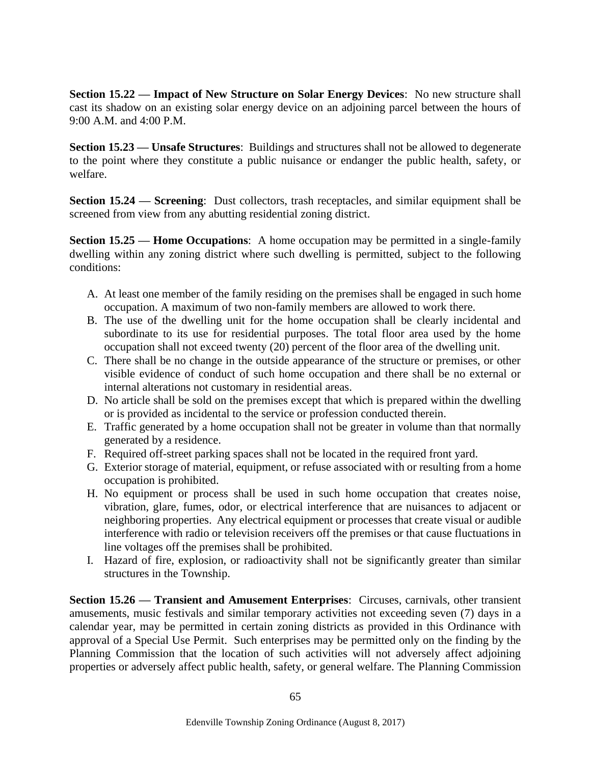**Section 15.22 — Impact of New Structure on Solar Energy Devices**: No new structure shall cast its shadow on an existing solar energy device on an adjoining parcel between the hours of 9:00 A.M. and 4:00 P.M.

**Section 15.23 — Unsafe Structures**: Buildings and structures shall not be allowed to degenerate to the point where they constitute a public nuisance or endanger the public health, safety, or welfare.

**Section 15.24 — Screening**: Dust collectors, trash receptacles, and similar equipment shall be screened from view from any abutting residential zoning district.

**Section 15.25 — Home Occupations**: A home occupation may be permitted in a single-family dwelling within any zoning district where such dwelling is permitted, subject to the following conditions:

- A. At least one member of the family residing on the premises shall be engaged in such home occupation. A maximum of two non-family members are allowed to work there.
- B. The use of the dwelling unit for the home occupation shall be clearly incidental and subordinate to its use for residential purposes. The total floor area used by the home occupation shall not exceed twenty (20) percent of the floor area of the dwelling unit.
- C. There shall be no change in the outside appearance of the structure or premises, or other visible evidence of conduct of such home occupation and there shall be no external or internal alterations not customary in residential areas.
- D. No article shall be sold on the premises except that which is prepared within the dwelling or is provided as incidental to the service or profession conducted therein.
- E. Traffic generated by a home occupation shall not be greater in volume than that normally generated by a residence.
- F. Required off-street parking spaces shall not be located in the required front yard.
- G. Exterior storage of material, equipment, or refuse associated with or resulting from a home occupation is prohibited.
- H. No equipment or process shall be used in such home occupation that creates noise, vibration, glare, fumes, odor, or electrical interference that are nuisances to adjacent or neighboring properties. Any electrical equipment or processes that create visual or audible interference with radio or television receivers off the premises or that cause fluctuations in line voltages off the premises shall be prohibited.
- I. Hazard of fire, explosion, or radioactivity shall not be significantly greater than similar structures in the Township.

**Section 15.26 — Transient and Amusement Enterprises**: Circuses, carnivals, other transient amusements, music festivals and similar temporary activities not exceeding seven (7) days in a calendar year, may be permitted in certain zoning districts as provided in this Ordinance with approval of a Special Use Permit. Such enterprises may be permitted only on the finding by the Planning Commission that the location of such activities will not adversely affect adjoining properties or adversely affect public health, safety, or general welfare. The Planning Commission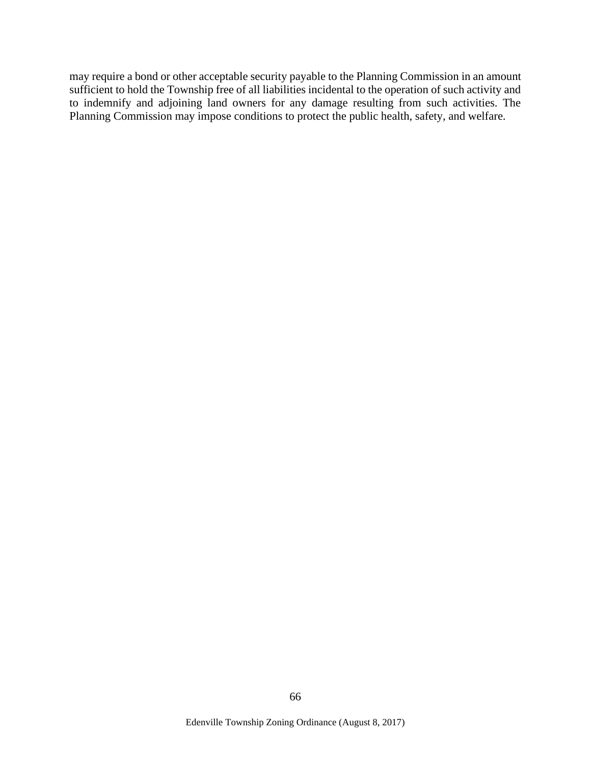may require a bond or other acceptable security payable to the Planning Commission in an amount sufficient to hold the Township free of all liabilities incidental to the operation of such activity and to indemnify and adjoining land owners for any damage resulting from such activities. The Planning Commission may impose conditions to protect the public health, safety, and welfare.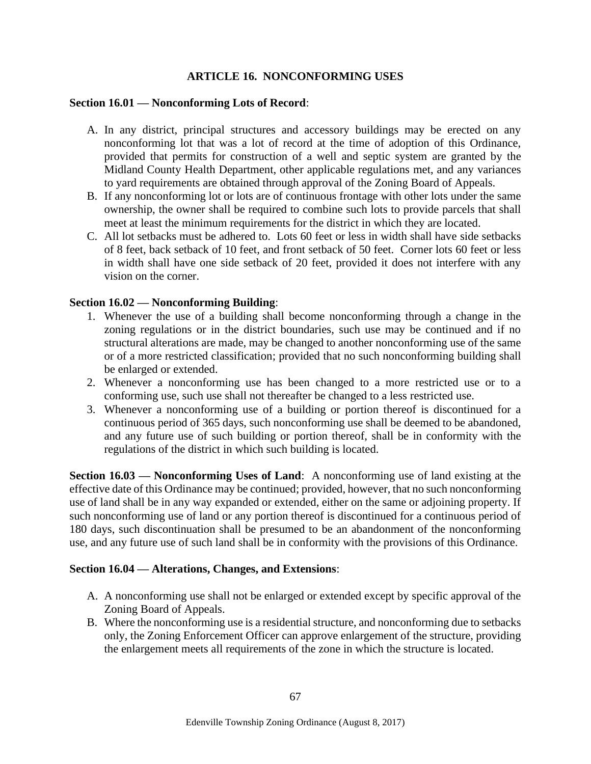### **ARTICLE 16. NONCONFORMING USES**

### **Section 16.01 — Nonconforming Lots of Record**:

- A. In any district, principal structures and accessory buildings may be erected on any nonconforming lot that was a lot of record at the time of adoption of this Ordinance, provided that permits for construction of a well and septic system are granted by the Midland County Health Department, other applicable regulations met, and any variances to yard requirements are obtained through approval of the Zoning Board of Appeals.
- B. If any nonconforming lot or lots are of continuous frontage with other lots under the same ownership, the owner shall be required to combine such lots to provide parcels that shall meet at least the minimum requirements for the district in which they are located.
- C. All lot setbacks must be adhered to. Lots 60 feet or less in width shall have side setbacks of 8 feet, back setback of 10 feet, and front setback of 50 feet. Corner lots 60 feet or less in width shall have one side setback of 20 feet, provided it does not interfere with any vision on the corner.

#### **Section 16.02 — Nonconforming Building**:

- 1. Whenever the use of a building shall become nonconforming through a change in the zoning regulations or in the district boundaries, such use may be continued and if no structural alterations are made, may be changed to another nonconforming use of the same or of a more restricted classification; provided that no such nonconforming building shall be enlarged or extended.
- 2. Whenever a nonconforming use has been changed to a more restricted use or to a conforming use, such use shall not thereafter be changed to a less restricted use.
- 3. Whenever a nonconforming use of a building or portion thereof is discontinued for a continuous period of 365 days, such nonconforming use shall be deemed to be abandoned, and any future use of such building or portion thereof, shall be in conformity with the regulations of the district in which such building is located.

**Section 16.03 — Nonconforming Uses of Land**: A nonconforming use of land existing at the effective date of this Ordinance may be continued; provided, however, that no such nonconforming use of land shall be in any way expanded or extended, either on the same or adjoining property. If such nonconforming use of land or any portion thereof is discontinued for a continuous period of 180 days, such discontinuation shall be presumed to be an abandonment of the nonconforming use, and any future use of such land shall be in conformity with the provisions of this Ordinance.

#### **Section 16.04 — Alterations, Changes, and Extensions**:

- A. A nonconforming use shall not be enlarged or extended except by specific approval of the Zoning Board of Appeals.
- B. Where the nonconforming use is a residential structure, and nonconforming due to setbacks only, the Zoning Enforcement Officer can approve enlargement of the structure, providing the enlargement meets all requirements of the zone in which the structure is located.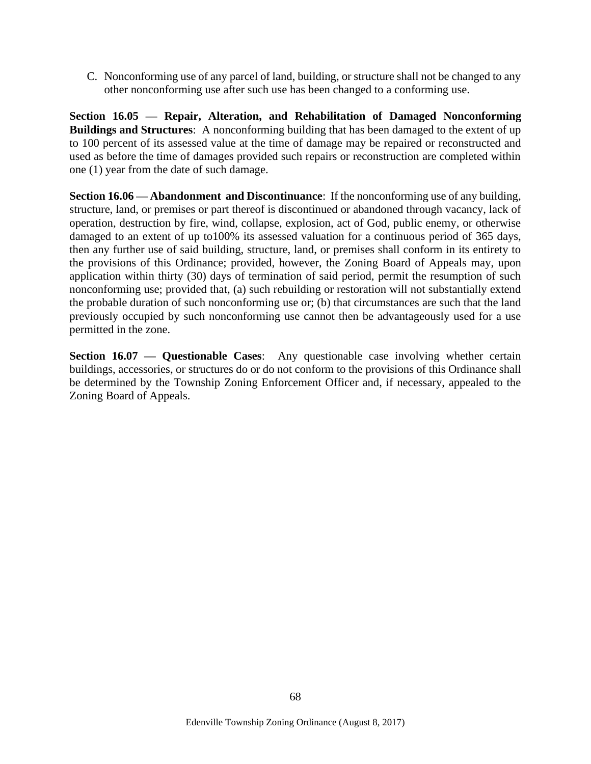C. Nonconforming use of any parcel of land, building, or structure shall not be changed to any other nonconforming use after such use has been changed to a conforming use.

**Section 16.05 — Repair, Alteration, and Rehabilitation of Damaged Nonconforming Buildings and Structures**: A nonconforming building that has been damaged to the extent of up to 100 percent of its assessed value at the time of damage may be repaired or reconstructed and used as before the time of damages provided such repairs or reconstruction are completed within one (1) year from the date of such damage.

**Section 16.06 — Abandonment and Discontinuance**: If the nonconforming use of any building, structure, land, or premises or part thereof is discontinued or abandoned through vacancy, lack of operation, destruction by fire, wind, collapse, explosion, act of God, public enemy, or otherwise damaged to an extent of up to100% its assessed valuation for a continuous period of 365 days, then any further use of said building, structure, land, or premises shall conform in its entirety to the provisions of this Ordinance; provided, however, the Zoning Board of Appeals may, upon application within thirty (30) days of termination of said period, permit the resumption of such nonconforming use; provided that, (a) such rebuilding or restoration will not substantially extend the probable duration of such nonconforming use or; (b) that circumstances are such that the land previously occupied by such nonconforming use cannot then be advantageously used for a use permitted in the zone.

**Section 16.07 — Questionable Cases:** Any questionable case involving whether certain buildings, accessories, or structures do or do not conform to the provisions of this Ordinance shall be determined by the Township Zoning Enforcement Officer and, if necessary, appealed to the Zoning Board of Appeals.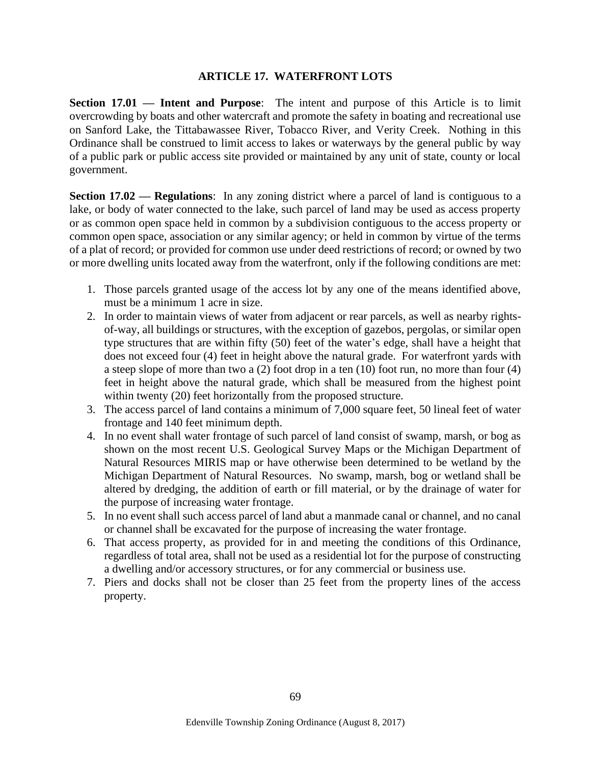#### **ARTICLE 17. WATERFRONT LOTS**

**Section 17.01 — Intent and Purpose**: The intent and purpose of this Article is to limit overcrowding by boats and other watercraft and promote the safety in boating and recreational use on Sanford Lake, the Tittabawassee River, Tobacco River, and Verity Creek. Nothing in this Ordinance shall be construed to limit access to lakes or waterways by the general public by way of a public park or public access site provided or maintained by any unit of state, county or local government.

**Section 17.02 — Regulations**: In any zoning district where a parcel of land is contiguous to a lake, or body of water connected to the lake, such parcel of land may be used as access property or as common open space held in common by a subdivision contiguous to the access property or common open space, association or any similar agency; or held in common by virtue of the terms of a plat of record; or provided for common use under deed restrictions of record; or owned by two or more dwelling units located away from the waterfront, only if the following conditions are met:

- 1. Those parcels granted usage of the access lot by any one of the means identified above, must be a minimum 1 acre in size.
- 2. In order to maintain views of water from adjacent or rear parcels, as well as nearby rightsof-way, all buildings or structures, with the exception of gazebos, pergolas, or similar open type structures that are within fifty (50) feet of the water's edge, shall have a height that does not exceed four (4) feet in height above the natural grade. For waterfront yards with a steep slope of more than two a (2) foot drop in a ten (10) foot run, no more than four (4) feet in height above the natural grade, which shall be measured from the highest point within twenty (20) feet horizontally from the proposed structure.
- 3. The access parcel of land contains a minimum of 7,000 square feet, 50 lineal feet of water frontage and 140 feet minimum depth.
- 4. In no event shall water frontage of such parcel of land consist of swamp, marsh, or bog as shown on the most recent U.S. Geological Survey Maps or the Michigan Department of Natural Resources MIRIS map or have otherwise been determined to be wetland by the Michigan Department of Natural Resources. No swamp, marsh, bog or wetland shall be altered by dredging, the addition of earth or fill material, or by the drainage of water for the purpose of increasing water frontage.
- 5. In no event shall such access parcel of land abut a manmade canal or channel, and no canal or channel shall be excavated for the purpose of increasing the water frontage.
- 6. That access property, as provided for in and meeting the conditions of this Ordinance, regardless of total area, shall not be used as a residential lot for the purpose of constructing a dwelling and/or accessory structures, or for any commercial or business use.
- 7. Piers and docks shall not be closer than 25 feet from the property lines of the access property.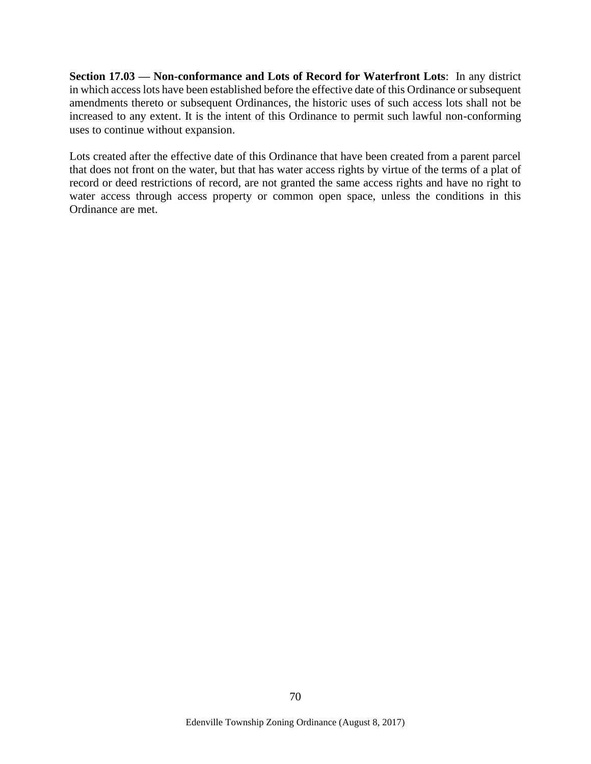**Section 17.03 — Non-conformance and Lots of Record for Waterfront Lots**: In any district in which access lots have been established before the effective date of this Ordinance or subsequent amendments thereto or subsequent Ordinances, the historic uses of such access lots shall not be increased to any extent. It is the intent of this Ordinance to permit such lawful non-conforming uses to continue without expansion.

Lots created after the effective date of this Ordinance that have been created from a parent parcel that does not front on the water, but that has water access rights by virtue of the terms of a plat of record or deed restrictions of record, are not granted the same access rights and have no right to water access through access property or common open space, unless the conditions in this Ordinance are met.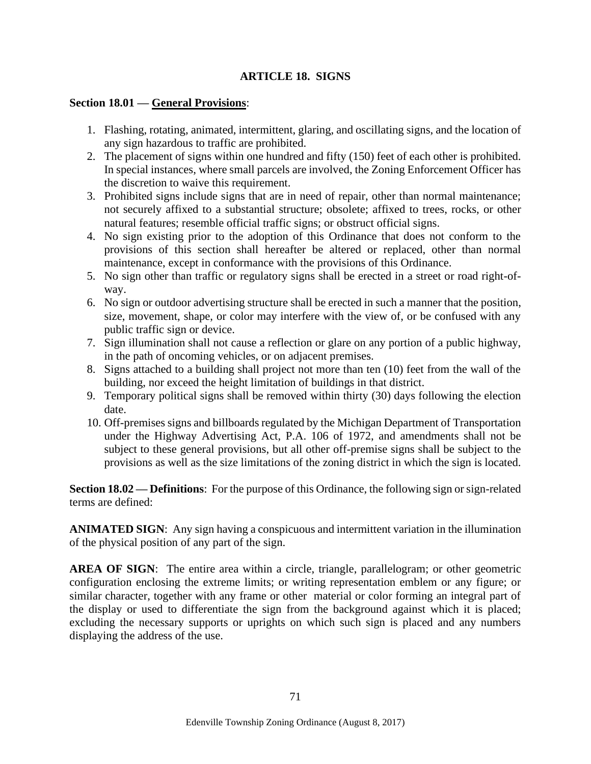# **ARTICLE 18. SIGNS**

#### **Section 18.01 — General Provisions**:

- 1. Flashing, rotating, animated, intermittent, glaring, and oscillating signs, and the location of any sign hazardous to traffic are prohibited.
- 2. The placement of signs within one hundred and fifty (150) feet of each other is prohibited. In special instances, where small parcels are involved, the Zoning Enforcement Officer has the discretion to waive this requirement.
- 3. Prohibited signs include signs that are in need of repair, other than normal maintenance; not securely affixed to a substantial structure; obsolete; affixed to trees, rocks, or other natural features; resemble official traffic signs; or obstruct official signs.
- 4. No sign existing prior to the adoption of this Ordinance that does not conform to the provisions of this section shall hereafter be altered or replaced, other than normal maintenance, except in conformance with the provisions of this Ordinance.
- 5. No sign other than traffic or regulatory signs shall be erected in a street or road right-ofway.
- 6. No sign or outdoor advertising structure shall be erected in such a manner that the position, size, movement, shape, or color may interfere with the view of, or be confused with any public traffic sign or device.
- 7. Sign illumination shall not cause a reflection or glare on any portion of a public highway, in the path of oncoming vehicles, or on adjacent premises.
- 8. Signs attached to a building shall project not more than ten (10) feet from the wall of the building, nor exceed the height limitation of buildings in that district.
- 9. Temporary political signs shall be removed within thirty (30) days following the election date.
- 10. Off-premises signs and billboards regulated by the Michigan Department of Transportation under the Highway Advertising Act, P.A. 106 of 1972, and amendments shall not be subject to these general provisions, but all other off-premise signs shall be subject to the provisions as well as the size limitations of the zoning district in which the sign is located.

**Section 18.02 — Definitions**: For the purpose of this Ordinance, the following sign or sign-related terms are defined:

**ANIMATED SIGN**: Any sign having a conspicuous and intermittent variation in the illumination of the physical position of any part of the sign.

**AREA OF SIGN:** The entire area within a circle, triangle, parallelogram; or other geometric configuration enclosing the extreme limits; or writing representation emblem or any figure; or similar character, together with any frame or other material or color forming an integral part of the display or used to differentiate the sign from the background against which it is placed; excluding the necessary supports or uprights on which such sign is placed and any numbers displaying the address of the use.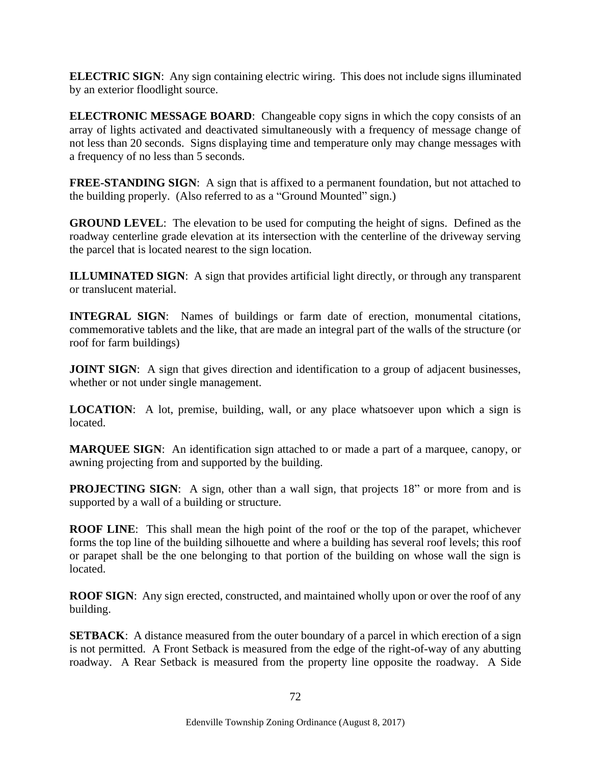**ELECTRIC SIGN:** Any sign containing electric wiring. This does not include signs illuminated by an exterior floodlight source.

**ELECTRONIC MESSAGE BOARD:** Changeable copy signs in which the copy consists of an array of lights activated and deactivated simultaneously with a frequency of message change of not less than 20 seconds. Signs displaying time and temperature only may change messages with a frequency of no less than 5 seconds.

**FREE-STANDING SIGN:** A sign that is affixed to a permanent foundation, but not attached to the building properly. (Also referred to as a "Ground Mounted" sign.)

**GROUND LEVEL**: The elevation to be used for computing the height of signs. Defined as the roadway centerline grade elevation at its intersection with the centerline of the driveway serving the parcel that is located nearest to the sign location.

**ILLUMINATED SIGN:** A sign that provides artificial light directly, or through any transparent or translucent material.

**INTEGRAL SIGN**: Names of buildings or farm date of erection, monumental citations, commemorative tablets and the like, that are made an integral part of the walls of the structure (or roof for farm buildings)

**JOINT SIGN:** A sign that gives direction and identification to a group of adjacent businesses, whether or not under single management.

**LOCATION:** A lot, premise, building, wall, or any place whatsoever upon which a sign is located.

**MARQUEE SIGN**: An identification sign attached to or made a part of a marquee, canopy, or awning projecting from and supported by the building.

**PROJECTING SIGN:** A sign, other than a wall sign, that projects 18" or more from and is supported by a wall of a building or structure.

**ROOF LINE**: This shall mean the high point of the roof or the top of the parapet, whichever forms the top line of the building silhouette and where a building has several roof levels; this roof or parapet shall be the one belonging to that portion of the building on whose wall the sign is located.

**ROOF SIGN:** Any sign erected, constructed, and maintained wholly upon or over the roof of any building.

**SETBACK:** A distance measured from the outer boundary of a parcel in which erection of a sign is not permitted. A Front Setback is measured from the edge of the right-of-way of any abutting roadway. A Rear Setback is measured from the property line opposite the roadway. A Side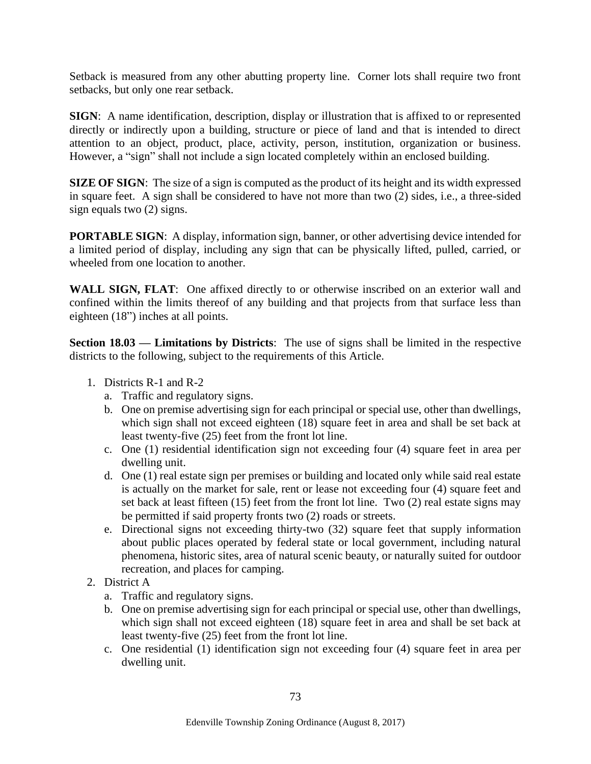Setback is measured from any other abutting property line. Corner lots shall require two front setbacks, but only one rear setback.

**SIGN**: A name identification, description, display or illustration that is affixed to or represented directly or indirectly upon a building, structure or piece of land and that is intended to direct attention to an object, product, place, activity, person, institution, organization or business. However, a "sign" shall not include a sign located completely within an enclosed building.

**SIZE OF SIGN:** The size of a sign is computed as the product of its height and its width expressed in square feet. A sign shall be considered to have not more than two (2) sides, i.e., a three-sided sign equals two (2) signs.

**PORTABLE SIGN:** A display, information sign, banner, or other advertising device intended for a limited period of display, including any sign that can be physically lifted, pulled, carried, or wheeled from one location to another.

**WALL SIGN, FLAT**: One affixed directly to or otherwise inscribed on an exterior wall and confined within the limits thereof of any building and that projects from that surface less than eighteen (18") inches at all points.

**Section 18.03 — Limitations by Districts**: The use of signs shall be limited in the respective districts to the following, subject to the requirements of this Article.

- 1. Districts R-1 and R-2
	- a. Traffic and regulatory signs.
	- b. One on premise advertising sign for each principal or special use, other than dwellings, which sign shall not exceed eighteen (18) square feet in area and shall be set back at least twenty-five (25) feet from the front lot line.
	- c. One (1) residential identification sign not exceeding four (4) square feet in area per dwelling unit.
	- d. One (1) real estate sign per premises or building and located only while said real estate is actually on the market for sale, rent or lease not exceeding four (4) square feet and set back at least fifteen (15) feet from the front lot line. Two (2) real estate signs may be permitted if said property fronts two (2) roads or streets.
	- e. Directional signs not exceeding thirty-two (32) square feet that supply information about public places operated by federal state or local government, including natural phenomena, historic sites, area of natural scenic beauty, or naturally suited for outdoor recreation, and places for camping.
- 2. District A
	- a. Traffic and regulatory signs.
	- b. One on premise advertising sign for each principal or special use, other than dwellings, which sign shall not exceed eighteen (18) square feet in area and shall be set back at least twenty-five (25) feet from the front lot line.
	- c. One residential (1) identification sign not exceeding four (4) square feet in area per dwelling unit.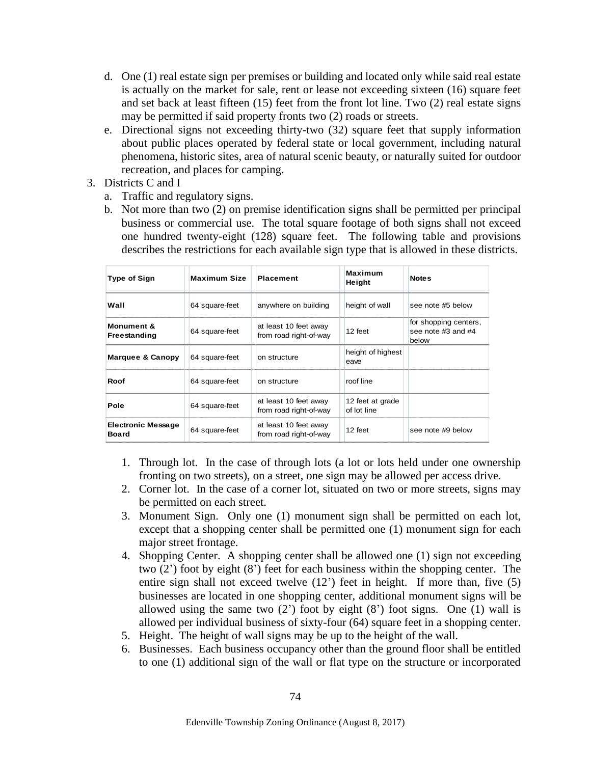- d. One (1) real estate sign per premises or building and located only while said real estate is actually on the market for sale, rent or lease not exceeding sixteen (16) square feet and set back at least fifteen (15) feet from the front lot line. Two (2) real estate signs may be permitted if said property fronts two (2) roads or streets.
- e. Directional signs not exceeding thirty-two (32) square feet that supply information about public places operated by federal state or local government, including natural phenomena, historic sites, area of natural scenic beauty, or naturally suited for outdoor recreation, and places for camping.
- 3. Districts C and I
	- a. Traffic and regulatory signs.
	- b. Not more than two (2) on premise identification signs shall be permitted per principal business or commercial use. The total square footage of both signs shall not exceed one hundred twenty-eight (128) square feet. The following table and provisions describes the restrictions for each available sign type that is allowed in these districts.

| <b>Type of Sign</b>                       | <b>Maximum Size</b> | <b>Placement</b>                                | Maximum<br>Height               | <b>Notes</b>                                         |
|-------------------------------------------|---------------------|-------------------------------------------------|---------------------------------|------------------------------------------------------|
| Wall                                      | 64 square-feet      | anywhere on building                            | height of wall                  | see note #5 below                                    |
| Monument &<br>Freestanding                | 64 square-feet      | at least 10 feet away<br>from road right-of-way | $12$ feet                       | for shopping centers,<br>see note #3 and #4<br>below |
| Marquee & Canopy                          | 64 square-feet      | on structure                                    | height of highest<br>eave       |                                                      |
| Roof                                      | 64 square-feet      | on structure                                    | roof line                       |                                                      |
| Pole                                      | 64 square-feet      | at least 10 feet away<br>from road right-of-way | 12 feet at grade<br>of lot line |                                                      |
| <b>Electronic Message</b><br><b>Board</b> | 64 square-feet      | at least 10 feet away<br>from road right-of-way | 12 feet                         | see note #9 below                                    |

- 1. Through lot. In the case of through lots (a lot or lots held under one ownership fronting on two streets), on a street, one sign may be allowed per access drive.
- 2. Corner lot. In the case of a corner lot, situated on two or more streets, signs may be permitted on each street.
- 3. Monument Sign. Only one (1) monument sign shall be permitted on each lot, except that a shopping center shall be permitted one (1) monument sign for each major street frontage.
- 4. Shopping Center. A shopping center shall be allowed one (1) sign not exceeding two (2') foot by eight (8') feet for each business within the shopping center. The entire sign shall not exceed twelve (12') feet in height. If more than, five (5) businesses are located in one shopping center, additional monument signs will be allowed using the same two  $(2')$  foot by eight  $(8')$  foot signs. One  $(1)$  wall is allowed per individual business of sixty-four (64) square feet in a shopping center.
- 5. Height. The height of wall signs may be up to the height of the wall.
- 6. Businesses. Each business occupancy other than the ground floor shall be entitled to one (1) additional sign of the wall or flat type on the structure or incorporated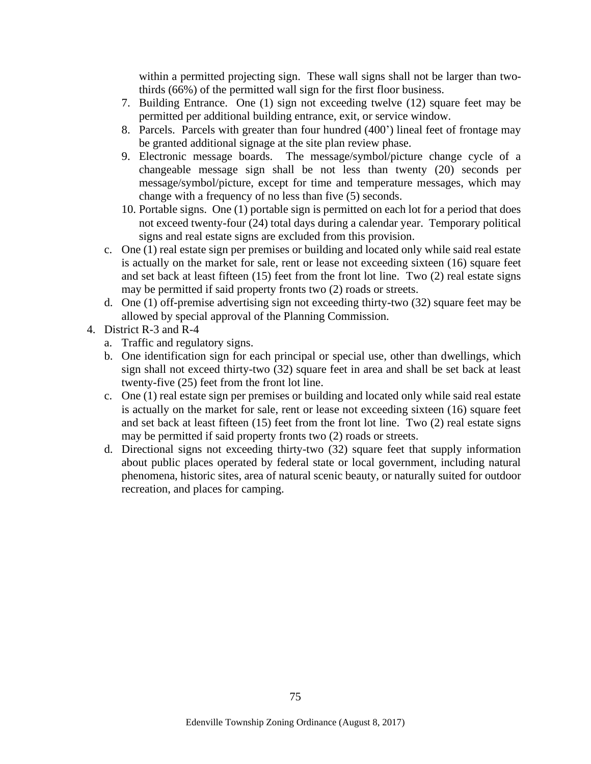within a permitted projecting sign. These wall signs shall not be larger than twothirds (66%) of the permitted wall sign for the first floor business.

- 7. Building Entrance. One (1) sign not exceeding twelve (12) square feet may be permitted per additional building entrance, exit, or service window.
- 8. Parcels. Parcels with greater than four hundred (400') lineal feet of frontage may be granted additional signage at the site plan review phase.
- 9. Electronic message boards. The message/symbol/picture change cycle of a changeable message sign shall be not less than twenty (20) seconds per message/symbol/picture, except for time and temperature messages, which may change with a frequency of no less than five (5) seconds.
- 10. Portable signs. One (1) portable sign is permitted on each lot for a period that does not exceed twenty-four (24) total days during a calendar year. Temporary political signs and real estate signs are excluded from this provision.
- c. One (1) real estate sign per premises or building and located only while said real estate is actually on the market for sale, rent or lease not exceeding sixteen (16) square feet and set back at least fifteen (15) feet from the front lot line. Two (2) real estate signs may be permitted if said property fronts two (2) roads or streets.
- d. One (1) off-premise advertising sign not exceeding thirty-two (32) square feet may be allowed by special approval of the Planning Commission.
- 4. District R-3 and R-4
	- a. Traffic and regulatory signs.
	- b. One identification sign for each principal or special use, other than dwellings, which sign shall not exceed thirty-two (32) square feet in area and shall be set back at least twenty-five (25) feet from the front lot line.
	- c. One (1) real estate sign per premises or building and located only while said real estate is actually on the market for sale, rent or lease not exceeding sixteen (16) square feet and set back at least fifteen (15) feet from the front lot line. Two (2) real estate signs may be permitted if said property fronts two (2) roads or streets.
	- d. Directional signs not exceeding thirty-two (32) square feet that supply information about public places operated by federal state or local government, including natural phenomena, historic sites, area of natural scenic beauty, or naturally suited for outdoor recreation, and places for camping.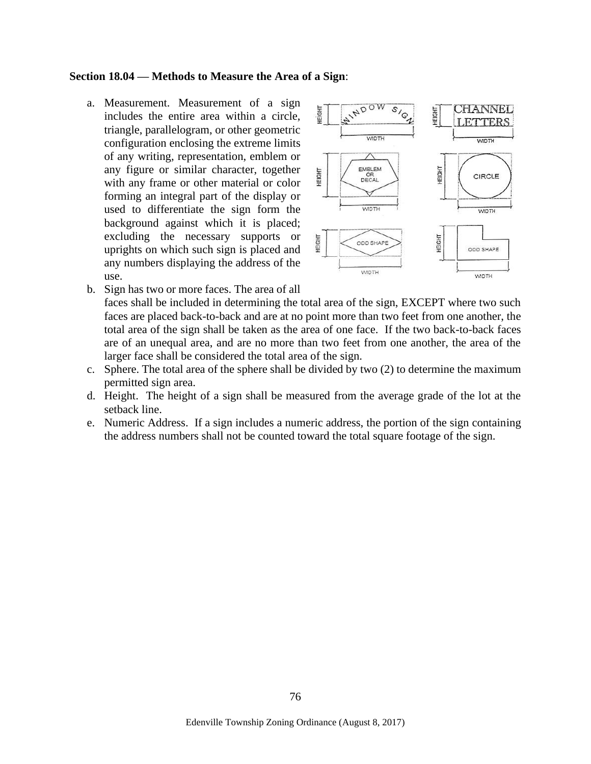#### **Section 18.04 — Methods to Measure the Area of a Sign**:

a. Measurement. Measurement of a sign includes the entire area within a circle, triangle, parallelogram, or other geometric configuration enclosing the extreme limits of any writing, representation, emblem or any figure or similar character, together with any frame or other material or color forming an integral part of the display or used to differentiate the sign form the background against which it is placed; excluding the necessary supports or uprights on which such sign is placed and any numbers displaying the address of the use.



- b. Sign has two or more faces. The area of all faces shall be included in determining the total area of the sign, EXCEPT where two such faces are placed back-to-back and are at no point more than two feet from one another, the total area of the sign shall be taken as the area of one face. If the two back-to-back faces are of an unequal area, and are no more than two feet from one another, the area of the larger face shall be considered the total area of the sign.
- c. Sphere. The total area of the sphere shall be divided by two (2) to determine the maximum permitted sign area.
- d. Height. The height of a sign shall be measured from the average grade of the lot at the setback line.
- e. Numeric Address. If a sign includes a numeric address, the portion of the sign containing the address numbers shall not be counted toward the total square footage of the sign.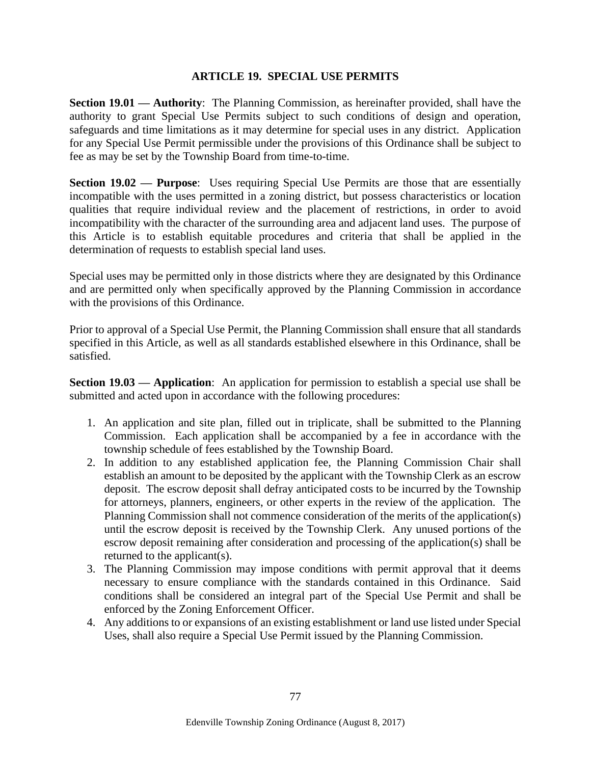#### **ARTICLE 19. SPECIAL USE PERMITS**

**Section 19.01 — Authority**: The Planning Commission, as hereinafter provided, shall have the authority to grant Special Use Permits subject to such conditions of design and operation, safeguards and time limitations as it may determine for special uses in any district. Application for any Special Use Permit permissible under the provisions of this Ordinance shall be subject to fee as may be set by the Township Board from time-to-time.

**Section 19.02 — Purpose**: Uses requiring Special Use Permits are those that are essentially incompatible with the uses permitted in a zoning district, but possess characteristics or location qualities that require individual review and the placement of restrictions, in order to avoid incompatibility with the character of the surrounding area and adjacent land uses. The purpose of this Article is to establish equitable procedures and criteria that shall be applied in the determination of requests to establish special land uses.

Special uses may be permitted only in those districts where they are designated by this Ordinance and are permitted only when specifically approved by the Planning Commission in accordance with the provisions of this Ordinance.

Prior to approval of a Special Use Permit, the Planning Commission shall ensure that all standards specified in this Article, as well as all standards established elsewhere in this Ordinance, shall be satisfied.

**Section 19.03 — Application**: An application for permission to establish a special use shall be submitted and acted upon in accordance with the following procedures:

- 1. An application and site plan, filled out in triplicate, shall be submitted to the Planning Commission. Each application shall be accompanied by a fee in accordance with the township schedule of fees established by the Township Board.
- 2. In addition to any established application fee, the Planning Commission Chair shall establish an amount to be deposited by the applicant with the Township Clerk as an escrow deposit. The escrow deposit shall defray anticipated costs to be incurred by the Township for attorneys, planners, engineers, or other experts in the review of the application. The Planning Commission shall not commence consideration of the merits of the application(s) until the escrow deposit is received by the Township Clerk. Any unused portions of the escrow deposit remaining after consideration and processing of the application(s) shall be returned to the applicant(s).
- 3. The Planning Commission may impose conditions with permit approval that it deems necessary to ensure compliance with the standards contained in this Ordinance. Said conditions shall be considered an integral part of the Special Use Permit and shall be enforced by the Zoning Enforcement Officer.
- 4. Any additions to or expansions of an existing establishment or land use listed under Special Uses, shall also require a Special Use Permit issued by the Planning Commission.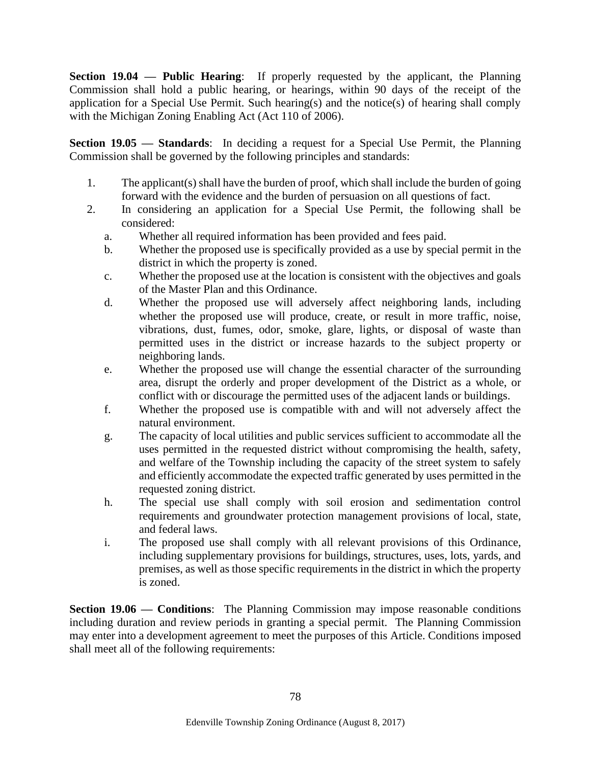**Section 19.04 — Public Hearing**: If properly requested by the applicant, the Planning Commission shall hold a public hearing, or hearings, within 90 days of the receipt of the application for a Special Use Permit. Such hearing(s) and the notice(s) of hearing shall comply with the Michigan Zoning Enabling Act (Act 110 of 2006).

**Section 19.05 — Standards**: In deciding a request for a Special Use Permit, the Planning Commission shall be governed by the following principles and standards:

- 1. The applicant(s) shall have the burden of proof, which shall include the burden of going forward with the evidence and the burden of persuasion on all questions of fact.
- 2. In considering an application for a Special Use Permit, the following shall be considered:
	- a. Whether all required information has been provided and fees paid.
	- b. Whether the proposed use is specifically provided as a use by special permit in the district in which the property is zoned.
	- c. Whether the proposed use at the location is consistent with the objectives and goals of the Master Plan and this Ordinance.
	- d. Whether the proposed use will adversely affect neighboring lands, including whether the proposed use will produce, create, or result in more traffic, noise, vibrations, dust, fumes, odor, smoke, glare, lights, or disposal of waste than permitted uses in the district or increase hazards to the subject property or neighboring lands.
	- e. Whether the proposed use will change the essential character of the surrounding area, disrupt the orderly and proper development of the District as a whole, or conflict with or discourage the permitted uses of the adjacent lands or buildings.
	- f. Whether the proposed use is compatible with and will not adversely affect the natural environment.
	- g. The capacity of local utilities and public services sufficient to accommodate all the uses permitted in the requested district without compromising the health, safety, and welfare of the Township including the capacity of the street system to safely and efficiently accommodate the expected traffic generated by uses permitted in the requested zoning district.
	- h. The special use shall comply with soil erosion and sedimentation control requirements and groundwater protection management provisions of local, state, and federal laws.
	- i. The proposed use shall comply with all relevant provisions of this Ordinance, including supplementary provisions for buildings, structures, uses, lots, yards, and premises, as well as those specific requirements in the district in which the property is zoned.

**Section 19.06 — Conditions**: The Planning Commission may impose reasonable conditions including duration and review periods in granting a special permit. The Planning Commission may enter into a development agreement to meet the purposes of this Article. Conditions imposed shall meet all of the following requirements: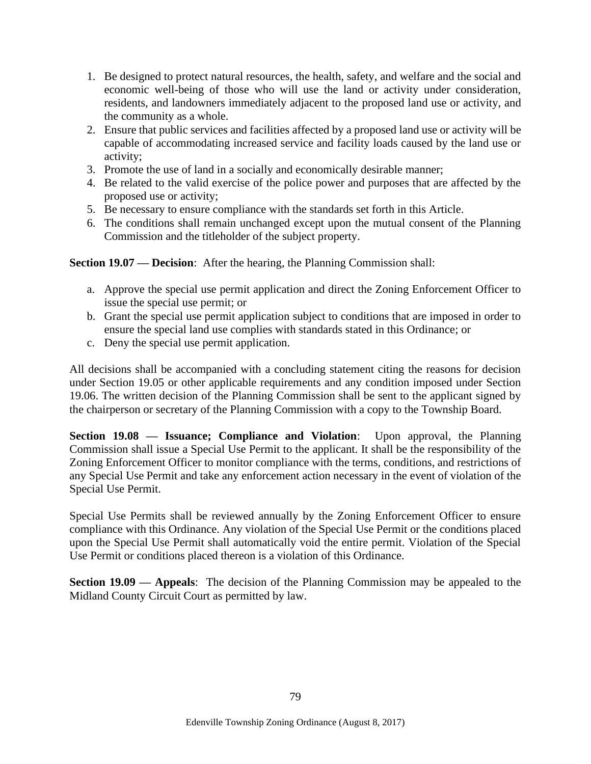- 1. Be designed to protect natural resources, the health, safety, and welfare and the social and economic well-being of those who will use the land or activity under consideration, residents, and landowners immediately adjacent to the proposed land use or activity, and the community as a whole.
- 2. Ensure that public services and facilities affected by a proposed land use or activity will be capable of accommodating increased service and facility loads caused by the land use or activity;
- 3. Promote the use of land in a socially and economically desirable manner;
- 4. Be related to the valid exercise of the police power and purposes that are affected by the proposed use or activity;
- 5. Be necessary to ensure compliance with the standards set forth in this Article.
- 6. The conditions shall remain unchanged except upon the mutual consent of the Planning Commission and the titleholder of the subject property.

**Section 19.07 — Decision**: After the hearing, the Planning Commission shall:

- a. Approve the special use permit application and direct the Zoning Enforcement Officer to issue the special use permit; or
- b. Grant the special use permit application subject to conditions that are imposed in order to ensure the special land use complies with standards stated in this Ordinance; or
- c. Deny the special use permit application.

All decisions shall be accompanied with a concluding statement citing the reasons for decision under Section 19.05 or other applicable requirements and any condition imposed under Section 19.06. The written decision of the Planning Commission shall be sent to the applicant signed by the chairperson or secretary of the Planning Commission with a copy to the Township Board.

**Section 19.08 — Issuance; Compliance and Violation**: Upon approval, the Planning Commission shall issue a Special Use Permit to the applicant. It shall be the responsibility of the Zoning Enforcement Officer to monitor compliance with the terms, conditions, and restrictions of any Special Use Permit and take any enforcement action necessary in the event of violation of the Special Use Permit.

Special Use Permits shall be reviewed annually by the Zoning Enforcement Officer to ensure compliance with this Ordinance. Any violation of the Special Use Permit or the conditions placed upon the Special Use Permit shall automatically void the entire permit. Violation of the Special Use Permit or conditions placed thereon is a violation of this Ordinance.

**Section 19.09 — Appeals**: The decision of the Planning Commission may be appealed to the Midland County Circuit Court as permitted by law.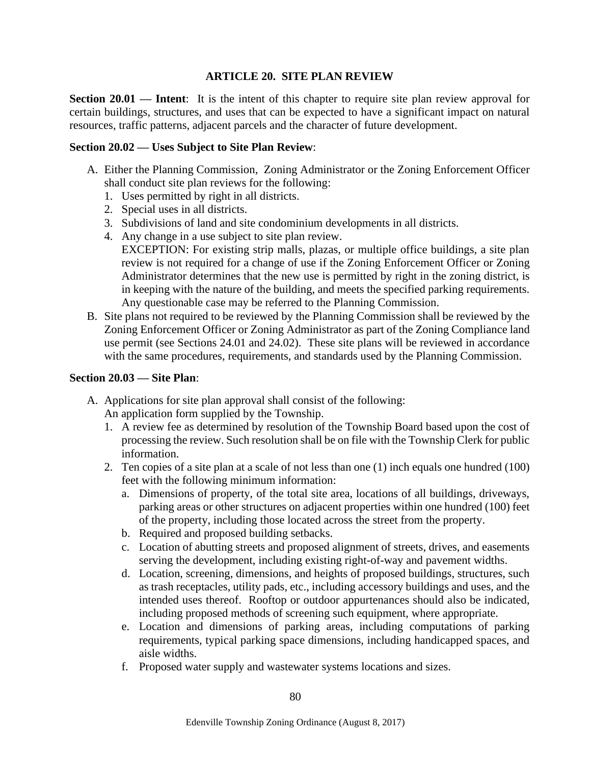## **ARTICLE 20. SITE PLAN REVIEW**

**Section 20.01 — Intent:** It is the intent of this chapter to require site plan review approval for certain buildings, structures, and uses that can be expected to have a significant impact on natural resources, traffic patterns, adjacent parcels and the character of future development.

#### **Section 20.02 — Uses Subject to Site Plan Review**:

- A. Either the Planning Commission, Zoning Administrator or the Zoning Enforcement Officer shall conduct site plan reviews for the following:
	- 1. Uses permitted by right in all districts.
	- 2. Special uses in all districts.
	- 3. Subdivisions of land and site condominium developments in all districts.
	- 4. Any change in a use subject to site plan review.
		- EXCEPTION: For existing strip malls, plazas, or multiple office buildings, a site plan review is not required for a change of use if the Zoning Enforcement Officer or Zoning Administrator determines that the new use is permitted by right in the zoning district, is in keeping with the nature of the building, and meets the specified parking requirements. Any questionable case may be referred to the Planning Commission.
- B. Site plans not required to be reviewed by the Planning Commission shall be reviewed by the Zoning Enforcement Officer or Zoning Administrator as part of the Zoning Compliance land use permit (see Sections 24.01 and 24.02). These site plans will be reviewed in accordance with the same procedures, requirements, and standards used by the Planning Commission.

#### **Section 20.03 — Site Plan**:

- A. Applications for site plan approval shall consist of the following: An application form supplied by the Township.
	- 1. A review fee as determined by resolution of the Township Board based upon the cost of processing the review. Such resolution shall be on file with the Township Clerk for public information.
	- 2. Ten copies of a site plan at a scale of not less than one (1) inch equals one hundred (100) feet with the following minimum information:
		- a. Dimensions of property, of the total site area, locations of all buildings, driveways, parking areas or other structures on adjacent properties within one hundred (100) feet of the property, including those located across the street from the property.
		- b. Required and proposed building setbacks.
		- c. Location of abutting streets and proposed alignment of streets, drives, and easements serving the development, including existing right-of-way and pavement widths.
		- d. Location, screening, dimensions, and heights of proposed buildings, structures, such as trash receptacles, utility pads, etc., including accessory buildings and uses, and the intended uses thereof. Rooftop or outdoor appurtenances should also be indicated, including proposed methods of screening such equipment, where appropriate.
		- e. Location and dimensions of parking areas, including computations of parking requirements, typical parking space dimensions, including handicapped spaces, and aisle widths.
		- f. Proposed water supply and wastewater systems locations and sizes.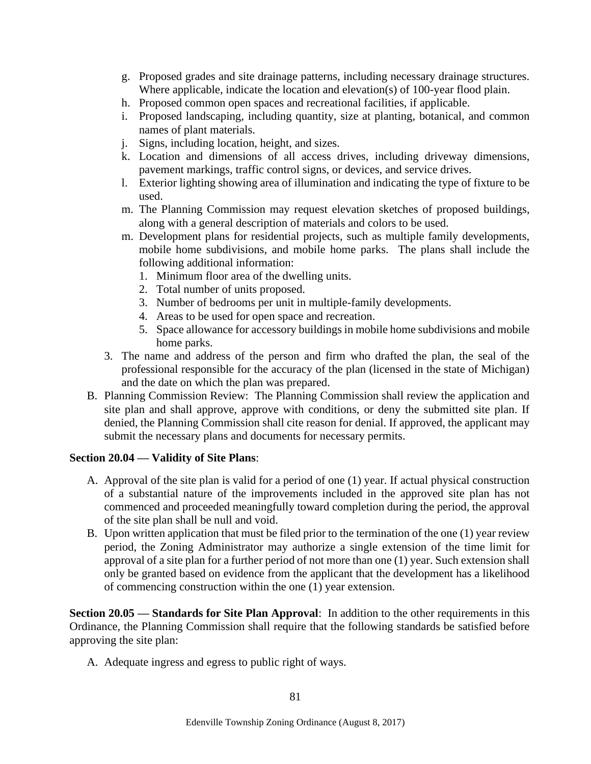- g. Proposed grades and site drainage patterns, including necessary drainage structures. Where applicable, indicate the location and elevation(s) of 100-year flood plain.
- h. Proposed common open spaces and recreational facilities, if applicable.
- i. Proposed landscaping, including quantity, size at planting, botanical, and common names of plant materials.
- j. Signs, including location, height, and sizes.
- k. Location and dimensions of all access drives, including driveway dimensions, pavement markings, traffic control signs, or devices, and service drives.
- l. Exterior lighting showing area of illumination and indicating the type of fixture to be used.
- m. The Planning Commission may request elevation sketches of proposed buildings, along with a general description of materials and colors to be used.
- m. Development plans for residential projects, such as multiple family developments, mobile home subdivisions, and mobile home parks. The plans shall include the following additional information:
	- 1. Minimum floor area of the dwelling units.
	- 2. Total number of units proposed.
	- 3. Number of bedrooms per unit in multiple-family developments.
	- 4. Areas to be used for open space and recreation.
	- 5. Space allowance for accessory buildings in mobile home subdivisions and mobile home parks.
- 3. The name and address of the person and firm who drafted the plan, the seal of the professional responsible for the accuracy of the plan (licensed in the state of Michigan) and the date on which the plan was prepared.
- B. Planning Commission Review: The Planning Commission shall review the application and site plan and shall approve, approve with conditions, or deny the submitted site plan. If denied, the Planning Commission shall cite reason for denial. If approved, the applicant may submit the necessary plans and documents for necessary permits.

### **Section 20.04 — Validity of Site Plans**:

- A. Approval of the site plan is valid for a period of one (1) year. If actual physical construction of a substantial nature of the improvements included in the approved site plan has not commenced and proceeded meaningfully toward completion during the period, the approval of the site plan shall be null and void.
- B. Upon written application that must be filed prior to the termination of the one (1) year review period, the Zoning Administrator may authorize a single extension of the time limit for approval of a site plan for a further period of not more than one (1) year. Such extension shall only be granted based on evidence from the applicant that the development has a likelihood of commencing construction within the one (1) year extension.

**Section 20.05 — Standards for Site Plan Approval**: In addition to the other requirements in this Ordinance, the Planning Commission shall require that the following standards be satisfied before approving the site plan:

A. Adequate ingress and egress to public right of ways.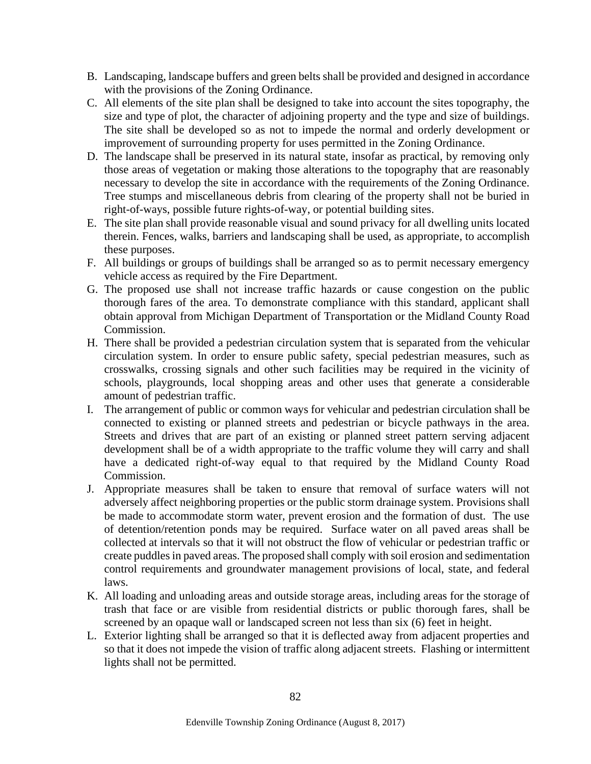- B. Landscaping, landscape buffers and green belts shall be provided and designed in accordance with the provisions of the Zoning Ordinance.
- C. All elements of the site plan shall be designed to take into account the sites topography, the size and type of plot, the character of adjoining property and the type and size of buildings. The site shall be developed so as not to impede the normal and orderly development or improvement of surrounding property for uses permitted in the Zoning Ordinance.
- D. The landscape shall be preserved in its natural state, insofar as practical, by removing only those areas of vegetation or making those alterations to the topography that are reasonably necessary to develop the site in accordance with the requirements of the Zoning Ordinance. Tree stumps and miscellaneous debris from clearing of the property shall not be buried in right-of-ways, possible future rights-of-way, or potential building sites.
- E. The site plan shall provide reasonable visual and sound privacy for all dwelling units located therein. Fences, walks, barriers and landscaping shall be used, as appropriate, to accomplish these purposes.
- F. All buildings or groups of buildings shall be arranged so as to permit necessary emergency vehicle access as required by the Fire Department.
- G. The proposed use shall not increase traffic hazards or cause congestion on the public thorough fares of the area. To demonstrate compliance with this standard, applicant shall obtain approval from Michigan Department of Transportation or the Midland County Road Commission.
- H. There shall be provided a pedestrian circulation system that is separated from the vehicular circulation system. In order to ensure public safety, special pedestrian measures, such as crosswalks, crossing signals and other such facilities may be required in the vicinity of schools, playgrounds, local shopping areas and other uses that generate a considerable amount of pedestrian traffic.
- I. The arrangement of public or common ways for vehicular and pedestrian circulation shall be connected to existing or planned streets and pedestrian or bicycle pathways in the area. Streets and drives that are part of an existing or planned street pattern serving adjacent development shall be of a width appropriate to the traffic volume they will carry and shall have a dedicated right-of-way equal to that required by the Midland County Road Commission.
- J. Appropriate measures shall be taken to ensure that removal of surface waters will not adversely affect neighboring properties or the public storm drainage system. Provisions shall be made to accommodate storm water, prevent erosion and the formation of dust. The use of detention/retention ponds may be required. Surface water on all paved areas shall be collected at intervals so that it will not obstruct the flow of vehicular or pedestrian traffic or create puddles in paved areas. The proposed shall comply with soil erosion and sedimentation control requirements and groundwater management provisions of local, state, and federal laws.
- K. All loading and unloading areas and outside storage areas, including areas for the storage of trash that face or are visible from residential districts or public thorough fares, shall be screened by an opaque wall or landscaped screen not less than six (6) feet in height.
- L. Exterior lighting shall be arranged so that it is deflected away from adjacent properties and so that it does not impede the vision of traffic along adjacent streets. Flashing or intermittent lights shall not be permitted.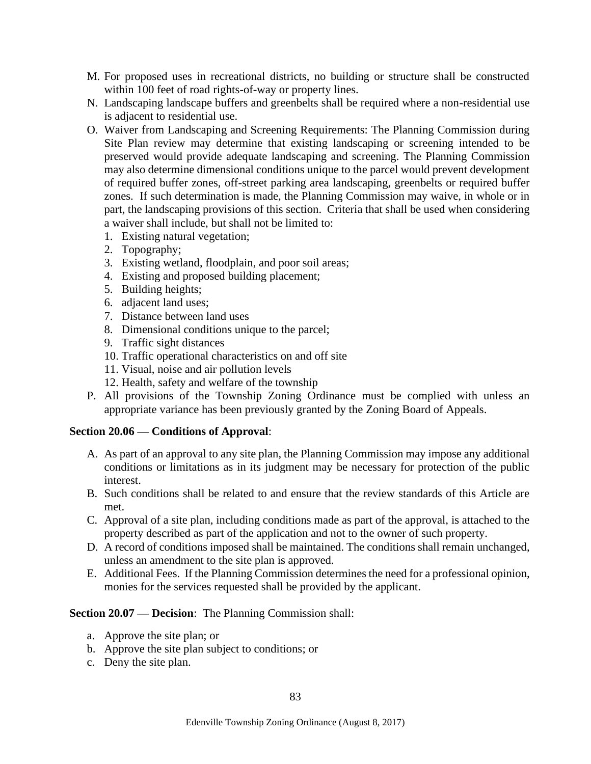- M. For proposed uses in recreational districts, no building or structure shall be constructed within 100 feet of road rights-of-way or property lines.
- N. Landscaping landscape buffers and greenbelts shall be required where a non-residential use is adjacent to residential use.
- O. Waiver from Landscaping and Screening Requirements: The Planning Commission during Site Plan review may determine that existing landscaping or screening intended to be preserved would provide adequate landscaping and screening. The Planning Commission may also determine dimensional conditions unique to the parcel would prevent development of required buffer zones, off-street parking area landscaping, greenbelts or required buffer zones. If such determination is made, the Planning Commission may waive, in whole or in part, the landscaping provisions of this section. Criteria that shall be used when considering a waiver shall include, but shall not be limited to:
	- 1. Existing natural vegetation;
	- 2. Topography;
	- 3. Existing wetland, floodplain, and poor soil areas;
	- 4. Existing and proposed building placement;
	- 5. Building heights;
	- 6. adjacent land uses;
	- 7. Distance between land uses
	- 8. Dimensional conditions unique to the parcel;
	- 9. Traffic sight distances
	- 10. Traffic operational characteristics on and off site
	- 11. Visual, noise and air pollution levels
	- 12. Health, safety and welfare of the township
- P. All provisions of the Township Zoning Ordinance must be complied with unless an appropriate variance has been previously granted by the Zoning Board of Appeals.

### **Section 20.06 — Conditions of Approval**:

- A. As part of an approval to any site plan, the Planning Commission may impose any additional conditions or limitations as in its judgment may be necessary for protection of the public interest.
- B. Such conditions shall be related to and ensure that the review standards of this Article are met.
- C. Approval of a site plan, including conditions made as part of the approval, is attached to the property described as part of the application and not to the owner of such property.
- D. A record of conditions imposed shall be maintained. The conditions shall remain unchanged, unless an amendment to the site plan is approved.
- E. Additional Fees. If the Planning Commission determines the need for a professional opinion, monies for the services requested shall be provided by the applicant.

### **Section 20.07 — Decision**: The Planning Commission shall:

- a. Approve the site plan; or
- b. Approve the site plan subject to conditions; or
- c. Deny the site plan.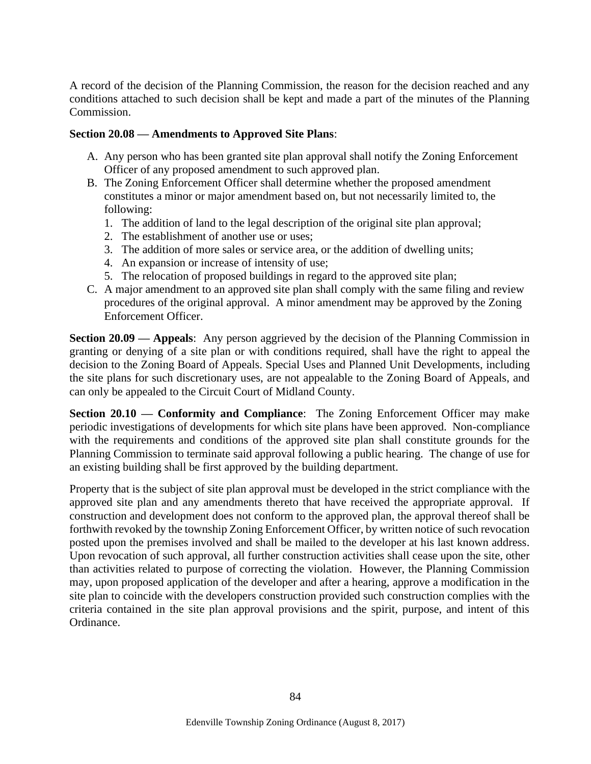A record of the decision of the Planning Commission, the reason for the decision reached and any conditions attached to such decision shall be kept and made a part of the minutes of the Planning Commission.

### **Section 20.08 — Amendments to Approved Site Plans**:

- A. Any person who has been granted site plan approval shall notify the Zoning Enforcement Officer of any proposed amendment to such approved plan.
- B. The Zoning Enforcement Officer shall determine whether the proposed amendment constitutes a minor or major amendment based on, but not necessarily limited to, the following:
	- 1. The addition of land to the legal description of the original site plan approval;
	- 2. The establishment of another use or uses;
	- 3. The addition of more sales or service area, or the addition of dwelling units;
	- 4. An expansion or increase of intensity of use;
	- 5. The relocation of proposed buildings in regard to the approved site plan;
- C. A major amendment to an approved site plan shall comply with the same filing and review procedures of the original approval. A minor amendment may be approved by the Zoning Enforcement Officer.

**Section 20.09 — Appeals**: Any person aggrieved by the decision of the Planning Commission in granting or denying of a site plan or with conditions required, shall have the right to appeal the decision to the Zoning Board of Appeals. Special Uses and Planned Unit Developments, including the site plans for such discretionary uses, are not appealable to the Zoning Board of Appeals, and can only be appealed to the Circuit Court of Midland County.

**Section 20.10 — Conformity and Compliance:** The Zoning Enforcement Officer may make periodic investigations of developments for which site plans have been approved. Non-compliance with the requirements and conditions of the approved site plan shall constitute grounds for the Planning Commission to terminate said approval following a public hearing. The change of use for an existing building shall be first approved by the building department.

Property that is the subject of site plan approval must be developed in the strict compliance with the approved site plan and any amendments thereto that have received the appropriate approval. If construction and development does not conform to the approved plan, the approval thereof shall be forthwith revoked by the township Zoning Enforcement Officer, by written notice of such revocation posted upon the premises involved and shall be mailed to the developer at his last known address. Upon revocation of such approval, all further construction activities shall cease upon the site, other than activities related to purpose of correcting the violation. However, the Planning Commission may, upon proposed application of the developer and after a hearing, approve a modification in the site plan to coincide with the developers construction provided such construction complies with the criteria contained in the site plan approval provisions and the spirit, purpose, and intent of this Ordinance.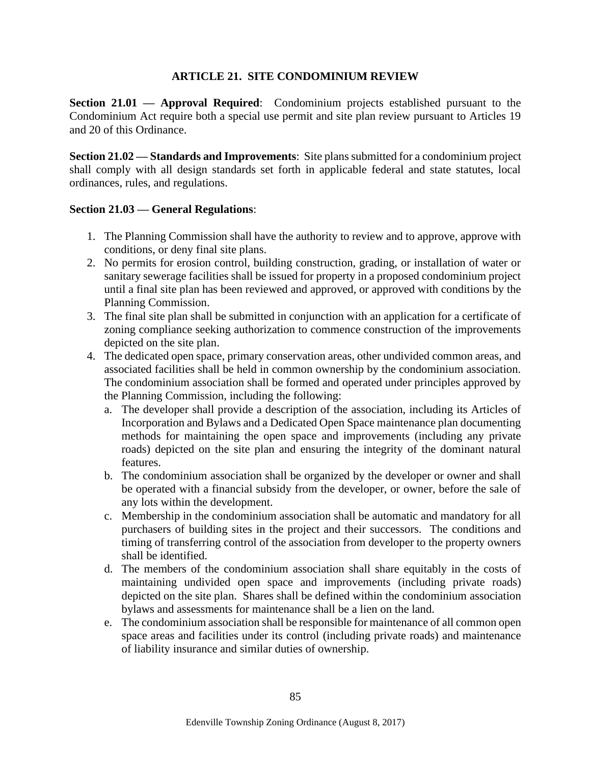# **ARTICLE 21. SITE CONDOMINIUM REVIEW**

**Section 21.01 — Approval Required**: Condominium projects established pursuant to the Condominium Act require both a special use permit and site plan review pursuant to Articles 19 and 20 of this Ordinance.

**Section 21.02 — Standards and Improvements**: Site plans submitted for a condominium project shall comply with all design standards set forth in applicable federal and state statutes, local ordinances, rules, and regulations.

### **Section 21.03 — General Regulations**:

- 1. The Planning Commission shall have the authority to review and to approve, approve with conditions, or deny final site plans.
- 2. No permits for erosion control, building construction, grading, or installation of water or sanitary sewerage facilities shall be issued for property in a proposed condominium project until a final site plan has been reviewed and approved, or approved with conditions by the Planning Commission.
- 3. The final site plan shall be submitted in conjunction with an application for a certificate of zoning compliance seeking authorization to commence construction of the improvements depicted on the site plan.
- 4. The dedicated open space, primary conservation areas, other undivided common areas, and associated facilities shall be held in common ownership by the condominium association. The condominium association shall be formed and operated under principles approved by the Planning Commission, including the following:
	- a. The developer shall provide a description of the association, including its Articles of Incorporation and Bylaws and a Dedicated Open Space maintenance plan documenting methods for maintaining the open space and improvements (including any private roads) depicted on the site plan and ensuring the integrity of the dominant natural features.
	- b. The condominium association shall be organized by the developer or owner and shall be operated with a financial subsidy from the developer, or owner, before the sale of any lots within the development.
	- c. Membership in the condominium association shall be automatic and mandatory for all purchasers of building sites in the project and their successors. The conditions and timing of transferring control of the association from developer to the property owners shall be identified.
	- d. The members of the condominium association shall share equitably in the costs of maintaining undivided open space and improvements (including private roads) depicted on the site plan. Shares shall be defined within the condominium association bylaws and assessments for maintenance shall be a lien on the land.
	- e. The condominium association shall be responsible for maintenance of all common open space areas and facilities under its control (including private roads) and maintenance of liability insurance and similar duties of ownership.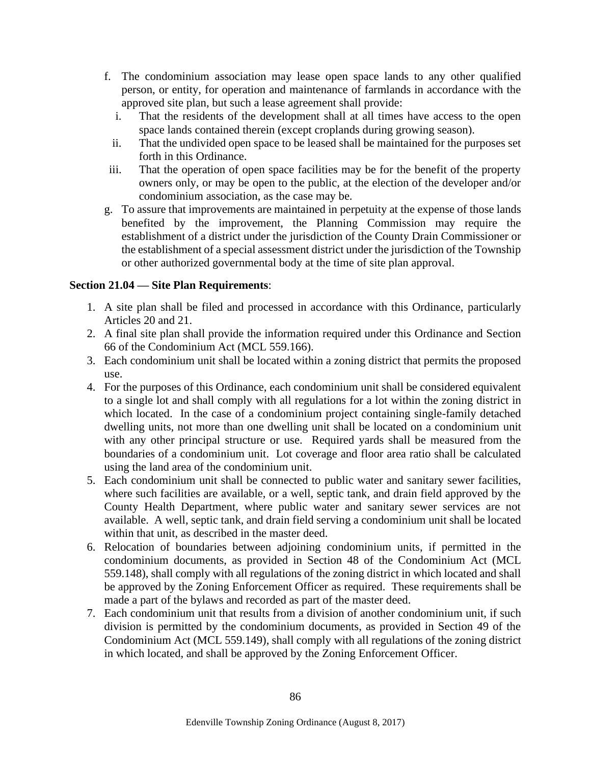- f. The condominium association may lease open space lands to any other qualified person, or entity, for operation and maintenance of farmlands in accordance with the approved site plan, but such a lease agreement shall provide:
	- i. That the residents of the development shall at all times have access to the open space lands contained therein (except croplands during growing season).
	- ii. That the undivided open space to be leased shall be maintained for the purposes set forth in this Ordinance.
- iii. That the operation of open space facilities may be for the benefit of the property owners only, or may be open to the public, at the election of the developer and/or condominium association, as the case may be.
- g. To assure that improvements are maintained in perpetuity at the expense of those lands benefited by the improvement, the Planning Commission may require the establishment of a district under the jurisdiction of the County Drain Commissioner or the establishment of a special assessment district under the jurisdiction of the Township or other authorized governmental body at the time of site plan approval.

# **Section 21.04 — Site Plan Requirements**:

- 1. A site plan shall be filed and processed in accordance with this Ordinance, particularly Articles 20 and 21.
- 2. A final site plan shall provide the information required under this Ordinance and Section 66 of the Condominium Act (MCL 559.166).
- 3. Each condominium unit shall be located within a zoning district that permits the proposed use.
- 4. For the purposes of this Ordinance, each condominium unit shall be considered equivalent to a single lot and shall comply with all regulations for a lot within the zoning district in which located. In the case of a condominium project containing single-family detached dwelling units, not more than one dwelling unit shall be located on a condominium unit with any other principal structure or use. Required yards shall be measured from the boundaries of a condominium unit. Lot coverage and floor area ratio shall be calculated using the land area of the condominium unit.
- 5. Each condominium unit shall be connected to public water and sanitary sewer facilities, where such facilities are available, or a well, septic tank, and drain field approved by the County Health Department, where public water and sanitary sewer services are not available. A well, septic tank, and drain field serving a condominium unit shall be located within that unit, as described in the master deed.
- 6. Relocation of boundaries between adjoining condominium units, if permitted in the condominium documents, as provided in Section 48 of the Condominium Act (MCL 559.148), shall comply with all regulations of the zoning district in which located and shall be approved by the Zoning Enforcement Officer as required. These requirements shall be made a part of the bylaws and recorded as part of the master deed.
- 7. Each condominium unit that results from a division of another condominium unit, if such division is permitted by the condominium documents, as provided in Section 49 of the Condominium Act (MCL 559.149), shall comply with all regulations of the zoning district in which located, and shall be approved by the Zoning Enforcement Officer.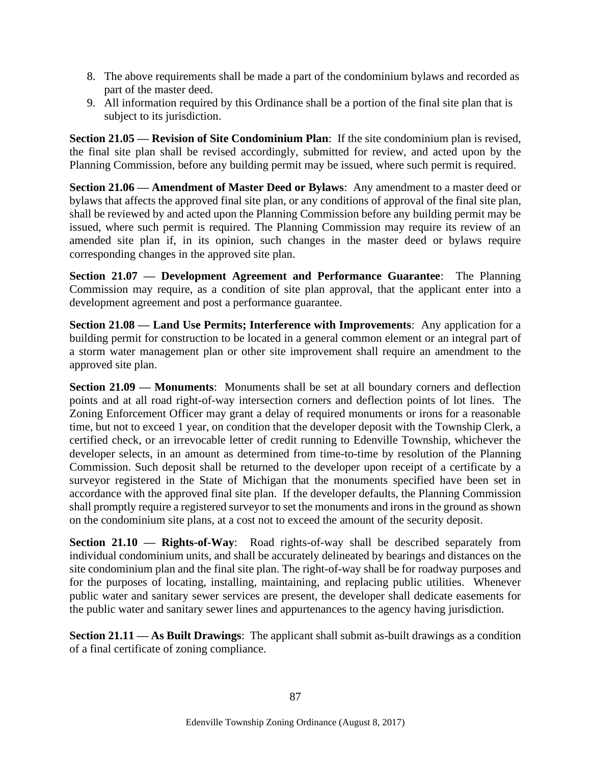- 8. The above requirements shall be made a part of the condominium bylaws and recorded as part of the master deed.
- 9. All information required by this Ordinance shall be a portion of the final site plan that is subject to its jurisdiction.

**Section 21.05 — Revision of Site Condominium Plan**: If the site condominium plan is revised, the final site plan shall be revised accordingly, submitted for review, and acted upon by the Planning Commission, before any building permit may be issued, where such permit is required.

**Section 21.06 — Amendment of Master Deed or Bylaws**: Any amendment to a master deed or bylaws that affects the approved final site plan, or any conditions of approval of the final site plan, shall be reviewed by and acted upon the Planning Commission before any building permit may be issued, where such permit is required. The Planning Commission may require its review of an amended site plan if, in its opinion, such changes in the master deed or bylaws require corresponding changes in the approved site plan.

**Section 21.07 — Development Agreement and Performance Guarantee**: The Planning Commission may require, as a condition of site plan approval, that the applicant enter into a development agreement and post a performance guarantee.

**Section 21.08 — Land Use Permits; Interference with Improvements**: Any application for a building permit for construction to be located in a general common element or an integral part of a storm water management plan or other site improvement shall require an amendment to the approved site plan.

**Section 21.09 — Monuments**: Monuments shall be set at all boundary corners and deflection points and at all road right-of-way intersection corners and deflection points of lot lines. The Zoning Enforcement Officer may grant a delay of required monuments or irons for a reasonable time, but not to exceed 1 year, on condition that the developer deposit with the Township Clerk, a certified check, or an irrevocable letter of credit running to Edenville Township, whichever the developer selects, in an amount as determined from time-to-time by resolution of the Planning Commission. Such deposit shall be returned to the developer upon receipt of a certificate by a surveyor registered in the State of Michigan that the monuments specified have been set in accordance with the approved final site plan. If the developer defaults, the Planning Commission shall promptly require a registered surveyor to set the monuments and irons in the ground as shown on the condominium site plans, at a cost not to exceed the amount of the security deposit.

**Section 21.10 — Rights-of-Way**: Road rights-of-way shall be described separately from individual condominium units, and shall be accurately delineated by bearings and distances on the site condominium plan and the final site plan. The right-of-way shall be for roadway purposes and for the purposes of locating, installing, maintaining, and replacing public utilities. Whenever public water and sanitary sewer services are present, the developer shall dedicate easements for the public water and sanitary sewer lines and appurtenances to the agency having jurisdiction.

**Section 21.11 — As Built Drawings**: The applicant shall submit as-built drawings as a condition of a final certificate of zoning compliance.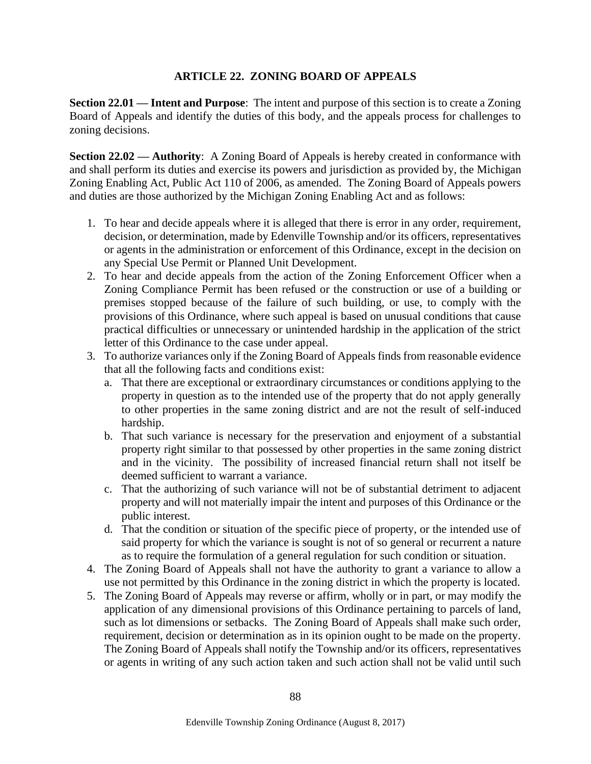# **ARTICLE 22. ZONING BOARD OF APPEALS**

**Section 22.01 — Intent and Purpose**: The intent and purpose of this section is to create a Zoning Board of Appeals and identify the duties of this body, and the appeals process for challenges to zoning decisions.

**Section 22.02 — Authority:** A Zoning Board of Appeals is hereby created in conformance with and shall perform its duties and exercise its powers and jurisdiction as provided by, the Michigan Zoning Enabling Act, Public Act 110 of 2006, as amended. The Zoning Board of Appeals powers and duties are those authorized by the Michigan Zoning Enabling Act and as follows:

- 1. To hear and decide appeals where it is alleged that there is error in any order, requirement, decision, or determination, made by Edenville Township and/or its officers, representatives or agents in the administration or enforcement of this Ordinance, except in the decision on any Special Use Permit or Planned Unit Development.
- 2. To hear and decide appeals from the action of the Zoning Enforcement Officer when a Zoning Compliance Permit has been refused or the construction or use of a building or premises stopped because of the failure of such building, or use, to comply with the provisions of this Ordinance, where such appeal is based on unusual conditions that cause practical difficulties or unnecessary or unintended hardship in the application of the strict letter of this Ordinance to the case under appeal.
- 3. To authorize variances only if the Zoning Board of Appeals finds from reasonable evidence that all the following facts and conditions exist:
	- a. That there are exceptional or extraordinary circumstances or conditions applying to the property in question as to the intended use of the property that do not apply generally to other properties in the same zoning district and are not the result of self-induced hardship.
	- b. That such variance is necessary for the preservation and enjoyment of a substantial property right similar to that possessed by other properties in the same zoning district and in the vicinity. The possibility of increased financial return shall not itself be deemed sufficient to warrant a variance.
	- c. That the authorizing of such variance will not be of substantial detriment to adjacent property and will not materially impair the intent and purposes of this Ordinance or the public interest.
	- d. That the condition or situation of the specific piece of property, or the intended use of said property for which the variance is sought is not of so general or recurrent a nature as to require the formulation of a general regulation for such condition or situation.
- 4. The Zoning Board of Appeals shall not have the authority to grant a variance to allow a use not permitted by this Ordinance in the zoning district in which the property is located.
- 5. The Zoning Board of Appeals may reverse or affirm, wholly or in part, or may modify the application of any dimensional provisions of this Ordinance pertaining to parcels of land, such as lot dimensions or setbacks. The Zoning Board of Appeals shall make such order, requirement, decision or determination as in its opinion ought to be made on the property. The Zoning Board of Appeals shall notify the Township and/or its officers, representatives or agents in writing of any such action taken and such action shall not be valid until such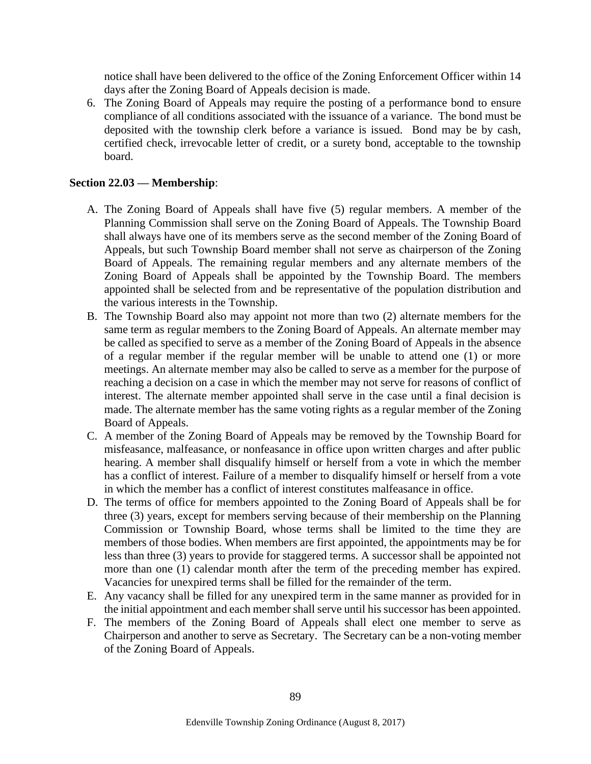notice shall have been delivered to the office of the Zoning Enforcement Officer within 14 days after the Zoning Board of Appeals decision is made.

6. The Zoning Board of Appeals may require the posting of a performance bond to ensure compliance of all conditions associated with the issuance of a variance. The bond must be deposited with the township clerk before a variance is issued. Bond may be by cash, certified check, irrevocable letter of credit, or a surety bond, acceptable to the township board.

#### **Section 22.03 — Membership**:

- A. The Zoning Board of Appeals shall have five (5) regular members. A member of the Planning Commission shall serve on the Zoning Board of Appeals. The Township Board shall always have one of its members serve as the second member of the Zoning Board of Appeals, but such Township Board member shall not serve as chairperson of the Zoning Board of Appeals. The remaining regular members and any alternate members of the Zoning Board of Appeals shall be appointed by the Township Board. The members appointed shall be selected from and be representative of the population distribution and the various interests in the Township.
- B. The Township Board also may appoint not more than two (2) alternate members for the same term as regular members to the Zoning Board of Appeals. An alternate member may be called as specified to serve as a member of the Zoning Board of Appeals in the absence of a regular member if the regular member will be unable to attend one (1) or more meetings. An alternate member may also be called to serve as a member for the purpose of reaching a decision on a case in which the member may not serve for reasons of conflict of interest. The alternate member appointed shall serve in the case until a final decision is made. The alternate member has the same voting rights as a regular member of the Zoning Board of Appeals.
- C. A member of the Zoning Board of Appeals may be removed by the Township Board for misfeasance, malfeasance, or nonfeasance in office upon written charges and after public hearing. A member shall disqualify himself or herself from a vote in which the member has a conflict of interest. Failure of a member to disqualify himself or herself from a vote in which the member has a conflict of interest constitutes malfeasance in office.
- D. The terms of office for members appointed to the Zoning Board of Appeals shall be for three (3) years, except for members serving because of their membership on the Planning Commission or Township Board, whose terms shall be limited to the time they are members of those bodies. When members are first appointed, the appointments may be for less than three (3) years to provide for staggered terms. A successor shall be appointed not more than one (1) calendar month after the term of the preceding member has expired. Vacancies for unexpired terms shall be filled for the remainder of the term.
- E. Any vacancy shall be filled for any unexpired term in the same manner as provided for in the initial appointment and each member shall serve until his successor has been appointed.
- F. The members of the Zoning Board of Appeals shall elect one member to serve as Chairperson and another to serve as Secretary. The Secretary can be a non-voting member of the Zoning Board of Appeals.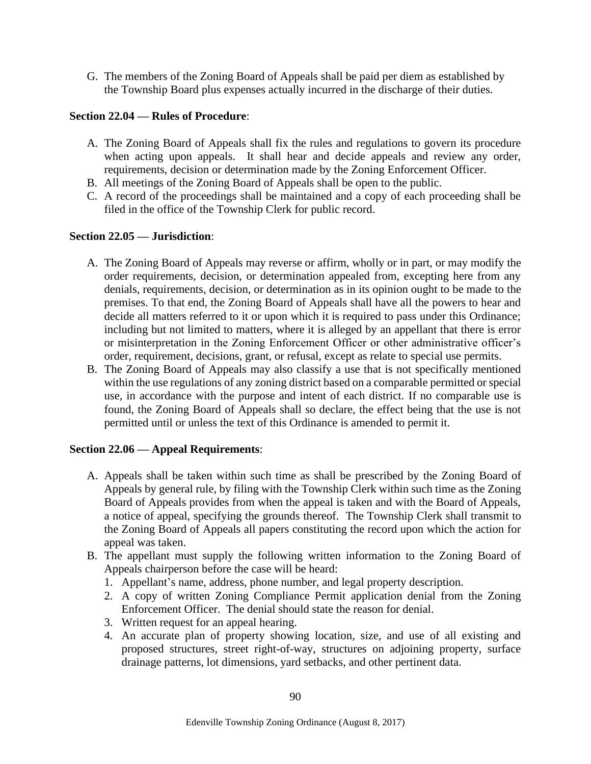G. The members of the Zoning Board of Appeals shall be paid per diem as established by the Township Board plus expenses actually incurred in the discharge of their duties.

# **Section 22.04 — Rules of Procedure**:

- A. The Zoning Board of Appeals shall fix the rules and regulations to govern its procedure when acting upon appeals. It shall hear and decide appeals and review any order, requirements, decision or determination made by the Zoning Enforcement Officer.
- B. All meetings of the Zoning Board of Appeals shall be open to the public.
- C. A record of the proceedings shall be maintained and a copy of each proceeding shall be filed in the office of the Township Clerk for public record.

# **Section 22.05 — Jurisdiction**:

- A. The Zoning Board of Appeals may reverse or affirm, wholly or in part, or may modify the order requirements, decision, or determination appealed from, excepting here from any denials, requirements, decision, or determination as in its opinion ought to be made to the premises. To that end, the Zoning Board of Appeals shall have all the powers to hear and decide all matters referred to it or upon which it is required to pass under this Ordinance; including but not limited to matters, where it is alleged by an appellant that there is error or misinterpretation in the Zoning Enforcement Officer or other administrative officer's order, requirement, decisions, grant, or refusal, except as relate to special use permits.
- B. The Zoning Board of Appeals may also classify a use that is not specifically mentioned within the use regulations of any zoning district based on a comparable permitted or special use, in accordance with the purpose and intent of each district. If no comparable use is found, the Zoning Board of Appeals shall so declare, the effect being that the use is not permitted until or unless the text of this Ordinance is amended to permit it.

### **Section 22.06 — Appeal Requirements**:

- A. Appeals shall be taken within such time as shall be prescribed by the Zoning Board of Appeals by general rule, by filing with the Township Clerk within such time as the Zoning Board of Appeals provides from when the appeal is taken and with the Board of Appeals, a notice of appeal, specifying the grounds thereof. The Township Clerk shall transmit to the Zoning Board of Appeals all papers constituting the record upon which the action for appeal was taken.
- B. The appellant must supply the following written information to the Zoning Board of Appeals chairperson before the case will be heard:
	- 1. Appellant's name, address, phone number, and legal property description.
	- 2. A copy of written Zoning Compliance Permit application denial from the Zoning Enforcement Officer. The denial should state the reason for denial.
	- 3. Written request for an appeal hearing.
	- 4. An accurate plan of property showing location, size, and use of all existing and proposed structures, street right-of-way, structures on adjoining property, surface drainage patterns, lot dimensions, yard setbacks, and other pertinent data.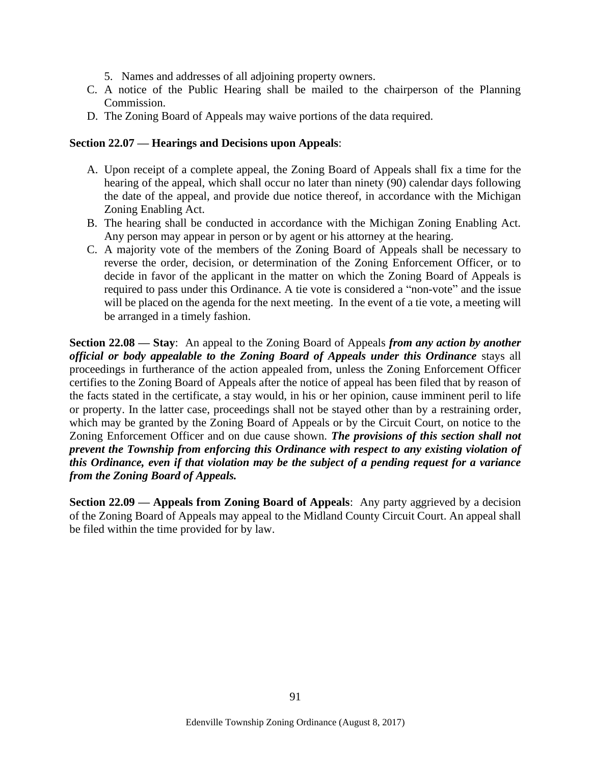- 5. Names and addresses of all adjoining property owners.
- C. A notice of the Public Hearing shall be mailed to the chairperson of the Planning Commission.
- D. The Zoning Board of Appeals may waive portions of the data required.

#### **Section 22.07 — Hearings and Decisions upon Appeals**:

- A. Upon receipt of a complete appeal, the Zoning Board of Appeals shall fix a time for the hearing of the appeal, which shall occur no later than ninety (90) calendar days following the date of the appeal, and provide due notice thereof, in accordance with the Michigan Zoning Enabling Act.
- B. The hearing shall be conducted in accordance with the Michigan Zoning Enabling Act. Any person may appear in person or by agent or his attorney at the hearing.
- C. A majority vote of the members of the Zoning Board of Appeals shall be necessary to reverse the order, decision, or determination of the Zoning Enforcement Officer, or to decide in favor of the applicant in the matter on which the Zoning Board of Appeals is required to pass under this Ordinance. A tie vote is considered a "non-vote" and the issue will be placed on the agenda for the next meeting. In the event of a tie vote, a meeting will be arranged in a timely fashion.

**Section 22.08 — Stay**: An appeal to the Zoning Board of Appeals *from any action by another official or body appealable to the Zoning Board of Appeals under this Ordinance* stays all proceedings in furtherance of the action appealed from, unless the Zoning Enforcement Officer certifies to the Zoning Board of Appeals after the notice of appeal has been filed that by reason of the facts stated in the certificate, a stay would, in his or her opinion, cause imminent peril to life or property. In the latter case, proceedings shall not be stayed other than by a restraining order, which may be granted by the Zoning Board of Appeals or by the Circuit Court, on notice to the Zoning Enforcement Officer and on due cause shown. *The provisions of this section shall not prevent the Township from enforcing this Ordinance with respect to any existing violation of this Ordinance, even if that violation may be the subject of a pending request for a variance from the Zoning Board of Appeals.*

**Section 22.09 — Appeals from Zoning Board of Appeals**: Any party aggrieved by a decision of the Zoning Board of Appeals may appeal to the Midland County Circuit Court. An appeal shall be filed within the time provided for by law.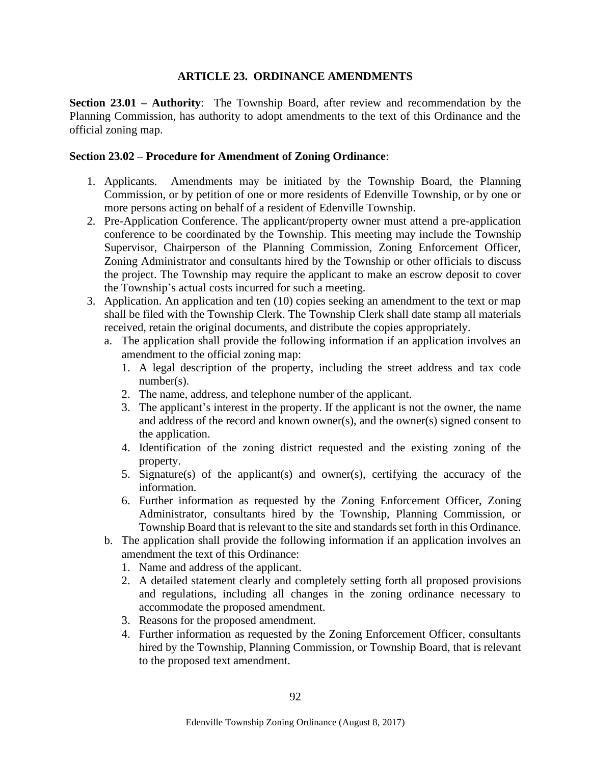## **ARTICLE 23. ORDINANCE AMENDMENTS**

**Section 23.01 – Authority**: The Township Board, after review and recommendation by the Planning Commission, has authority to adopt amendments to the text of this Ordinance and the official zoning map.

## **Section 23.02 – Procedure for Amendment of Zoning Ordinance**:

- 1. Applicants. Amendments may be initiated by the Township Board, the Planning Commission, or by petition of one or more residents of Edenville Township, or by one or more persons acting on behalf of a resident of Edenville Township.
- 2. Pre-Application Conference. The applicant/property owner must attend a pre-application conference to be coordinated by the Township. This meeting may include the Township Supervisor, Chairperson of the Planning Commission, Zoning Enforcement Officer, Zoning Administrator and consultants hired by the Township or other officials to discuss the project. The Township may require the applicant to make an escrow deposit to cover the Township's actual costs incurred for such a meeting.
- 3. Application. An application and ten (10) copies seeking an amendment to the text or map shall be filed with the Township Clerk. The Township Clerk shall date stamp all materials received, retain the original documents, and distribute the copies appropriately.
	- a. The application shall provide the following information if an application involves an amendment to the official zoning map:
		- 1. A legal description of the property, including the street address and tax code number(s).
		- 2. The name, address, and telephone number of the applicant.
		- 3. The applicant's interest in the property. If the applicant is not the owner, the name and address of the record and known owner(s), and the owner(s) signed consent to the application.
		- 4. Identification of the zoning district requested and the existing zoning of the property.
		- 5. Signature(s) of the applicant(s) and owner(s), certifying the accuracy of the information.
		- 6. Further information as requested by the Zoning Enforcement Officer, Zoning Administrator, consultants hired by the Township, Planning Commission, or Township Board that is relevant to the site and standards set forth in this Ordinance.
	- b. The application shall provide the following information if an application involves an amendment the text of this Ordinance:
		- 1. Name and address of the applicant.
		- 2. A detailed statement clearly and completely setting forth all proposed provisions and regulations, including all changes in the zoning ordinance necessary to accommodate the proposed amendment.
		- 3. Reasons for the proposed amendment.
		- 4. Further information as requested by the Zoning Enforcement Officer, consultants hired by the Township, Planning Commission, or Township Board, that is relevant to the proposed text amendment.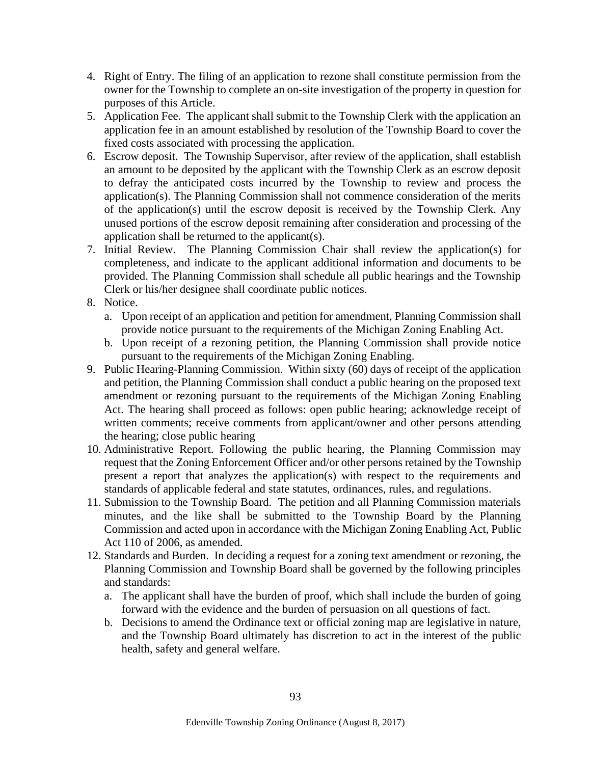- 4. Right of Entry. The filing of an application to rezone shall constitute permission from the owner for the Township to complete an on-site investigation of the property in question for purposes of this Article.
- 5. Application Fee. The applicant shall submit to the Township Clerk with the application an application fee in an amount established by resolution of the Township Board to cover the fixed costs associated with processing the application.
- 6. Escrow deposit. The Township Supervisor, after review of the application, shall establish an amount to be deposited by the applicant with the Township Clerk as an escrow deposit to defray the anticipated costs incurred by the Township to review and process the application(s). The Planning Commission shall not commence consideration of the merits of the application(s) until the escrow deposit is received by the Township Clerk. Any unused portions of the escrow deposit remaining after consideration and processing of the application shall be returned to the applicant(s).
- 7. Initial Review. The Planning Commission Chair shall review the application(s) for completeness, and indicate to the applicant additional information and documents to be provided. The Planning Commission shall schedule all public hearings and the Township Clerk or his/her designee shall coordinate public notices.
- 8. Notice.
	- a. Upon receipt of an application and petition for amendment, Planning Commission shall provide notice pursuant to the requirements of the Michigan Zoning Enabling Act.
	- b. Upon receipt of a rezoning petition, the Planning Commission shall provide notice pursuant to the requirements of the Michigan Zoning Enabling.
- 9. Public Hearing-Planning Commission. Within sixty (60) days of receipt of the application and petition, the Planning Commission shall conduct a public hearing on the proposed text amendment or rezoning pursuant to the requirements of the Michigan Zoning Enabling Act. The hearing shall proceed as follows: open public hearing; acknowledge receipt of written comments; receive comments from applicant/owner and other persons attending the hearing; close public hearing
- 10. Administrative Report. Following the public hearing, the Planning Commission may request that the Zoning Enforcement Officer and/or other persons retained by the Township present a report that analyzes the application(s) with respect to the requirements and standards of applicable federal and state statutes, ordinances, rules, and regulations.
- 11. Submission to the Township Board. The petition and all Planning Commission materials minutes, and the like shall be submitted to the Township Board by the Planning Commission and acted upon in accordance with the Michigan Zoning Enabling Act, Public Act 110 of 2006, as amended.
- 12. Standards and Burden. In deciding a request for a zoning text amendment or rezoning, the Planning Commission and Township Board shall be governed by the following principles and standards:
	- a. The applicant shall have the burden of proof, which shall include the burden of going forward with the evidence and the burden of persuasion on all questions of fact.
	- b. Decisions to amend the Ordinance text or official zoning map are legislative in nature, and the Township Board ultimately has discretion to act in the interest of the public health, safety and general welfare.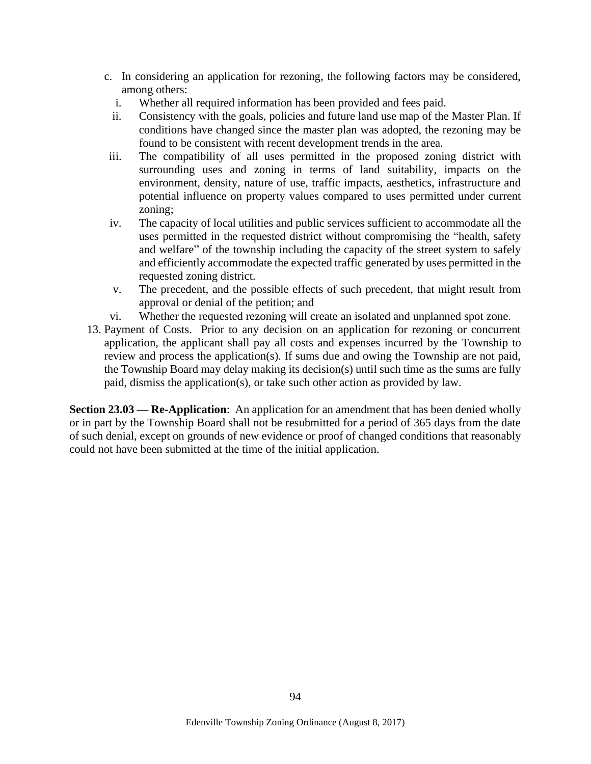- c. In considering an application for rezoning, the following factors may be considered, among others:
	- i. Whether all required information has been provided and fees paid.
	- ii. Consistency with the goals, policies and future land use map of the Master Plan. If conditions have changed since the master plan was adopted, the rezoning may be found to be consistent with recent development trends in the area.
- iii. The compatibility of all uses permitted in the proposed zoning district with surrounding uses and zoning in terms of land suitability, impacts on the environment, density, nature of use, traffic impacts, aesthetics, infrastructure and potential influence on property values compared to uses permitted under current zoning;
- iv. The capacity of local utilities and public services sufficient to accommodate all the uses permitted in the requested district without compromising the "health, safety and welfare" of the township including the capacity of the street system to safely and efficiently accommodate the expected traffic generated by uses permitted in the requested zoning district.
- v. The precedent, and the possible effects of such precedent, that might result from approval or denial of the petition; and
- vi. Whether the requested rezoning will create an isolated and unplanned spot zone.
- 13. Payment of Costs. Prior to any decision on an application for rezoning or concurrent application, the applicant shall pay all costs and expenses incurred by the Township to review and process the application(s). If sums due and owing the Township are not paid, the Township Board may delay making its decision(s) until such time as the sums are fully paid, dismiss the application(s), or take such other action as provided by law.

**Section 23.03 — Re-Application**: An application for an amendment that has been denied wholly or in part by the Township Board shall not be resubmitted for a period of 365 days from the date of such denial, except on grounds of new evidence or proof of changed conditions that reasonably could not have been submitted at the time of the initial application.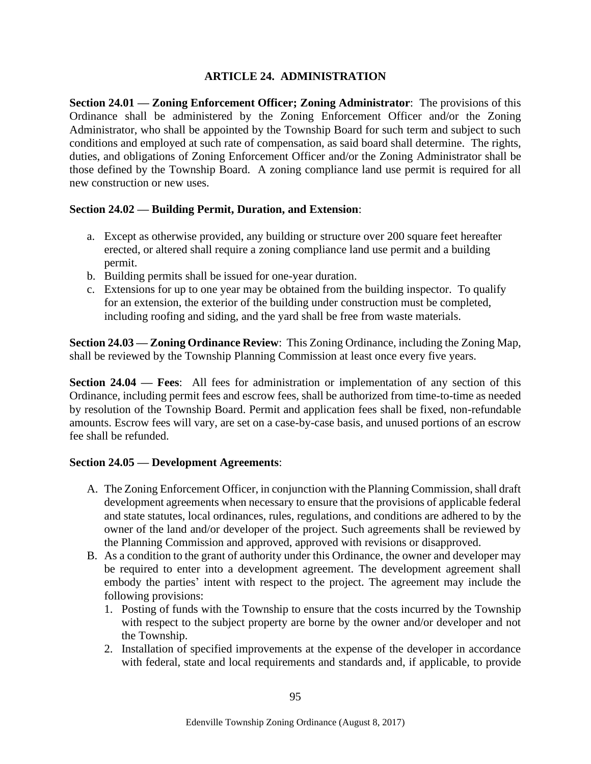# **ARTICLE 24. ADMINISTRATION**

**Section 24.01 — Zoning Enforcement Officer; Zoning Administrator**: The provisions of this Ordinance shall be administered by the Zoning Enforcement Officer and/or the Zoning Administrator, who shall be appointed by the Township Board for such term and subject to such conditions and employed at such rate of compensation, as said board shall determine. The rights, duties, and obligations of Zoning Enforcement Officer and/or the Zoning Administrator shall be those defined by the Township Board. A zoning compliance land use permit is required for all new construction or new uses.

# **Section 24.02 — Building Permit, Duration, and Extension**:

- a. Except as otherwise provided, any building or structure over 200 square feet hereafter erected, or altered shall require a zoning compliance land use permit and a building permit.
- b. Building permits shall be issued for one-year duration.
- c. Extensions for up to one year may be obtained from the building inspector. To qualify for an extension, the exterior of the building under construction must be completed, including roofing and siding, and the yard shall be free from waste materials.

**Section 24.03 — Zoning Ordinance Review**: This Zoning Ordinance, including the Zoning Map, shall be reviewed by the Township Planning Commission at least once every five years.

**Section 24.04 — Fees**: All fees for administration or implementation of any section of this Ordinance, including permit fees and escrow fees, shall be authorized from time-to-time as needed by resolution of the Township Board. Permit and application fees shall be fixed, non-refundable amounts. Escrow fees will vary, are set on a case-by-case basis, and unused portions of an escrow fee shall be refunded.

### **Section 24.05 — Development Agreements**:

- A. The Zoning Enforcement Officer, in conjunction with the Planning Commission, shall draft development agreements when necessary to ensure that the provisions of applicable federal and state statutes, local ordinances, rules, regulations, and conditions are adhered to by the owner of the land and/or developer of the project. Such agreements shall be reviewed by the Planning Commission and approved, approved with revisions or disapproved.
- B. As a condition to the grant of authority under this Ordinance, the owner and developer may be required to enter into a development agreement. The development agreement shall embody the parties' intent with respect to the project. The agreement may include the following provisions:
	- 1. Posting of funds with the Township to ensure that the costs incurred by the Township with respect to the subject property are borne by the owner and/or developer and not the Township.
	- 2. Installation of specified improvements at the expense of the developer in accordance with federal, state and local requirements and standards and, if applicable, to provide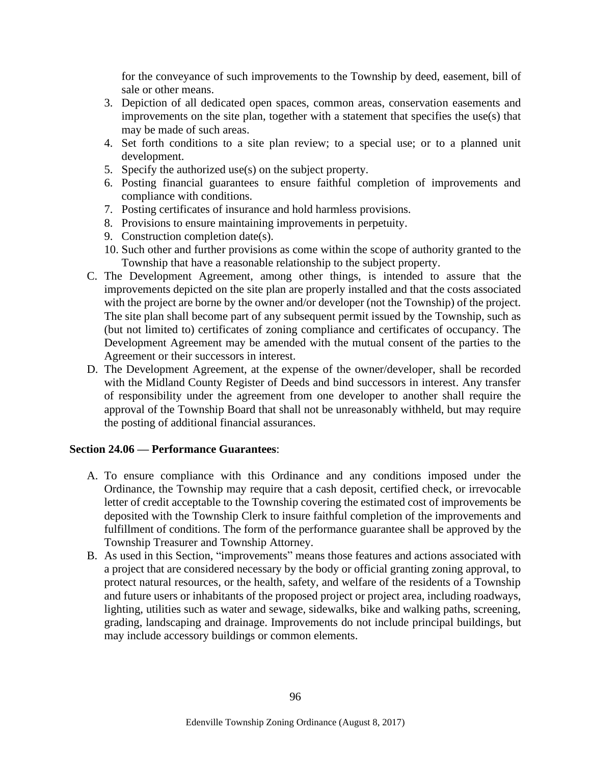for the conveyance of such improvements to the Township by deed, easement, bill of sale or other means.

- 3. Depiction of all dedicated open spaces, common areas, conservation easements and improvements on the site plan, together with a statement that specifies the use(s) that may be made of such areas.
- 4. Set forth conditions to a site plan review; to a special use; or to a planned unit development.
- 5. Specify the authorized use(s) on the subject property.
- 6. Posting financial guarantees to ensure faithful completion of improvements and compliance with conditions.
- 7. Posting certificates of insurance and hold harmless provisions.
- 8. Provisions to ensure maintaining improvements in perpetuity.
- 9. Construction completion date(s).
- 10. Such other and further provisions as come within the scope of authority granted to the Township that have a reasonable relationship to the subject property.
- C. The Development Agreement, among other things, is intended to assure that the improvements depicted on the site plan are properly installed and that the costs associated with the project are borne by the owner and/or developer (not the Township) of the project. The site plan shall become part of any subsequent permit issued by the Township, such as (but not limited to) certificates of zoning compliance and certificates of occupancy. The Development Agreement may be amended with the mutual consent of the parties to the Agreement or their successors in interest.
- D. The Development Agreement, at the expense of the owner/developer, shall be recorded with the Midland County Register of Deeds and bind successors in interest. Any transfer of responsibility under the agreement from one developer to another shall require the approval of the Township Board that shall not be unreasonably withheld, but may require the posting of additional financial assurances.

### **Section 24.06 — Performance Guarantees**:

- A. To ensure compliance with this Ordinance and any conditions imposed under the Ordinance, the Township may require that a cash deposit, certified check, or irrevocable letter of credit acceptable to the Township covering the estimated cost of improvements be deposited with the Township Clerk to insure faithful completion of the improvements and fulfillment of conditions. The form of the performance guarantee shall be approved by the Township Treasurer and Township Attorney.
- B. As used in this Section, "improvements" means those features and actions associated with a project that are considered necessary by the body or official granting zoning approval, to protect natural resources, or the health, safety, and welfare of the residents of a Township and future users or inhabitants of the proposed project or project area, including roadways, lighting, utilities such as water and sewage, sidewalks, bike and walking paths, screening, grading, landscaping and drainage. Improvements do not include principal buildings, but may include accessory buildings or common elements.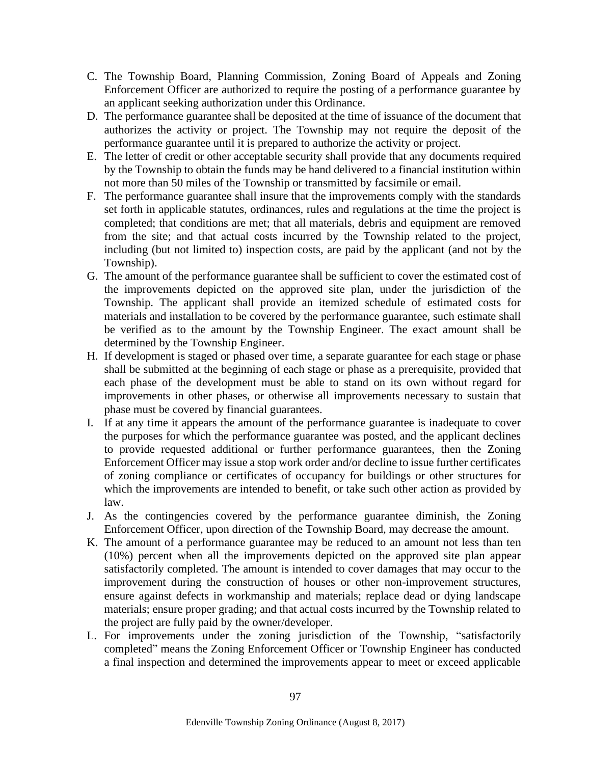- C. The Township Board, Planning Commission, Zoning Board of Appeals and Zoning Enforcement Officer are authorized to require the posting of a performance guarantee by an applicant seeking authorization under this Ordinance.
- D. The performance guarantee shall be deposited at the time of issuance of the document that authorizes the activity or project. The Township may not require the deposit of the performance guarantee until it is prepared to authorize the activity or project.
- E. The letter of credit or other acceptable security shall provide that any documents required by the Township to obtain the funds may be hand delivered to a financial institution within not more than 50 miles of the Township or transmitted by facsimile or email.
- F. The performance guarantee shall insure that the improvements comply with the standards set forth in applicable statutes, ordinances, rules and regulations at the time the project is completed; that conditions are met; that all materials, debris and equipment are removed from the site; and that actual costs incurred by the Township related to the project, including (but not limited to) inspection costs, are paid by the applicant (and not by the Township).
- G. The amount of the performance guarantee shall be sufficient to cover the estimated cost of the improvements depicted on the approved site plan, under the jurisdiction of the Township. The applicant shall provide an itemized schedule of estimated costs for materials and installation to be covered by the performance guarantee, such estimate shall be verified as to the amount by the Township Engineer. The exact amount shall be determined by the Township Engineer.
- H. If development is staged or phased over time, a separate guarantee for each stage or phase shall be submitted at the beginning of each stage or phase as a prerequisite, provided that each phase of the development must be able to stand on its own without regard for improvements in other phases, or otherwise all improvements necessary to sustain that phase must be covered by financial guarantees.
- I. If at any time it appears the amount of the performance guarantee is inadequate to cover the purposes for which the performance guarantee was posted, and the applicant declines to provide requested additional or further performance guarantees, then the Zoning Enforcement Officer may issue a stop work order and/or decline to issue further certificates of zoning compliance or certificates of occupancy for buildings or other structures for which the improvements are intended to benefit, or take such other action as provided by law.
- J. As the contingencies covered by the performance guarantee diminish, the Zoning Enforcement Officer, upon direction of the Township Board, may decrease the amount.
- K. The amount of a performance guarantee may be reduced to an amount not less than ten (10%) percent when all the improvements depicted on the approved site plan appear satisfactorily completed. The amount is intended to cover damages that may occur to the improvement during the construction of houses or other non-improvement structures, ensure against defects in workmanship and materials; replace dead or dying landscape materials; ensure proper grading; and that actual costs incurred by the Township related to the project are fully paid by the owner/developer.
- L. For improvements under the zoning jurisdiction of the Township, "satisfactorily completed" means the Zoning Enforcement Officer or Township Engineer has conducted a final inspection and determined the improvements appear to meet or exceed applicable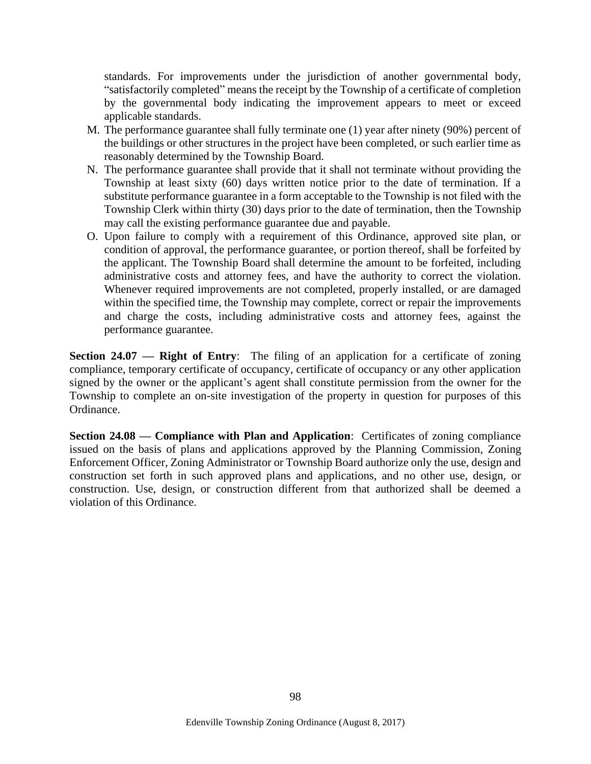standards. For improvements under the jurisdiction of another governmental body, "satisfactorily completed" means the receipt by the Township of a certificate of completion by the governmental body indicating the improvement appears to meet or exceed applicable standards.

- M. The performance guarantee shall fully terminate one (1) year after ninety (90%) percent of the buildings or other structures in the project have been completed, or such earlier time as reasonably determined by the Township Board.
- N. The performance guarantee shall provide that it shall not terminate without providing the Township at least sixty (60) days written notice prior to the date of termination. If a substitute performance guarantee in a form acceptable to the Township is not filed with the Township Clerk within thirty (30) days prior to the date of termination, then the Township may call the existing performance guarantee due and payable.
- O. Upon failure to comply with a requirement of this Ordinance, approved site plan, or condition of approval, the performance guarantee, or portion thereof, shall be forfeited by the applicant. The Township Board shall determine the amount to be forfeited, including administrative costs and attorney fees, and have the authority to correct the violation. Whenever required improvements are not completed, properly installed, or are damaged within the specified time, the Township may complete, correct or repair the improvements and charge the costs, including administrative costs and attorney fees, against the performance guarantee.

**Section 24.07 — Right of Entry:** The filing of an application for a certificate of zoning compliance, temporary certificate of occupancy, certificate of occupancy or any other application signed by the owner or the applicant's agent shall constitute permission from the owner for the Township to complete an on-site investigation of the property in question for purposes of this Ordinance.

**Section 24.08 — Compliance with Plan and Application**: Certificates of zoning compliance issued on the basis of plans and applications approved by the Planning Commission, Zoning Enforcement Officer, Zoning Administrator or Township Board authorize only the use, design and construction set forth in such approved plans and applications, and no other use, design, or construction. Use, design, or construction different from that authorized shall be deemed a violation of this Ordinance.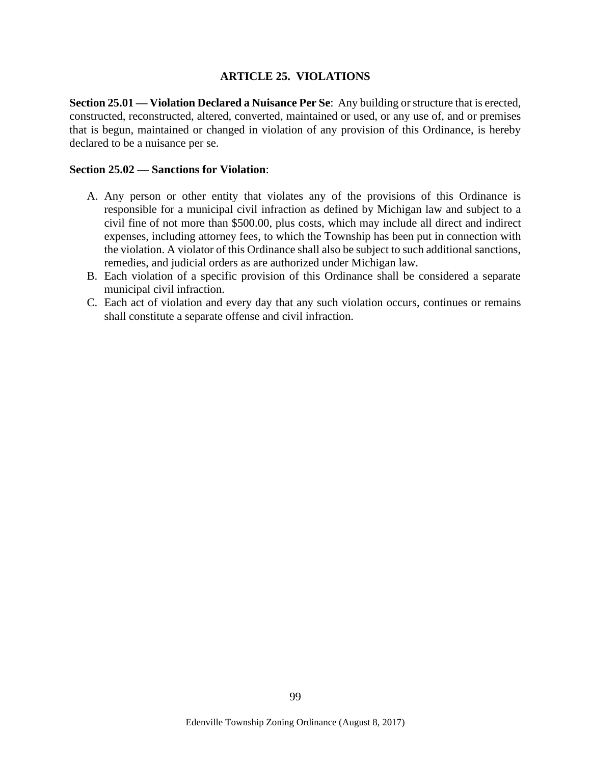### **ARTICLE 25. VIOLATIONS**

**Section 25.01 — Violation Declared a Nuisance Per Se**: Any building or structure that is erected, constructed, reconstructed, altered, converted, maintained or used, or any use of, and or premises that is begun, maintained or changed in violation of any provision of this Ordinance, is hereby declared to be a nuisance per se.

#### **Section 25.02 — Sanctions for Violation**:

- A. Any person or other entity that violates any of the provisions of this Ordinance is responsible for a municipal civil infraction as defined by Michigan law and subject to a civil fine of not more than \$500.00, plus costs, which may include all direct and indirect expenses, including attorney fees, to which the Township has been put in connection with the violation. A violator of this Ordinance shall also be subject to such additional sanctions, remedies, and judicial orders as are authorized under Michigan law.
- B. Each violation of a specific provision of this Ordinance shall be considered a separate municipal civil infraction.
- C. Each act of violation and every day that any such violation occurs, continues or remains shall constitute a separate offense and civil infraction.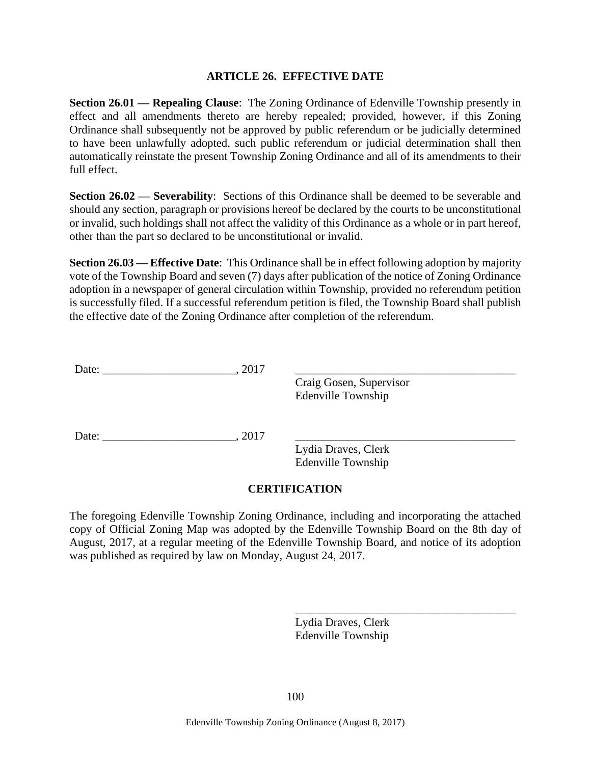## **ARTICLE 26. EFFECTIVE DATE**

**Section 26.01 — Repealing Clause**: The Zoning Ordinance of Edenville Township presently in effect and all amendments thereto are hereby repealed; provided, however, if this Zoning Ordinance shall subsequently not be approved by public referendum or be judicially determined to have been unlawfully adopted, such public referendum or judicial determination shall then automatically reinstate the present Township Zoning Ordinance and all of its amendments to their full effect.

**Section 26.02 — Severability**: Sections of this Ordinance shall be deemed to be severable and should any section, paragraph or provisions hereof be declared by the courts to be unconstitutional or invalid, such holdings shall not affect the validity of this Ordinance as a whole or in part hereof, other than the part so declared to be unconstitutional or invalid.

**Section 26.03 — Effective Date**: This Ordinance shall be in effect following adoption by majority vote of the Township Board and seven (7) days after publication of the notice of Zoning Ordinance adoption in a newspaper of general circulation within Township, provided no referendum petition is successfully filed. If a successful referendum petition is filed, the Township Board shall publish the effective date of the Zoning Ordinance after completion of the referendum.

| Date: | 2017 |                                                      |  |
|-------|------|------------------------------------------------------|--|
|       |      | Craig Gosen, Supervisor<br><b>Edenville Township</b> |  |
| Date: | 2017 |                                                      |  |
|       |      | Lydia Draves, Clerk<br><b>Edenville Township</b>     |  |

### **CERTIFICATION**

The foregoing Edenville Township Zoning Ordinance, including and incorporating the attached copy of Official Zoning Map was adopted by the Edenville Township Board on the 8th day of August, 2017, at a regular meeting of the Edenville Township Board, and notice of its adoption was published as required by law on Monday, August 24, 2017.

> Lydia Draves, Clerk Edenville Township

\_\_\_\_\_\_\_\_\_\_\_\_\_\_\_\_\_\_\_\_\_\_\_\_\_\_\_\_\_\_\_\_\_\_\_\_\_\_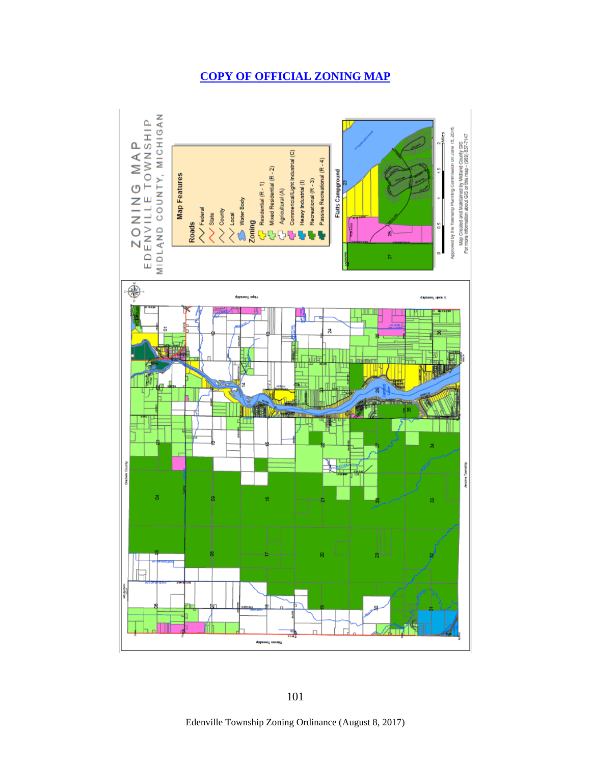# **[COPY OF OFFICIAL ZONING MAP](http://www.edenvilletwp.org/edenville_zoning_map.pdf)**



Edenville Township Zoning Ordinance (August 8, 2017)